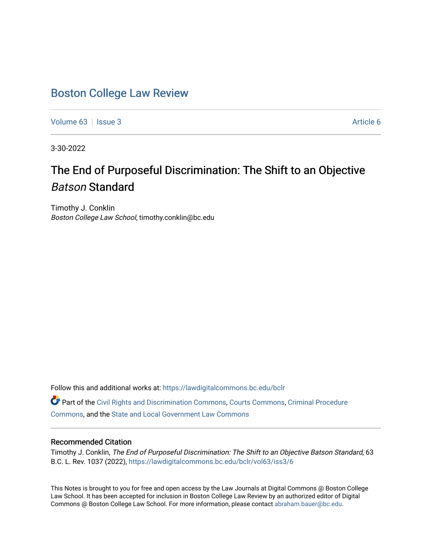## [Boston College Law Review](https://lawdigitalcommons.bc.edu/bclr)

[Volume 63](https://lawdigitalcommons.bc.edu/bclr/vol63) | [Issue 3](https://lawdigitalcommons.bc.edu/bclr/vol63/iss3) Article 6

3-30-2022

# The End of Purposeful Discrimination: The Shift to an Objective Batson Standard

Timothy J. Conklin Boston College Law School, timothy.conklin@bc.edu

Follow this and additional works at: [https://lawdigitalcommons.bc.edu/bclr](https://lawdigitalcommons.bc.edu/bclr?utm_source=lawdigitalcommons.bc.edu%2Fbclr%2Fvol63%2Fiss3%2F6&utm_medium=PDF&utm_campaign=PDFCoverPages) 

Part of the [Civil Rights and Discrimination Commons,](http://network.bepress.com/hgg/discipline/585?utm_source=lawdigitalcommons.bc.edu%2Fbclr%2Fvol63%2Fiss3%2F6&utm_medium=PDF&utm_campaign=PDFCoverPages) [Courts Commons,](http://network.bepress.com/hgg/discipline/839?utm_source=lawdigitalcommons.bc.edu%2Fbclr%2Fvol63%2Fiss3%2F6&utm_medium=PDF&utm_campaign=PDFCoverPages) [Criminal Procedure](http://network.bepress.com/hgg/discipline/1073?utm_source=lawdigitalcommons.bc.edu%2Fbclr%2Fvol63%2Fiss3%2F6&utm_medium=PDF&utm_campaign=PDFCoverPages) [Commons](http://network.bepress.com/hgg/discipline/1073?utm_source=lawdigitalcommons.bc.edu%2Fbclr%2Fvol63%2Fiss3%2F6&utm_medium=PDF&utm_campaign=PDFCoverPages), and the [State and Local Government Law Commons](http://network.bepress.com/hgg/discipline/879?utm_source=lawdigitalcommons.bc.edu%2Fbclr%2Fvol63%2Fiss3%2F6&utm_medium=PDF&utm_campaign=PDFCoverPages)

## Recommended Citation

Timothy J. Conklin, The End of Purposeful Discrimination: The Shift to an Objective Batson Standard, 63 B.C. L. Rev. 1037 (2022), [https://lawdigitalcommons.bc.edu/bclr/vol63/iss3/6](https://lawdigitalcommons.bc.edu/bclr/vol63/iss3/6?utm_source=lawdigitalcommons.bc.edu%2Fbclr%2Fvol63%2Fiss3%2F6&utm_medium=PDF&utm_campaign=PDFCoverPages)

This Notes is brought to you for free and open access by the Law Journals at Digital Commons @ Boston College Law School. It has been accepted for inclusion in Boston College Law Review by an authorized editor of Digital Commons @ Boston College Law School. For more information, please contact [abraham.bauer@bc.edu.](mailto:abraham.bauer@bc.edu)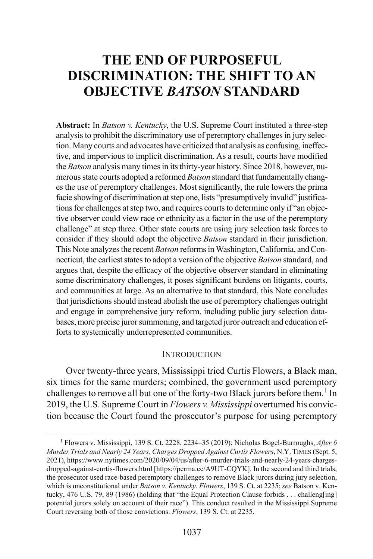## **THE END OF PURPOSEFUL DISCRIMINATION: THE SHIFT TO AN OBJECTIVE** *BATSON* **STANDARD**

**Abstract:** In *Batson v. Kentucky*, the U.S. Supreme Court instituted a three-step analysis to prohibit the discriminatory use of peremptory challenges in jury selection. Many courts and advocates have criticized that analysis as confusing, ineffective, and impervious to implicit discrimination. As a result, courts have modified the *Batson* analysis many times in its thirty-year history. Since 2018, however, numerous state courts adopted a reformed *Batson* standard that fundamentally changes the use of peremptory challenges. Most significantly, the rule lowers the prima facie showing of discrimination at step one, lists "presumptively invalid" justifications for challenges at step two, and requires courts to determine only if "an objective observer could view race or ethnicity as a factor in the use of the peremptory challenge" at step three. Other state courts are using jury selection task forces to consider if they should adopt the objective *Batson* standard in their jurisdiction. This Note analyzes the recent *Batson* reforms in Washington, California, and Connecticut, the earliest states to adopt a version of the objective *Batson* standard, and argues that, despite the efficacy of the objective observer standard in eliminating some discriminatory challenges, it poses significant burdens on litigants, courts, and communities at large. As an alternative to that standard, this Note concludes that jurisdictions should instead abolish the use of peremptory challenges outright and engage in comprehensive jury reform, including public jury selection databases, more precise juror summoning, and targeted juror outreach and education efforts to systemically underrepresented communities.

## <span id="page-1-1"></span>**INTRODUCTION**

Over twenty-three years, Mississippi tried Curtis Flowers, a Black man, six times for the same murders; combined, the government used peremptory challenges to remove all but one of the forty-two Black jurors before them.<sup>[1](#page-1-0)</sup> In 2019, the U.S. Supreme Court in *Flowers v. Mississippi* overturned his conviction because the Court found the prosecutor's purpose for using peremptory

<span id="page-1-0"></span> <sup>1</sup> Flowers v. Mississippi, 139 S. Ct. 2228, 2234–35 (2019); Nicholas Bogel-Burroughs, *After 6 Murder Trials and Nearly 24 Years, Charges Dropped Against Curtis Flowers*, N.Y. TIMES (Sept. 5, 2021), https://www.nytimes.com/2020/09/04/us/after-6-murder-trials-and-nearly-24-years-chargesdropped-against-curtis-flowers.html [https://perma.cc/A9UT-CQYK]. In the second and third trials, the prosecutor used race-based peremptory challenges to remove Black jurors during jury selection, which is unconstitutional under *Batson v. Kentucky*. *Flowers*, 139 S. Ct. at 2235; *see* Batson v. Kentucky, 476 U.S. 79, 89 (1986) (holding that "the Equal Protection Clause forbids . . . challeng[ing] potential jurors solely on account of their race"). This conduct resulted in the Mississippi Supreme Court reversing both of those convictions. *Flowers*, 139 S. Ct. at 2235.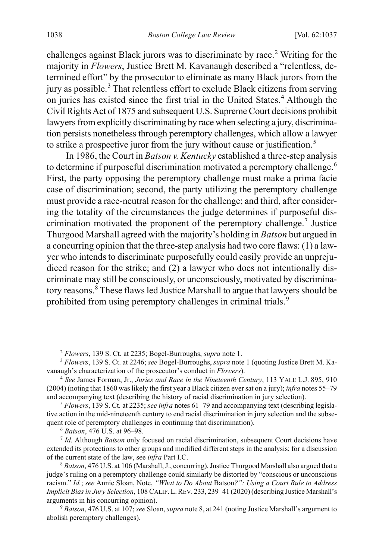<span id="page-2-10"></span><span id="page-2-9"></span>challenges against Black jurors was to discriminate by race.<sup>[2](#page-2-1)</sup> Writing for the majority in *Flowers*, Justice Brett M. Kavanaugh described a "relentless, determined effort" by the prosecutor to eliminate as many Black jurors from the jury as possible.<sup>[3](#page-2-2)</sup> That relentless effort to exclude Black citizens from serving on juries has existed since the first trial in the United States.<sup>[4](#page-2-3)</sup> Although the Civil Rights Act of 1875 and subsequent U.S. Supreme Court decisions prohibit lawyers from explicitly discriminating by race when selecting a jury, discrimination persists nonetheless through peremptory challenges, which allow a lawyer to strike a prospective juror from the jury without cause or justification.<sup>[5](#page-2-4)</sup>

In 1986, the Court in *Batson v. Kentucky* established a three-step analysis to determine if purposeful discrimination motivated a peremptory challenge.<sup>[6](#page-2-5)</sup> First, the party opposing the peremptory challenge must make a prima facie case of discrimination; second, the party utilizing the peremptory challenge must provide a race-neutral reason for the challenge; and third, after considering the totality of the circumstances the judge determines if purposeful dis-crimination motivated the proponent of the peremptory challenge.<sup>[7](#page-2-6)</sup> Justice Thurgood Marshall agreed with the majority's holding in *Batson* but argued in a concurring opinion that the three-step analysis had two core flaws: (1) a lawyer who intends to discriminate purposefully could easily provide an unprejudiced reason for the strike; and (2) a lawyer who does not intentionally discriminate may still be consciously, or unconsciously, motivated by discrimina-tory reasons.<sup>[8](#page-2-7)</sup> These flaws led Justice Marshall to argue that lawyers should be prohibited from using peremptory challenges in criminal trials.<sup>[9](#page-2-8)</sup>

<span id="page-2-0"></span> <sup>2</sup>

<span id="page-2-2"></span><span id="page-2-1"></span>*Flowers*, 139 S. Ct. at 2235; Bogel-Burroughs, *supra* not[e 1.](#page-1-1) 3 *Flowers*, 139 S. Ct. at 2246; *see* Bogel-Burroughs, *supra* not[e 1](#page-1-1) (quoting Justice Brett M. Kavanaugh's characterization of the prosecutor's conduct in *Flowers*).

<span id="page-2-3"></span><sup>4</sup>  *See* James Forman, Jr., *Juries and Race in the Nineteenth Century*, 113 YALE L.J. 895, 910 (2004) (noting that 1860 was likely the first year a Black citizen ever sat on a jury); *infra* note[s 55–](#page-10-0)[79](#page-13-0) and accompanying text (describing the history of racial discrimination in jury selection).

<span id="page-2-4"></span><sup>5</sup> *Flowers*, 139 S. Ct. at 2235; *see infra* note[s 61](#page-11-0)[–79](#page-13-0) and accompanying text (describing legislative action in the mid-nineteenth century to end racial discrimination in jury selection and the subsequent role of peremptory challenges in continuing that discrimination).

<sup>&</sup>lt;sup>6</sup> Batson, 476 U.S. at 96-98.

<span id="page-2-6"></span><span id="page-2-5"></span><sup>&</sup>lt;sup>7</sup> Id. Although *Batson* only focused on racial discrimination, subsequent Court decisions have extended its protections to other groups and modified different steps in the analysis; for a discussion of the current state of the law, see *infra* Part I.C.

<span id="page-2-7"></span><sup>8</sup>  *Batson*, 476 U.S. at 106 (Marshall, J., concurring). Justice Thurgood Marshall also argued that a judge's ruling on a peremptory challenge could similarly be distorted by "conscious or unconscious racism." *Id.*; *see* Annie Sloan, Note, *"What to Do About* Batson*?": Using a Court Rule to Address Implicit Bias in Jury Selection*, 108 CALIF. L.REV. 233, 239–41 (2020) (describing Justice Marshall's arguments in his concurring opinion).

<span id="page-2-8"></span><sup>9</sup>  *Batson*, 476 U.S. at 107; *see* Sloan, *supra* not[e 8,](#page-2-0) at 241 (noting Justice Marshall's argument to abolish peremptory challenges).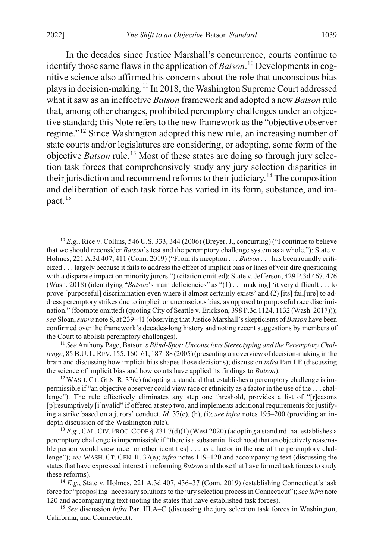<span id="page-3-6"></span>In the decades since Justice Marshall's concurrence, courts continue to identify those same flaws in the application of *Batson*. [10](#page-3-0) Developments in cognitive science also affirmed his concerns about the role that unconscious bias plays in decision-making.[11](#page-3-1) In 2018, the Washington Supreme Court addressed what it saw as an ineffective *Batson* framework and adopted a new *Batson* rule that, among other changes, prohibited peremptory challenges under an objective standard; this Note refers to the new framework as the "objective observer regime."[12](#page-3-2) Since Washington adopted this new rule, an increasing number of state courts and/or legislatures are considering, or adopting, some form of the objective *Batson* rule.[13](#page-3-3) Most of these states are doing so through jury selection task forces that comprehensively study any jury selection disparities in their jurisdiction and recommend reforms to their judiciary.<sup>[14](#page-3-4)</sup> The composition and deliberation of each task force has varied in its form, substance, and impact. $15$ 

<span id="page-3-1"></span><sup>11</sup> See Anthony Page, Batson's Blind-Spot: Unconscious Stereotyping and the Peremptory Chal*lenge*, 85 B.U.L.REV. 155, 160–61, 187–88 (2005)(presenting an overview of decision-making in the brain and discussing how implicit bias shapes those decisions); discussion *infra* Part I.E (discussing the science of implicit bias and how courts have applied its findings to *Batson*).

<span id="page-3-2"></span><sup>12</sup> WASH. CT. GEN. R. 37(e) (adopting a standard that establishes a peremptory challenge is impermissible if "an objective observer could view race or ethnicity as a factor in the use of the . . . challenge"). The rule effectively eliminates any step one threshold, provides a list of "[r]easons [p]resumptively [i]nvalid" if offered at step two, and implements additional requirements for justifying a strike based on a jurors' conduct. *Id.* 37(c), (h), (i); *see infra* note[s 195](#page-33-0)[–200](#page-34-0) (providing an indepth discussion of the Washington rule).

<span id="page-3-3"></span><sup>13</sup> *E.g.*, CAL. CIV. PROC. CODE § 231.7(d)(1) (West 2020) (adopting a standard that establishes a peremptory challenge is impermissible if "there is a substantial likelihood that an objectively reasonable person would view race [or other identities] . . . as a factor in the use of the peremptory challenge"); *see* WASH. CT. GEN. R. 37(e); *infra* note[s 119–](#page-21-0)[120](#page-22-0) and accompanying text (discussing the states that have expressed interest in reforming *Batson* and those that have formed task forces to study these reforms).

<span id="page-3-4"></span><sup>14</sup> *E.g.*, State v. Holmes, 221 A.3d 407, 436–37 (Conn. 2019) (establishing Connecticut's task force for "propos[ing] necessary solutions to the jury selection process in Connecticut"); *see infra* note [120](#page-22-0) and accompanying text (noting the states that have established task forces).

<span id="page-3-5"></span><sup>15</sup> *See* discussion *infra* Part III.A–C (discussing the jury selection task forces in Washington, California, and Connecticut).

<span id="page-3-0"></span> <sup>10</sup> *E.g.*, Rice v. Collins, 546 U.S. 333, 344 (2006) (Breyer, J., concurring) ("I continue to believe that we should reconsider *Batson*'s test and the peremptory challenge system as a whole."); State v. Holmes, 221 A.3d 407, 411 (Conn. 2019) ("From its inception . . . *Batson . . .* has been roundly criticized . . . largely because it fails to address the effect of implicit bias or lines of voir dire questioning with a disparate impact on minority jurors.") (citation omitted); State v. Jefferson, 429 P.3d 467, 476 (Wash. 2018) (identifying "*Batson*'s main deficiencies" as "(1) . . . mak[ing] 'it very difficult . . . to prove [purposeful] discrimination even where it almost certainly exists' and (2) [its] fail[ure] to address peremptory strikes due to implicit or unconscious bias, as opposed to purposeful race discrimination." (footnote omitted) (quoting City of Seattle v. Erickson, 398 P.3d 1124, 1132 (Wash. 2017))); *see* Sloan, *supra* not[e 8,](#page-2-0) at 239–41 (observing that Justice Marshall's skepticisms of *Batson* have been confirmed over the framework's decades-long history and noting recent suggestions by members of the Court to abolish peremptory challenges).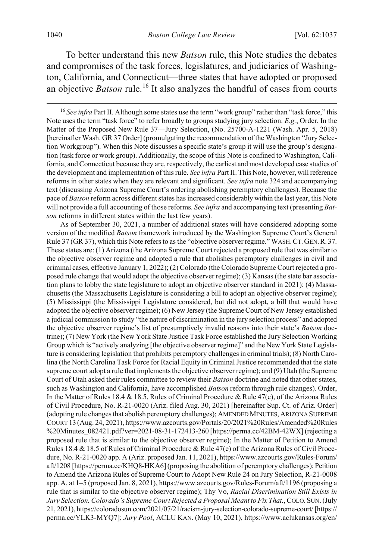To better understand this new *Batson* rule, this Note studies the debates and compromises of the task forces, legislatures, and judiciaries of Washington, California, and Connecticut—three states that have adopted or proposed an objective *Batson* rule.<sup>[16](#page-4-0)</sup> It also analyzes the handful of cases from courts

As of September 30, 2021, a number of additional states will have considered adopting some version of the modified *Batson* framework introduced by the Washington Supreme Court's General Rule 37 (GR 37), which this Note refers to as the "objective observer regime." WASH.CT.GEN.R. 37. These states are: (1) Arizona (the Arizona Supreme Court rejected a proposed rule that was similar to the objective observer regime and adopted a rule that abolishes peremptory challenges in civil and criminal cases, effective January 1, 2022); (2) Colorado (the Colorado Supreme Court rejected a proposed rule change that would adopt the objective observer regime); (3) Kansas (the state bar association plans to lobby the state legislature to adopt an objective observer standard in 2021); (4) Massachusetts (the Massachusetts Legislature is considering a bill to adopt an objective observer regime); (5) Mississippi (the Mississippi Legislature considered, but did not adopt, a bill that would have adopted the objective observer regime); (6) New Jersey (the Supreme Court of New Jersey established a judicial commission to study "the nature of discrimination in the jury selection process" and adopted the objective observer regime's list of presumptively invalid reasons into their state's *Batson* doctrine); (7) New York (the New York State Justice Task Force established the Jury Selection Working Group which is "actively analyzing [the objective observer regime]" and the New York State Legislature is considering legislation that prohibits peremptory challenges in criminal trials); (8) North Carolina (the North Carolina Task Force for Racial Equity in Criminal Justice recommended that the state supreme court adopt a rule that implements the objective observer regime); and (9) Utah (the Supreme Court of Utah asked their rules committee to review their *Batson* doctrine and noted that other states, such as Washington and California, have accomplished *Batson* reform through rule changes). Order, In the Matter of Rules 18.4 & 18.5, Rules of Criminal Procedure & Rule 47(e), of the Arizona Rules of Civil Procedure, No. R-21-0020 (Ariz. filed Aug. 30, 2021) [hereinafter Sup. Ct. of Ariz. Order] (adopting rule changes that abolish peremptory challenges); AMENDED MINUTES,ARIZONA SUPREME COURT 13 (Aug. 24, 2021), https://www.azcourts.gov/Portals/20/2021%20Rules/Amended%20Rules %20Minutes\_082421.pdf?ver=2021-08-31-172413-260 [https://perma.cc/42BM-42WX] (rejecting a proposed rule that is similar to the objective observer regime); In the Matter of Petition to Amend Rules 18.4 & 18.5 of Rules of Criminal Procedure & Rule 47(e) of the Arizona Rules of Civil Procedure, No. R-21-0020 app. A (Ariz. proposed Jan. 11, 2021), https://www.azcourts.gov/Rules-Forum/ aft/1208 [https://perma.cc/KHQ8-HKA6] (proposing the abolition of peremptory challenges); Petition to Amend the Arizona Rules of Supreme Court to Adopt New Rule 24 on Jury Selection, R-21-0008 app. A, at 1–5 (proposed Jan. 8, 2021), https://www.azcourts.gov/Rules-Forum/aft/1196 (proposing a rule that is similar to the objective observer regime); Thy Vo, *Racial Discrimination Still Exists in Jury Selection. Colorado's Supreme Court Rejected a Proposal Meant to Fix That.*, COLO. SUN. (July 21, 2021), https://coloradosun.com/2021/07/21/racism-jury-selection-colorado-supreme-court/[https:// perma.cc/YLK3-MYQ7]; *Jury Pool*, ACLU KAN. (May 10, 2021), https://www.aclukansas.org/en/

<span id="page-4-1"></span><span id="page-4-0"></span><sup>&</sup>lt;sup>16</sup> See infra Part II. Although some states use the term "work group" rather than "task force," this Note uses the term "task force" to refer broadly to groups studying jury selection. *E.g.*, Order, In the Matter of the Proposed New Rule 37—Jury Selection, (No. 25700-A-1221 (Wash. Apr. 5, 2018) [hereinafter Wash. GR 37 Order] (promulgating the recommendation of the Washington "Jury Selection Workgroup"). When this Note discusses a specific state's group it will use the group's designation (task force or work group). Additionally, the scope of this Note is confined to Washington, California, and Connecticut because they are, respectively, the earliest and most developed case studies of the development and implementation of this rule. *See infra* Part II. This Note, however, will reference reforms in other states when they are relevant and significant. *See infra* not[e 324](#page-54-0) and accompanying text (discussing Arizona Supreme Court's ordering abolishing peremptory challenges). Because the pace of *Batson* reform across different states has increased considerably within the last year, this Note will not provide a full accounting of those reforms. *See infra* and accompanying text (presenting *Batson* reforms in different states within the last few years).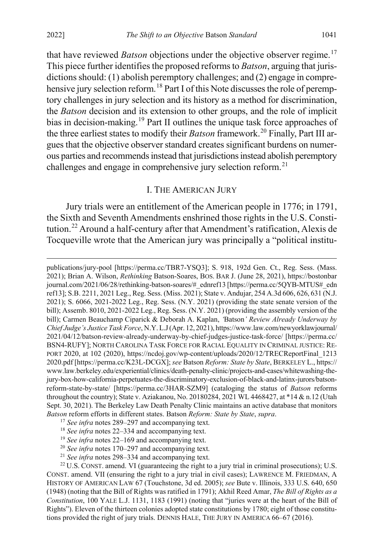$\overline{a}$ 

that have reviewed *Batson* objections under the objective observer regime.<sup>[17](#page-5-1)</sup> This piece further identifies the proposed reforms to *Batson*, arguing that jurisdictions should: (1) abolish peremptory challenges; and (2) engage in compre-hensive jury selection reform.<sup>[18](#page-5-2)</sup> Part I of this Note discusses the role of peremptory challenges in jury selection and its history as a method for discrimination, the *Batson* decision and its extension to other groups, and the role of implicit bias in decision-making.<sup>[19](#page-5-3)</sup> Part II outlines the unique task force approaches of the three earliest states to modify their *Batson* framework.<sup>[20](#page-5-4)</sup> Finally, Part III argues that the objective observer standard creates significant burdens on numerous parties and recommends instead that jurisdictions instead abolish peremptory challenges and engage in comprehensive jury selection reform.<sup>[21](#page-5-5)</sup>

## I. THE AMERICAN JURY

<span id="page-5-7"></span><span id="page-5-0"></span>Jury trials were an entitlement of the American people in 1776; in 1791, the Sixth and Seventh Amendments enshrined those rights in the U.S. Constitution.[22](#page-5-6) Around a half-century after that Amendment's ratification, Alexis de Tocqueville wrote that the American jury was principally a "political institu-

publications/jury-pool [https://perma.cc/TBR7-YSQ3]; S. 918, 192d Gen. Ct., Reg. Sess. (Mass. 2021); Brian A. Wilson, *Rethinking* Batson-Soares, BOS. BAR J. (June 28, 2021), https://bostonbar journal.com/2021/06/28/rethinking-batson-soares/#\_ednref13 [https://perma.cc/5QYB-MTUS#\_edn ref13]; S.B. 2211, 2021 Leg., Reg. Sess. (Miss. 2021); State v. Andujar, 254 A.3d 606, 626, 631 (N.J. 2021); S. 6066, 2021-2022 Leg., Reg. Sess. (N.Y. 2021) (providing the state senate version of the bill); Assemb. 8010, 2021-2022 Leg., Reg. Sess. (N.Y. 2021) (providing the assembly version of the bill); Carmen Beauchamp Ciparick & Deborah A. Kaplan, *'*Batson*' Review Already Underway by Chief Judge's Justice Task Force*, N.Y.L.J(Apr. 12, 2021), https://www.law.com/newyorklawjournal/ 2021/04/12/batson-review-already-underway-by-chief-judges-justice-task-force/ [https://perma.cc/ BSN4-RUFY]; NORTH CAROLINA TASK FORCE FOR RACIAL EQUALITY IN CRIMINAL JUSTICE: RE-PORT 2020, at 102 (2020), https://ncdoj.gov/wp-content/uploads/2020/12/TRECReportFinal\_1213 2020.pdf [https://perma.cc/K23L-DCGX]; *see* Batson *Reform: State by State*, BERKELEY L., https:// www.law.berkeley.edu/experiential/clinics/death-penalty-clinic/projects-and-cases/whitewashing-thejury-box-how-california-perpetuates-the-discriminatory-exclusion-of-black-and-latinx-jurors/batsonreform-state-by-state/ [https://perma.cc/3HAR-SZM9] (cataloging the status of *Batson* reforms throughout the country); State v. Aziakanou, No. 20180284, 2021 WL 4468427, at \*14 & n.12 (Utah Sept. 30, 2021). The Berkeley Law Death Penalty Clinic maintains an active database that monitors *Batson* reform efforts in different states. Batson *Reform: State by State*, *supra*. 17 *See infra* note[s 289](#page-48-0)[–297](#page-50-0) and accompanying text.

<span id="page-5-1"></span>

<sup>18</sup> *See infra* note[s 22–](#page-5-0)[334](#page-55-0) and accompanying text.

<sup>19</sup> *See infra* note[s 22–](#page-5-0)[169](#page-30-0) and accompanying text.

<sup>20</sup> *See infra* note[s 170](#page-30-1)[–297](#page-50-0) and accompanying text.

<sup>21</sup> *See infra* note[s 298](#page-50-1)[–334](#page-55-0) and accompanying text.

<span id="page-5-6"></span><span id="page-5-5"></span><span id="page-5-4"></span><span id="page-5-3"></span><span id="page-5-2"></span> $22$  U.S. CONST. amend. VI (guaranteeing the right to a jury trial in criminal prosecutions); U.S. CONST. amend. VII (ensuring the right to a jury trial in civil cases); LAWRENCE M. FRIEDMAN, A HISTORY OF AMERICAN LAW 67 (Touchstone, 3d ed. 2005); *see* Bute v. Illinois, 333 U.S. 640, 650 (1948) (noting that the Bill of Rights was ratified in 1791); Akhil Reed Amar, *The Bill of Rights as a Constitution*, 100 YALE L.J. 1131, 1183 (1991) (noting that "juries were at the heart of the Bill of Rights"). Eleven of the thirteen colonies adopted state constitutions by 1780; eight of those constitutions provided the right of jury trials. DENNIS HALE, THE JURY IN AMERICA 66–67 (2016).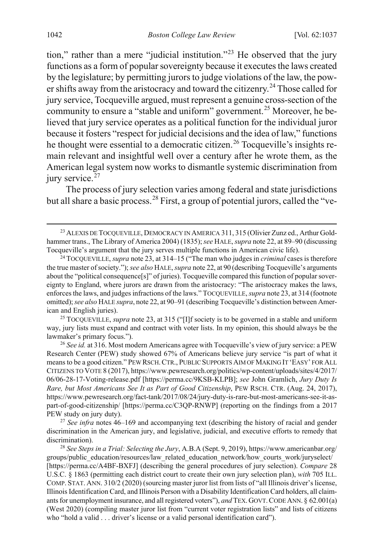<span id="page-6-0"></span>tion," rather than a mere "judicial institution."[23](#page-6-1) He observed that the jury functions as a form of popular sovereignty because it executes the laws created by the legislature; by permitting jurors to judge violations of the law, the power shifts away from the aristocracy and toward the citizenry.[24](#page-6-2) Those called for jury service, Tocqueville argued, must represent a genuine cross-section of the community to ensure a "stable and uniform" government.<sup>[25](#page-6-3)</sup> Moreover, he believed that jury service operates as a political function for the individual juror because it fosters "respect for judicial decisions and the idea of law," functions he thought were essential to a democratic citizen.<sup>[26](#page-6-4)</sup> Tocqueville's insights remain relevant and insightful well over a century after he wrote them, as the American legal system now works to dismantle systemic discrimination from jury service.<sup>[27](#page-6-5)</sup>

<span id="page-6-7"></span>The process of jury selection varies among federal and state jurisdictions but all share a basic process.<sup>[28](#page-6-6)</sup> First, a group of potential jurors, called the "ve-

<span id="page-6-3"></span><sup>25</sup> TOCQUEVILLE, *supra* not[e 23,](#page-6-0) at 315 ("[I]f society is to be governed in a stable and uniform way, jury lists must expand and contract with voter lists. In my opinion, this should always be the lawmaker's primary focus.").

<span id="page-6-4"></span><sup>26</sup> *See id.* at 316. Most modern Americans agree with Tocqueville's view of jury service: a PEW Research Center (PEW) study showed 67% of Americans believe jury service "is part of what it means to be a good citizen." PEW RSCH.CTR., PUBLIC SUPPORTS AIM OF MAKING IT 'EASY' FOR ALL CITIZENS TO VOTE 8 (2017), https://www.pewresearch.org/politics/wp-content/uploads/sites/4/2017/ 06/06-28-17-Voting-release.pdf [https://perma.cc/9KSB-KLPB]; *see* John Gramlich, *Jury Duty Is Rare, but Most Americans See It as Part of Good Citizenship*, PEW RSCH. CTR. (Aug. 24, 2017), https://www.pewresearch.org/fact-tank/2017/08/24/jury-duty-is-rare-but-most-americans-see-it-aspart-of-good-citizenship/ [https://perma.cc/C3QP-RNWP] (reporting on the findings from a 2017 PEW study on jury duty).

<span id="page-6-5"></span><sup>27</sup> *See infra* note[s 46](#page-8-0)[–169](#page-30-2) and accompanying text (describing the history of racial and gender discrimination in the American jury, and legislative, judicial, and executive efforts to remedy that discrimination). 28 *See Steps in a Trial: Selecting the Jury*, A.B.A (Sept. 9, 2019), https://www.americanbar.org/

<span id="page-6-6"></span>groups/public\_education/resources/law\_related\_education\_network/how\_courts\_work/juryselect/ [https://perma.cc/A4BF-BXFJ] (describing the general procedures of jury selection). *Compare* 28 U.S.C. § 1863 (permitting each district court to create their own jury selection plan), *with* 705 ILL. COMP. STAT. ANN. 310/2 (2020) (sourcing master juror list from lists of "all Illinois driver's license, Illinois Identification Card, and Illinois Person with a Disability Identification Card holders, all claimants for unemployment insurance, and all registered voters"), *and* TEX.GOVT.CODE ANN. § 62.001(a) (West 2020) (compiling master juror list from "current voter registration lists" and lists of citizens who "hold a valid . . . driver's license or a valid personal identification card").

<span id="page-6-1"></span><sup>&</sup>lt;sup>23</sup> ALEXIS DE TOCQUEVILLE, DEMOCRACY IN AMERICA 311, 315 (Olivier Zunz ed., Arthur Goldhammer trans., The Library of America 2004) (1835); *see* HALE, *supra* not[e 22,](#page-5-7) at 89–90 (discussing

<span id="page-6-2"></span>Tocqueville's argument that the jury serves multiple functions in American civic life). 24 TOCQUEVILLE, *supra* not[e 23,](#page-6-0) at 314–15 ("The man who judges in *criminal* cases is therefore the true master of society."); *see also* HALE, *supra* not[e 22,](#page-5-7) at 90 (describing Tocqueville's arguments about the "political consequence[s]" of juries). Tocqueville compared this function of popular sovereignty to England, where jurors are drawn from the aristocracy: "The aristocracy makes the laws, enforces the laws, and judges infractions of the laws." TOCQUEVILLE, *supra* not[e 23,](#page-6-0) at 314 (footnote omitted); *see also* HALE *supra*, not[e 22,](#page-5-7) at 90–91 (describing Tocqueville's distinction between American and English juries).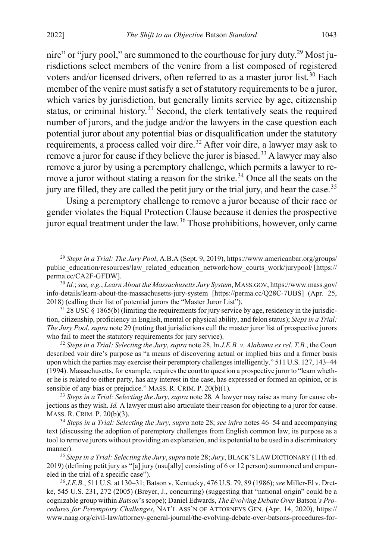<span id="page-7-10"></span><span id="page-7-0"></span>nire" or "jury pool," are summoned to the courthouse for jury duty.<sup>[29](#page-7-1)</sup> Most jurisdictions select members of the venire from a list composed of registered voters and/or licensed drivers, often referred to as a master juror list.<sup>[30](#page-7-2)</sup> Each member of the venire must satisfy a set of statutory requirements to be a juror, which varies by jurisdiction, but generally limits service by age, citizenship status, or criminal history.<sup>[31](#page-7-3)</sup> Second, the clerk tentatively seats the required number of jurors, and the judge and/or the lawyers in the case question each potential juror about any potential bias or disqualification under the statutory requirements, a process called voir dire.<sup>[32](#page-7-4)</sup> After voir dire, a lawyer may ask to remove a juror for cause if they believe the juror is biased.<sup>[33](#page-7-5)</sup> A lawyer may also remove a juror by using a peremptory challenge, which permits a lawyer to re-move a juror without stating a reason for the strike.<sup>[34](#page-7-6)</sup> Once all the seats on the jury are filled, they are called the petit jury or the trial jury, and hear the case.<sup>[35](#page-7-7)</sup>

<span id="page-7-11"></span><span id="page-7-9"></span>Using a peremptory challenge to remove a juror because of their race or gender violates the Equal Protection Clause because it denies the prospective juror equal treatment under the law.[36](#page-7-8) Those prohibitions, however, only came

<span id="page-7-4"></span><sup>32</sup> *Steps in a Trial: Selecting the Jury*, *supra* not[e 28.](#page-6-7) In *J.E.B. v. Alabama ex rel. T.B.*, the Court described voir dire's purpose as "a means of discovering actual or implied bias and a firmer basis upon which the parties may exercise their peremptory challenges intelligently." 511 U.S. 127, 143–44 (1994). Massachusetts, for example, requires the court to question a prospective juror to "learn whether he is related to either party, has any interest in the case, has expressed or formed an opinion, or is sensible of any bias or prejudice." MASS. R. CRIM. P. 20(b)(1)*.*

<span id="page-7-5"></span><sup>33</sup> *Steps in a Trial: Selecting the Jury*, *supra* not[e 28](#page-6-7)*.* A lawyer may raise as many for cause objections as they wish. *Id.* A lawyer must also articulate their reason for objecting to a juror for cause. MASS. R. CRIM. P. 20(b)(3).

<span id="page-7-6"></span><sup>34</sup> *Steps in a Trial: Selecting the Jury, supra* not[e 28;](#page-6-7) *see infra* notes [46](#page-8-0)[–54](#page-10-1) and accompanying text (discussing the adoption of peremptory challenges from English common law, its purpose as a tool to remove jurors without providing an explanation, and its potential to be used in a discriminatory manner). 35 *Steps in a Trial: Selecting the Jury*, *supra* not[e 28;](#page-6-7) *Jury*, BLACK'S LAW DICTIONARY (11th ed.

<span id="page-7-7"></span>2019) (defining petit jury as "[a] jury (usu[ally] consisting of 6 or 12 person) summoned and empaneled in the trial of a specific case").

<span id="page-7-8"></span><sup>36</sup> *J.E.B.*, 511 U.S. at 130–31; Batson v. Kentucky, 476 U.S. 79, 89 (1986); *see* Miller-El v. Dretke, 545 U.S. 231, 272 (2005) (Breyer, J., concurring) (suggesting that "national origin" could be a cognizable group within *Batson*'s scope); Daniel Edwards, *The Evolving Debate Over* Batson*'s Procedures for Peremptory Challenges*, NAT'L ASS'N OF ATTORNEYS GEN. (Apr. 14, 2020), https:// www.naag.org/civil-law/attorney-general-journal/the-evolving-debate-over-batsons-procedures-for-

<span id="page-7-1"></span> <sup>29</sup> *Steps in a Trial: The Jury Pool*, A.B.A (Sept. 9, 2019), https://www.americanbar.org/groups/ public\_education/resources/law\_related\_education\_network/how\_courts\_work/jurypool/ [https:// perma.cc/CA2F-GFDW].

<span id="page-7-2"></span><sup>30</sup> *Id.*; *see, e.g.*, *Learn About the Massachusetts Jury System*, MASS.GOV, https://www.mass.gov/ info-details/learn-about-the-massachusetts-jury-system [https://perma.cc/Q28C-7UBS] (Apr. 25, 2018) (calling their list of potential jurors the "Master Juror List").

<span id="page-7-3"></span> $31\,28\,USC\,$ § 1865(b) (limiting the requirements for jury service by age, residency in the jurisdiction, citizenship, proficiency in English, mental or physical ability, and felon status); *Steps in a Trial: The Jury Pool*, *supra* not[e 29](#page-7-0) (noting that jurisdictions cull the master juror list of prospective jurors who fail to meet the statutory requirements for jury service).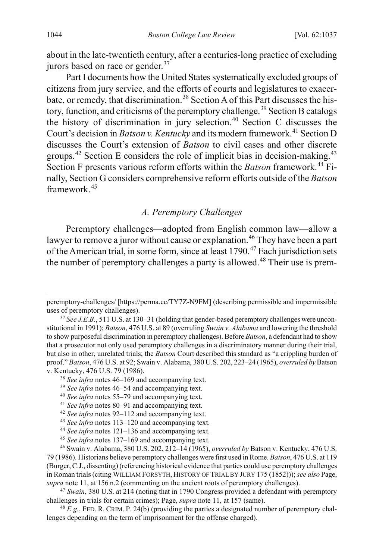about in the late-twentieth century, after a centuries-long practice of excluding jurors based on race or gender.<sup>[37](#page-8-1)</sup>

Part I documents how the United States systematically excluded groups of citizens from jury service, and the efforts of courts and legislatures to exacer-bate, or remedy, that discrimination.<sup>[38](#page-8-2)</sup> Section A of this Part discusses the his-tory, function, and criticisms of the peremptory challenge.<sup>[39](#page-8-3)</sup> Section B catalogs the history of discrimination in jury selection.<sup>[40](#page-8-4)</sup> Section C discusses the Court's decision in *Batson v. Kentucky* and its modern framework.<sup>[41](#page-8-5)</sup> Section D discusses the Court's extension of *Batson* to civil cases and other discrete groups.<sup>[42](#page-8-6)</sup> Section E considers the role of implicit bias in decision-making.<sup>[43](#page-8-7)</sup> Section F presents various reform efforts within the *Batson* framework.<sup>[44](#page-8-8)</sup> Finally, Section G considers comprehensive reform efforts outside of the *Batson* framework.[45](#page-8-9)

## <span id="page-8-0"></span>*A. Peremptory Challenges*

Peremptory challenges—adopted from English common law—allow a lawyer to remove a juror without cause or explanation.<sup>[46](#page-8-10)</sup> They have been a part of the American trial, in some form, since at least 1790.[47](#page-8-11) Each jurisdiction sets the number of peremptory challenges a party is allowed.<sup>[48](#page-8-12)</sup> Their use is prem-

- <sup>44</sup> *See infra* note[s 121](#page-22-1)[–136](#page-25-0) and accompanying text.
- <sup>45</sup> *See infra* note[s 137](#page-25-1)[–169](#page-30-0) and accompanying text.

<span id="page-8-10"></span><span id="page-8-9"></span><span id="page-8-8"></span><span id="page-8-7"></span><span id="page-8-6"></span><sup>46</sup> Swain v. Alabama, 380 U.S. 202, 212–14 (1965), *overruled by* Batson v. Kentucky, 476 U.S. 79 (1986). Historians believe peremptory challenges were first used in Rome. *Batson*, 476 U.S. at 119 (Burger, C.J., dissenting) (referencing historical evidence that parties could use peremptory challenges in Roman trials (citing WILLIAM FORSYTH, HISTORY OF TRIAL BY JURY 175 (1852))); *see also* Page, *supra* not[e 11,](#page-3-6) at 156 n.2 (commenting on the ancient roots of peremptory challenges).

<span id="page-8-11"></span><sup>47</sup> *Swain*, 380 U.S. at 214 (noting that in 1790 Congress provided a defendant with peremptory challenges in trials for certain crimes); Page, *supra* note [11,](#page-3-6) at 157 (same).

<span id="page-8-12"></span><sup>48</sup> *E.g.*, FED. R. CRIM. P. 24(b) (providing the parties a designated number of peremptory challenges depending on the term of imprisonment for the offense charged).

peremptory-challenges/ [https://perma.cc/TY7Z-N9FM] (describing permissible and impermissible uses of peremptory challenges).

<span id="page-8-1"></span><sup>37</sup> *See J.E.B.*, 511 U.S. at 130–31 (holding that gender-based peremptory challenges were unconstitutional in 1991); *Batson*, 476 U.S. at 89 (overruling *Swain v. Alabama* and lowering the threshold to show purposeful discrimination in peremptory challenges). Before *Batson*, a defendant had to show that a prosecutor not only used peremptory challenges in a discriminatory manner during their trial, but also in other, unrelated trials; the *Batson* Court described this standard as "a crippling burden of proof." *Batson*, 476 U.S. at 92; Swain v. Alabama, 380 U.S. 202, 223–24 (1965), *overruled by* Batson v. Kentucky, 476 U.S. 79 (1986).

<span id="page-8-2"></span><sup>38</sup> *See infra* note[s 46–](#page-8-0)[169](#page-30-0) and accompanying text.

<span id="page-8-3"></span><sup>39</sup> *See infra* note[s 46–](#page-8-0)[54](#page-10-1) and accompanying text.

<span id="page-8-4"></span><sup>40</sup> *See infra* note[s 55–](#page-10-0)[79](#page-13-0) and accompanying text.

<span id="page-8-5"></span><sup>41</sup> *See infra* note[s 80–](#page-14-0)[91](#page-15-0) and accompanying text.

<sup>42</sup> *See infra* note[s 92–](#page-15-1)[112](#page-20-0) and accompanying text.

<sup>43</sup> *See infra* note[s 113](#page-20-1)[–120](#page-22-0) and accompanying text.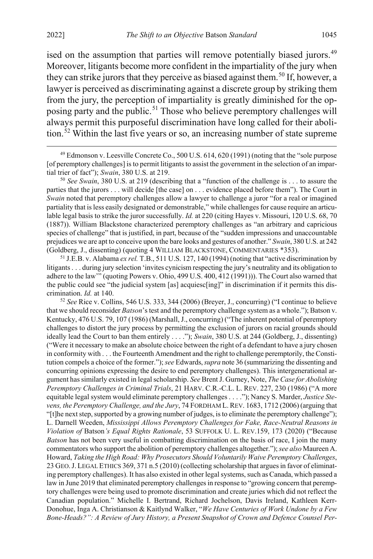ised on the assumption that parties will remove potentially biased jurors.<sup>[49](#page-9-0)</sup> Moreover, litigants become more confident in the impartiality of the jury when they can strike jurors that they perceive as biased against them.<sup>[50](#page-9-1)</sup> If, however, a lawyer is perceived as discriminating against a discrete group by striking them from the jury, the perception of impartiality is greatly diminished for the op-posing party and the public.<sup>[51](#page-9-2)</sup> Those who believe peremptory challenges will always permit this purposeful discrimination have long called for their aboli-tion.<sup>[52](#page-9-3)</sup> Within the last five years or so, an increasing number of state supreme

<span id="page-9-4"></span><span id="page-9-0"></span><sup>49</sup> Edmonson v. Leesville Concrete Co., 500 U.S. 614, 620 (1991) (noting that the "sole purpose" [of peremptory challenges] is to permit litigants to assist the government in the selection of an impartial trier of fact"); *Swain*, 380 U.S. at 219.

<span id="page-9-1"></span><sup>50</sup> *See Swain*, 380 U.S. at 219 (describing that a "function of the challenge is . . . to assure the parties that the jurors . . . will decide [the case] on . . . evidence placed before them"). The Court in *Swain* noted that peremptory challenges allow a lawyer to challenge a juror "for a real or imagined partiality that is less easily designated or demonstrable," while challenges for cause require an articulable legal basis to strike the juror successfully. *Id.* at 220 (citing Hayes v. Missouri, 120 U.S. 68, 70 (1887)). William Blackstone characterized peremptory challenges as "an arbitrary and capricious species of challenge" that is justified, in part, because of the "sudden impressions and unaccountable prejudices we are apt to conceive upon the bare looks and gestures of another." *Swain*, 380 U.S. at 242 (Goldberg, J., dissenting) (quoting 4 WILLIAM BLACKSTONE, COMMENTARIES \*353). 51 J.E.B. v. Alabama *ex rel.* T.B., 511 U.S. 127, 140 (1994) (noting that "active discrimination by

<span id="page-9-2"></span>litigants . . . during jury selection 'invites cynicism respecting the jury's neutrality and its obligation to adhere to the law'" (quoting Powers v. Ohio, 499 U.S. 400, 412 (1991))). The Court also warned that the public could see "the judicial system [as] acquiesc[ing]" in discrimination if it permits this discrimination. *Id.* at 140. 52 *See* Rice v. Collins, 546 U.S. 333, 344 (2006) (Breyer, J., concurring) ("I continue to believe

<span id="page-9-3"></span>that we should reconsider *Batson*'s test and the peremptory challenge system as a whole."); Batson v. Kentucky, 476 U.S. 79, 107 (1986) (Marshall, J., concurring) ("The inherent potential of peremptory challenges to distort the jury process by permitting the exclusion of jurors on racial grounds should ideally lead the Court to ban them entirely . . . ."); *Swain*, 380 U.S. at 244 (Goldberg, J., dissenting) ("Were it necessary to make an absolute choice between the right of a defendant to have a jury chosen in conformity with . . . the Fourteenth Amendment and the right to challenge peremptorily, the Constitution compels a choice of the former."); *see* Edwards, *supra* not[e 36](#page-7-9) (summarizing the dissenting and concurring opinions expressing the desire to end peremptory challenges). This intergenerational argument has similarly existed in legal scholarship. *See* Brent J. Gurney, Note, *The Case for Abolishing Peremptory Challenges in Criminal Trials*, 21 HARV. C.R.-C.L. L. REV. 227, 230 (1986) ("A more equitable legal system would eliminate peremptory challenges . . . ."); Nancy S. Marder, *Justice Stevens, the Peremptory Challenge, and the Jury*, 74 FORDHAM L.REV. 1683, 1712 (2006) (arguing that "[t]he next step, supported by a growing number of judges, is to eliminate the peremptory challenge"); L. Darnell Weeden, *Mississippi Allows Peremptory Challenges for Fake, Race-Neutral Reasons in Violation of* Batson*'s Equal Rights Rationale*, 53 SUFFOLK U. L. REV.159, 173 (2020) ("Because *Batson* has not been very useful in combatting discrimination on the basis of race, I join the many commentators who support the abolition of peremptory challenges altogether."); *see also* Maureen A. Howard, *Taking the High Road: Why Prosecutors Should Voluntarily Waive Peremptory Challenges*, 23 GEO.J.LEGAL ETHICS 369, 371 n.5 (2010) (collecting scholarship that argues in favor of eliminating peremptory challenges). It has also existed in other legal systems, such as Canada, which passed a law in June 2019 that eliminated peremptory challenges in response to "growing concern that peremptory challenges were being used to promote discrimination and create juries which did not reflect the Canadian population." Michelle I. Bertrand, Richard Jochelson, Davis Ireland, Kathleen Kerr-Donohue, Inga A. Christianson & Kaitlynd Walker, "*We Have Centuries of Work Undone by a Few Bone-Heads?": A Review of Jury History, a Present Snapshot of Crown and Defence Counsel Per-*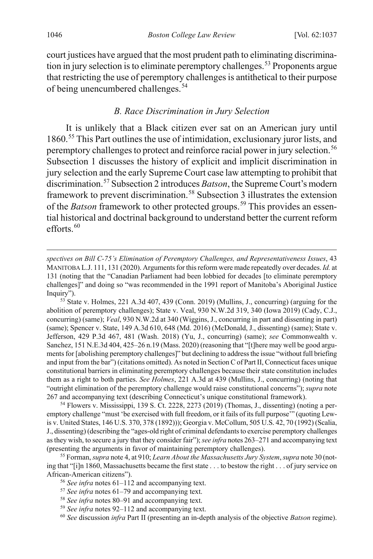court justices have argued that the most prudent path to eliminating discrimina-tion in jury selection is to eliminate peremptory challenges.<sup>[53](#page-10-2)</sup> Proponents argue that restricting the use of peremptory challenges is antithetical to their purpose of being unencumbered challenges.<sup>[54](#page-10-3)</sup>

## <span id="page-10-1"></span>*B. Race Discrimination in Jury Selection*

<span id="page-10-0"></span>It is unlikely that a Black citizen ever sat on an American jury until 1860.[55](#page-10-4) This Part outlines the use of intimidation, exclusionary juror lists, and peremptory challenges to protect and reinforce racial power in jury selection.<sup>[56](#page-10-5)</sup> Subsection 1 discusses the history of explicit and implicit discrimination in jury selection and the early Supreme Court case law attempting to prohibit that discrimination.[57](#page-10-6) Subsection 2 introduces *Batson*, the Supreme Court's modern framework to prevent discrimination.[58](#page-10-7) Subsection 3 illustrates the extension of the *Batson* framework to other protected groups.<sup>[59](#page-10-8)</sup> This provides an essential historical and doctrinal background to understand better the current reform efforts. $60$ 

<span id="page-10-2"></span>abolition of peremptory challenges); State v. Veal, 930 N.W.2d 319, 340 (Iowa 2019) (Cady, C.J., concurring) (same); *Veal*, 930 N.W.2d at 340 (Wiggins, J., concurring in part and dissenting in part) (same); Spencer v. State, 149 A.3d 610, 648 (Md. 2016) (McDonald, J., dissenting) (same); State v. Jefferson, 429 P.3d 467, 481 (Wash. 2018) (Yu, J., concurring) (same); *see* Commonwealth v. Sanchez, 151 N.E.3d 404, 425–26 n.19 (Mass. 2020) (reasoning that "[t]here may well be good arguments for [abolishing peremptory challenges]" but declining to address the issue "without full briefing and input from the bar") (citations omitted). As noted in Section C of Part II, Connecticut faces unique constitutional barriers in eliminating peremptory challenges because their state constitution includes them as a right to both parties. *See Holmes*, 221 A.3d at 439 (Mullins, J., concurring) (noting that "outright elimination of the peremptory challenge would raise constitutional concerns"); *supra* note [267](#page-45-0) and accompanying text (describing Connecticut's unique constitutional framework).

<span id="page-10-3"></span><sup>54</sup> Flowers v. Mississippi, 139 S. Ct. 2228, 2273 (2019) (Thomas, J., dissenting) (noting a peremptory challenge "must 'be exercised with full freedom, or it fails of its full purpose'" (quoting Lewis v. United States, 146 U.S. 370, 378 (1892))); Georgia v. McCollum, 505 U.S. 42, 70 (1992) (Scalia, J., dissenting) (describing the "ages-old right of criminal defendants to exercise peremptory challenges as they wish, to secure a jury that they consider fair"); *see infra* note[s 263](#page-44-0)[–271](#page-46-0) and accompanying text (presenting the arguments in favor of maintaining peremptory challenges).

<span id="page-10-6"></span><span id="page-10-5"></span><span id="page-10-4"></span>55 Forman, *supra* not[e 4,](#page-2-9) at 910; *Learn About the Massachusetts Jury System*, *supra* not[e 30](#page-7-10) (noting that "[i]n 1860, Massachusetts became the first state . . . to bestow the right . . . of jury service on African-American citizens").

<span id="page-10-7"></span><sup>58</sup> *See infra* note[s 80–](#page-14-0)[91](#page-15-0) and accompanying text.

*spectives on Bill C-75's Elimination of Peremptory Challenges, and Representativeness Issues*, 43 MANITOBA L.J. 111, 131 (2020). Arguments for this reform were made repeatedly over decades. *Id.* at 131 (noting that the "Canadian Parliament had been lobbied for decades [to eliminate peremptory challenges]" and doing so "was recommended in the 1991 report of Manitoba's Aboriginal Justice Inquiry"). 53 State v. Holmes, 221 A.3d 407, 439 (Conn. 2019) (Mullins, J., concurring) (arguing for the

<sup>56</sup> *See infra* note[s 61–](#page-11-0)[112](#page-20-0) and accompanying text.

<sup>57</sup> *See infra* note[s 61–](#page-11-0)[79](#page-13-0) and accompanying text.

<span id="page-10-8"></span><sup>59</sup> *See infra* note[s 92–](#page-15-1)[112](#page-20-0) and accompanying text.

<span id="page-10-9"></span><sup>60</sup> *See* discussion *infra* Part II (presenting an in-depth analysis of the objective *Batson* regime).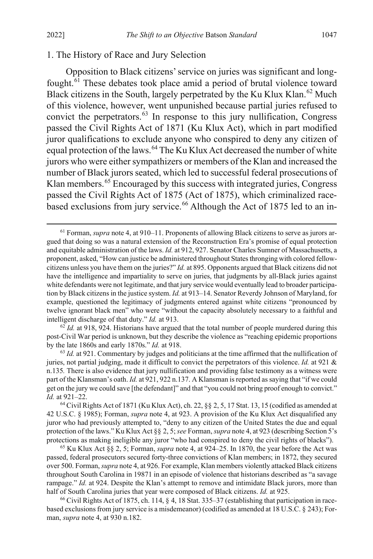## 1. The History of Race and Jury Selection

<span id="page-11-0"></span>Opposition to Black citizens' service on juries was significant and longfought. $61$  These debates took place amid a period of brutal violence toward Black citizens in the South, largely perpetrated by the Ku Klux Klan.<sup>[62](#page-11-2)</sup> Much of this violence, however, went unpunished because partial juries refused to convict the perpetrators. $63$  In response to this jury nullification, Congress passed the Civil Rights Act of 1871 (Ku Klux Act), which in part modified juror qualifications to exclude anyone who conspired to deny any citizen of equal protection of the laws.<sup>[64](#page-11-4)</sup> The Ku Klux Act decreased the number of white jurors who were either sympathizers or members of the Klan and increased the number of Black jurors seated, which led to successful federal prosecutions of Klan members.<sup>[65](#page-11-5)</sup> Encouraged by this success with integrated juries, Congress passed the Civil Rights Act of 1875 (Act of 1875), which criminalized race-based exclusions from jury service.<sup>[66](#page-11-6)</sup> Although the Act of 1875 led to an in-

<span id="page-11-2"></span> $62$  *Id.* at 918, 924. Historians have argued that the total number of people murdered during this post-Civil War period is unknown, but they describe the violence as "reaching epidemic proportions by the late 1860s and early 1870s." *Id.* at 918.

<span id="page-11-3"></span><sup>63</sup> *Id.* at 921. Commentary by judges and politicians at the time affirmed that the nullification of juries, not partial judging, made it difficult to convict the perpetrators of this violence. *Id.* at 921 & n.135*.* There is also evidence that jury nullification and providing false testimony as a witness were part of the Klansman's oath. *Id.* at 921, 922 n.137. A Klansman is reported as saying that "if we could get on the jury we could save [the defendant]" and that "you could not bring proof enough to convict." *Id.* at 921–22.

<span id="page-11-4"></span> $^{64}$  Civil Rights Act of 1871 (Ku Klux Act), ch. 22,  $\S$  $\S$  2, 5, 17 Stat. 13, 15 (codified as amended at 42 U.S.C. § 1985); Forman, *supra* note [4,](#page-2-9) at 923. A provision of the Ku Klux Act disqualified any juror who had previously attempted to, "deny to any citizen of the United States the due and equal protection of the laws." Ku Klux Act §§ 2, 5; *see* Forman, *supra* not[e 4,](#page-2-9) at 923 (describing Section 5's protections as making ineligible any juror "who had conspired to deny the civil rights of blacks").

<span id="page-11-5"></span><sup>65</sup> Ku Klux Act §§ 2, 5; Forman, *supra* not[e 4,](#page-2-9) at 924–25. In 1870, the year before the Act was passed, federal prosecutors secured forty-three convictions of Klan members; in 1872, they secured over 500. Forman, *supra* not[e 4,](#page-2-9) at 926. For example, Klan members violently attacked Black citizens throughout South Carolina in 19871 in an episode of violence that historians described as "a savage rampage." *Id.* at 924. Despite the Klan's attempt to remove and intimidate Black jurors, more than half of South Carolina juries that year were composed of Black citizens. *Id.* at 925.

<span id="page-11-6"></span><sup>66</sup> Civil Rights Act of 1875, ch. 114, § 4, 18 Stat. 335–37 (establishing that participation in racebased exclusions from jury service is a misdemeanor) (codified as amended at 18 U.S.C. § 243); Forman, *supra* not[e 4,](#page-2-9) at 930 n.182.

<span id="page-11-1"></span> <sup>61</sup> Forman, *supra* not[e 4,](#page-2-9) at 910–11. Proponents of allowing Black citizens to serve as jurors argued that doing so was a natural extension of the Reconstruction Era's promise of equal protection and equitable administration of the laws. *Id.* at 912, 927. Senator Charles Sumner of Massachusetts, a proponent, asked, "How can justice be administered throughout States thronging with colored fellowcitizens unless you have them on the juries?" *Id.* at 895. Opponents argued that Black citizens did not have the intelligence and impartiality to serve on juries, that judgments by all-Black juries against white defendants were not legitimate, and that jury service would eventually lead to broader participation by Black citizens in the justice system. *Id.* at 913–14. Senator Reverdy Johnson of Maryland, for example, questioned the legitimacy of judgments entered against white citizens "pronounced by twelve ignorant black men" who were "without the capacity absolutely necessary to a faithful and intelligent discharge of that duty." *Id.* at 913.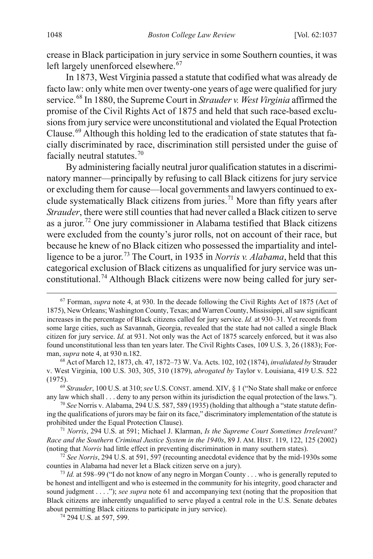crease in Black participation in jury service in some Southern counties, it was left largely unenforced elsewhere.<sup>[67](#page-12-0)</sup>

In 1873, West Virginia passed a statute that codified what was already de facto law: only white men over twenty-one years of age were qualified for jury service.[68](#page-12-1) In 1880, the Supreme Court in *Strauder v. West Virginia* affirmed the promise of the Civil Rights Act of 1875 and held that such race-based exclusions from jury service were unconstitutional and violated the Equal Protection Clause.<sup>[69](#page-12-2)</sup> Although this holding led to the eradication of state statutes that facially discriminated by race, discrimination still persisted under the guise of facially neutral statutes.[70](#page-12-3)

By administering facially neutral juror qualification statutes in a discriminatory manner—principally by refusing to call Black citizens for jury service or excluding them for cause—local governments and lawyers continued to ex-clude systematically Black citizens from juries.<sup>[71](#page-12-4)</sup> More than fifty years after *Strauder*, there were still counties that had never called a Black citizen to serve as a juror.<sup>[72](#page-12-5)</sup> One jury commissioner in Alabama testified that Black citizens were excluded from the county's juror rolls, not on account of their race, but because he knew of no Black citizen who possessed the impartiality and intelligence to be a juror.[73](#page-12-6) The Court, in 1935 in *Norris v. Alabama*, held that this categorical exclusion of Black citizens as unqualified for jury service was unconstitutional.[74](#page-12-7) Although Black citizens were now being called for jury ser-

<span id="page-12-0"></span> <sup>67</sup> Forman, *supra* not[e 4,](#page-2-9) at 930. In the decade following the Civil Rights Act of 1875 (Act of 1875), New Orleans; Washington County, Texas; and Warren County, Mississippi, all saw significant increases in the percentage of Black citizens called for jury service. *Id.* at 930–31. Yet records from some large cities, such as Savannah, Georgia, revealed that the state had not called a single Black citizen for jury service. *Id.* at 931. Not only was the Act of 1875 scarcely enforced, but it was also found unconstitutional less than ten years later. The Civil Rights Cases, 109 U.S. 3, 26 (1883); Forman, *supra* not[e 4,](#page-2-9) at 930 n.182.

<span id="page-12-1"></span><sup>68</sup> Act of March 12, 1873, ch. 47, 1872–73 W. Va. Acts. 102, 102 (1874), *invalidated by* Strauder v. West Virginia, 100 U.S. 303, 305, 310 (1879), *abrogated by* Taylor v. Louisiana, 419 U.S. 522 (1975). 69 *Strauder*, 100 U.S. at 310; *see* U.S.CONST. amend. XIV, § 1 ("No State shall make or enforce

<span id="page-12-2"></span>any law which shall . . . deny to any person within its jurisdiction the equal protection of the laws.").

<span id="page-12-3"></span><sup>70</sup> *See* Norris v. Alabama, 294 U.S. 587, 589 (1935) (holding that although a "state statute defining the qualifications of jurors may be fair on its face," discriminatory implementation of the statute is prohibited under the Equal Protection Clause).

<span id="page-12-4"></span><sup>71</sup> *Norris*, 294 U.S. at 591; Michael J. Klarman, *Is the Supreme Court Sometimes Irrelevant? Race and the Southern Criminal Justice System in the 1940s*, 89 J. AM. HIST. 119, 122, 125 (2002) (noting that *Norris* had little effect in preventing discrimination in many southern states).

<span id="page-12-5"></span><sup>72</sup> *See Norris*, 294 U.S. at 591, 597 (recounting anecdotal evidence that by the mid-1930s some counties in Alabama had never let a Black citizen serve on a jury).

<span id="page-12-6"></span><sup>73</sup> *Id.* at 598–99 ("I do not know of any negro in Morgan County . . . who is generally reputed to be honest and intelligent and who is esteemed in the community for his integrity, good character and sound judgment . . . ."); *see supra* note [61](#page-11-0) and accompanying text (noting that the proposition that Black citizens are inherently unqualified to serve played a central role in the U.S. Senate debates about permitting Black citizens to participate in jury service).

<span id="page-12-7"></span><sup>74</sup> 294 U.S. at 597, 599.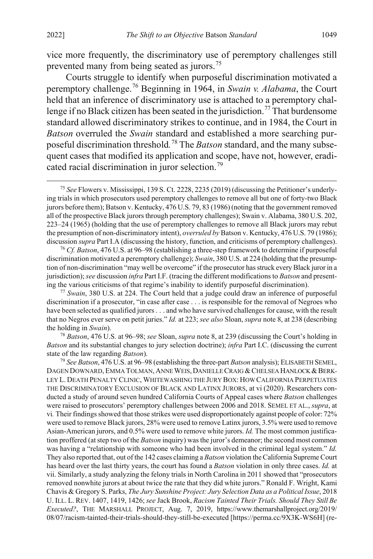vice more frequently, the discriminatory use of peremptory challenges still prevented many from being seated as jurors.<sup>[75](#page-13-1)</sup>

Courts struggle to identify when purposeful discrimination motivated a peremptory challenge.[76](#page-13-2) Beginning in 1964, in *Swain v. Alabama*, the Court held that an inference of discriminatory use is attached to a peremptory chal-lenge if no Black citizen has been seated in the jurisdiction.<sup>[77](#page-13-3)</sup> That burdensome standard allowed discriminatory strikes to continue, and in 1984, the Court in *Batson* overruled the *Swain* standard and established a more searching purposeful discrimination threshold*.* [78](#page-13-4) The *Batson* standard, and the many subsequent cases that modified its application and scope, have not, however, eradi-cated racial discrimination in juror selection.<sup>[79](#page-13-5)</sup>

<span id="page-13-2"></span><sup>76</sup> *Cf. Batson*, 476 U.S. at 96–98 (establishing a three-step framework to determine if purposeful discrimination motivated a peremptory challenge); *Swain*, 380 U.S. at 224 (holding that the presumption of non-discrimination "may well be overcome" if the prosecutor has struck every Black juror in a jurisdiction);*see* discussion *infra* Part I.F. (tracing the different modifications to *Batson* and presenting the various criticisms of that regime's inability to identify purposeful discrimination).

<span id="page-13-3"></span><sup>77</sup> *Swain*, 380 U.S. at 224. The Court held that a judge could draw an inference of purposeful discrimination if a prosecutor, "in case after case . . . is responsible for the removal of Negroes who have been selected as qualified jurors . . . and who have survived challenges for cause, with the result that no Negros ever serve on petit juries." *Id.* at 223; *see also* Sloan, *supra* not[e 8,](#page-2-0) at 238 (describing the holding in *Swain*).

<span id="page-13-4"></span><sup>78</sup> *Batson*, 476 U.S. at 96–98; *see* Sloan, *supra* not[e 8,](#page-2-0) at 239 (discussing the Court's holding in *Batson* and its substantial changes to jury selection doctrine); *infra* Part I.C. (discussing the current state of the law regarding *Batson*). 79 *See Batson*, 476 U.S. at 96–98 (establishing the three-part *Batson* analysis); ELISABETH SEMEL,

<span id="page-13-5"></span>DAGEN DOWNARD, EMMA TOLMAN, ANNE WEIS, DANIELLE CRAIG & CHELSEA HANLOCK & BERK-LEY L. DEATH PENALTY CLINIC, WHITEWASHING THE JURY BOX: HOW CALIFORNIA PERPETUATES THE DISCRIMINATORY EXCLUSION OF BLACK AND LATINX JURORS, at vi (2020). Researchers conducted a study of around seven hundred California Courts of Appeal cases where *Batson* challenges were raised to prosecutors' peremptory challenges between 2006 and 2018. SEMEL ET AL., *supra*, at vi*.* Their findings showed that those strikes were used disproportionately against people of color: 72% were used to remove Black jurors, 28% were used to remove Latinx jurors, 3.5% were used to remove Asian-American jurors, and 0.5% were used to remove white jurors. *Id.* The most common justification proffered (at step two of the *Batson* inquiry) was the juror's demeanor; the second most common was having a "relationship with someone who had been involved in the criminal legal system." *Id.*  They also reported that, out of the 142 cases claiming a *Batson* violation the California Supreme Court has heard over the last thirty years, the court has found a *Batson* violation in only three cases. *Id.* at vii. Similarly, a study analyzing the felony trials in North Carolina in 2011 showed that "prosecutors removed nonwhite jurors at about twice the rate that they did white jurors." Ronald F. Wright, Kami Chavis & Gregory S. Parks, *The Jury Sunshine Project: Jury Selection Data as a Political Issue*, 2018 U. ILL. L. REV. 1407, 1419, 1426; *see* Jack Brook, *Racism Tainted Their Trials. Should They Still Be Executed?*, THE MARSHALL PROJECT, Aug. 7, 2019, https://www.themarshallproject.org/2019/ 08/07/racism-tainted-their-trials-should-they-still-be-executed [https://perma.cc/9X3K-WS6H] (re-

<span id="page-13-1"></span><span id="page-13-0"></span> <sup>75</sup> *See* Flowers v. Mississippi, 139 S. Ct. 2228, 2235 (2019) (discussing the Petitioner's underlying trials in which prosecutors used peremptory challenges to remove all but one of forty-two Black jurors before them); Batson v. Kentucky, 476 U.S. 79, 83 (1986) (noting that the government removed all of the prospective Black jurors through peremptory challenges); Swain v. Alabama, 380 U.S. 202, 223–24 (1965) (holding that the use of peremptory challenges to remove all Black jurors may rebut the presumption of non-discriminatory intent), *overruled by* Batson v. Kentucky, 476 U.S. 79 (1986); discussion *supra* Part I.A (discussing the history, function, and criticisms of peremptory challenges).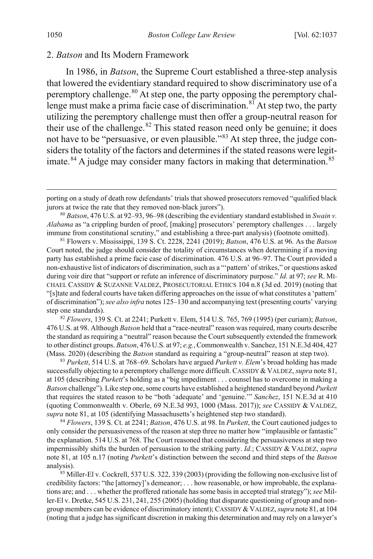## 2. *Batson* and Its Modern Framework

<span id="page-14-1"></span><span id="page-14-0"></span>In 1986, in *Batson*, the Supreme Court established a three-step analysis that lowered the evidentiary standard required to show discriminatory use of a peremptory challenge. $80$  At step one, the party opposing the peremptory chal-lenge must make a prima facie case of discrimination.<sup>[81](#page-14-3)</sup> At step two, the party utilizing the peremptory challenge must then offer a group-neutral reason for their use of the challenge. $82$  This stated reason need only be genuine; it does not have to be "persuasive, or even plausible."<sup>[83](#page-14-5)</sup> At step three, the judge considers the totality of the factors and determines if the stated reasons were legit-imate.<sup>[84](#page-14-6)</sup> A judge may consider many factors in making that determination.<sup>[85](#page-14-7)</sup>

<span id="page-14-4"></span><sup>82</sup> *Flowers*, 139 S. Ct. at 2241; Purkett v. Elem, 514 U.S. 765, 769 (1995) (per curiam); *Batson*, 476 U.S. at 98. Although *Batson* held that a "race-neutral" reason was required, many courts describe the standard as requiring a "neutral" reason because the Court subsequently extended the framework to other distinct groups. *Batson*, 476 U.S. at 97; *e.g.*, Commonwealth v. Sanchez, 151 N.E.3d 404, 427 (Mass. 2020) (describing the *Batson* standard as requiring a "group-neutral" reason at step two).

<span id="page-14-5"></span><sup>83</sup> *Purkett*, 514 U.S. at 768–69. Scholars have argued *Purkett v. Elem*'s broad holding has made successfully objecting to a peremptory challenge more difficult. CASSIDY & VALDEZ, *supra* not[e 81,](#page-14-1) at 105 (describing *Purkett*'s holding as a "big impediment . . . counsel has to overcome in making a *Batson* challenge"). Like step one, some courts have established a heightened standard beyond *Purkett* that requires the stated reason to be "both 'adequate' and 'genuine.'" *Sanchez*, 151 N.E.3d at 410 (quoting Commonwealth v. Oberle, 69 N.E.3d 993, 1000 (Mass. 2017)); *see* CASSIDY & VALDEZ, *supra* not[e 81,](#page-14-1) at 105 (identifying Massachusetts's heightened step two standard). 84 *Flowers*, 139 S. Ct. at 2241; *Batson*, 476 U.S. at 98. In *Purkett*, the Court cautioned judges to

<span id="page-14-6"></span>only consider the persuasiveness of the reason at step three no matter how "implausible or fantastic" the explanation. 514 U.S. at 768. The Court reasoned that considering the persuasiveness at step two impermissibly shifts the burden of persuasion to the striking party. *Id.*; CASSIDY & VALDEZ, *supra*  note [81,](#page-14-1) at 105 n.17 (noting *Purkett*'s distinction between the second and third steps of the *Batson*  analysis).<br><sup>85</sup> Miller-El v. Cockrell, 537 U.S. 322, 339 (2003) (providing the following non-exclusive list of

<span id="page-14-7"></span>credibility factors: "the [attorney]'s demeanor; . . . how reasonable, or how improbable, the explanations are; and . . . whether the proffered rationale has some basis in accepted trial strategy"); *see* Miller-El v. Dretke, 545 U.S. 231, 241, 255 (2005) (holding that disparate questioning of group and nongroup members can be evidence of discriminatory intent); CASSIDY &VALDEZ, *supra* not[e 81,](#page-14-1) at 104 (noting that a judge has significant discretion in making this determination and may rely on a lawyer's

porting on a study of death row defendants' trials that showed prosecutors removed "qualified black jurors at twice the rate that they removed non-black jurors").

<span id="page-14-2"></span><sup>80</sup> *Batson*, 476 U.S. at 92–93, 96–98 (describing the evidentiary standard established in *Swain v. Alabama* as "a crippling burden of proof, [making] prosecutors' peremptory challenges . . . largely immune from constitutional scrutiny," and establishing a three-part analysis) (footnote omitted).

<span id="page-14-3"></span><sup>81</sup> Flowers v. Mississippi, 139 S. Ct. 2228, 2241 (2019); *Batson*, 476 U.S. at 96. As the *Batson* Court noted, the judge should consider the totality of circumstances when determining if a moving party has established a prime facie case of discrimination. 476 U.S. at 96–97. The Court provided a non-exhaustive list of indicators of discrimination, such as a "'pattern' of strikes," or questions asked during voir dire that "support or refute an inference of discriminatory purpose." *Id.* at 97; *see* R. MI-CHAEL CASSIDY & SUZANNE VALDEZ, PROSECUTORIAL ETHICS 104 n.8 (3d ed. 2019) (noting that "[s]tate and federal courts have taken differing approaches on the issue of what constitutes a 'pattern' of discrimination"); *see also infra* note[s 125](#page-23-0)[–130](#page-24-0) and accompanying text (presenting courts' varying step one standards).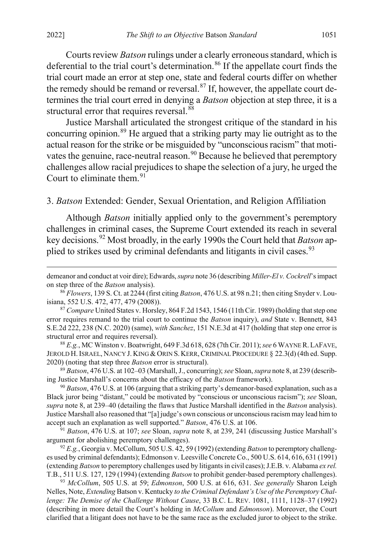<span id="page-15-10"></span>Courts review *Batson* rulings under a clearly erroneous standard, which is deferential to the trial court's determination.<sup>[86](#page-15-2)</sup> If the appellate court finds the trial court made an error at step one, state and federal courts differ on whether the remedy should be remand or reversal.<sup>[87](#page-15-3)</sup> If, however, the appellate court determines the trial court erred in denying a *Batson* objection at step three, it is a structural error that requires reversal.<sup>[88](#page-15-4)</sup>

Justice Marshall articulated the strongest critique of the standard in his concurring opinion.<sup>[89](#page-15-5)</sup> He argued that a striking party may lie outright as to the actual reason for the strike or be misguided by "unconscious racism" that moti-vates the genuine, race-neutral reason.<sup>[90](#page-15-6)</sup> Because he believed that peremptory challenges allow racial prejudices to shape the selection of a jury, he urged the Court to eliminate them. $91$ 

<span id="page-15-0"></span>3. *Batson* Extended: Gender, Sexual Orientation, and Religion Affiliation

<span id="page-15-1"></span>Although *Batson* initially applied only to the government's peremptory challenges in criminal cases, the Supreme Court extended its reach in several key decisions.[92](#page-15-8) Most broadly, in the early 1990s the Court held that *Batson* ap-plied to strikes used by criminal defendants and litigants in civil cases.<sup>[93](#page-15-9)</sup>

<span id="page-15-4"></span><sup>88</sup> *E.g.*, MC Winston v. Boatwright, 649 F.3d 618, 628 (7th Cir. 2011); *see* 6 WAYNE R.LAFAVE, JEROLD H. ISRAEL, NANCY J. KING & ORIN S. KERR, CRIMINAL PROCEDURE § 22.3(d) (4th ed. Supp. 2020) (noting that step three *Batson* error is structural).

<span id="page-15-5"></span><sup>89</sup> *Batson*, 476 U.S. at 102–03 (Marshall, J., concurring); *see* Sloan, *supra* not[e 8,](#page-2-0) at 239 (describing Justice Marshall's concerns about the efficacy of the *Batson* framework).

<span id="page-15-6"></span><sup>90</sup> *Batson*, 476 U.S. at 106 (arguing that a striking party's demeanor-based explanation, such as a Black juror being "distant," could be motivated by "conscious or unconscious racism"); *see* Sloan, *supra* not[e 8,](#page-2-0) at 239–40 (detailing the flaws that Justice Marshall identified in the *Batson* analysis). Justice Marshall also reasoned that "[a] judge's own conscious or unconscious racism may lead him to accept such an explanation as well supported." *Batson*, 476 U.S. at 106.

<span id="page-15-7"></span><sup>91</sup> *Batson*, 476 U.S. at 107; *see* Sloan, *supra* note [8,](#page-2-0) at 239, 241 (discussing Justice Marshall's argument for abolishing peremptory challenges).

<span id="page-15-8"></span><sup>92</sup> *E.g.*, Georgia v. McCollum, 505 U.S. 42, 59 (1992) (extending *Batson* to peremptory challenges used by criminal defendants); Edmonson v. Leesville Concrete Co., 500 U.S. 614, 616, 631 (1991) (extending *Batson* to peremptory challenges used by litigants in civil cases); J.E.B. v. Alabama *ex rel.* T.B., 511 U.S. 127, 129 (1994) (extending *Batson* to prohibit gender-based peremptory challenges).

<span id="page-15-9"></span><sup>93</sup> *McCollum*, 505 U.S. at 59; *Edmonson*, 500 U.S. at 616, 631. *See generally* Sharon Leigh Nelles, Note, *Extending* Batson v. Kentucky *to the Criminal Defendant's Use of the Peremptory Challenge: The Demise of the Challenge Without Cause*, 33 B.C. L. REV. 1081, 1111, 1128–37 (1992) (describing in more detail the Court's holding in *McCollum* and *Edmonson*). Moreover, the Court clarified that a litigant does not have to be the same race as the excluded juror to object to the strike.

demeanor and conduct at voir dire); Edwards, *supra* not[e 36](#page-7-9) (describing *Miller-El v. Cockrell*'s impact on step three of the *Batson* analysis). 86 *Flowers*, 139 S. Ct. at 2244 (first citing *Batson*, 476 U.S. at 98 n.21; then citing Snyder v. Lou-

<span id="page-15-2"></span>isiana, 552 U.S. 472, 477, 479 (2008)).

<span id="page-15-3"></span><sup>87</sup> *Compare* United States v. Horsley, 864 F.2d 1543, 1546 (11th Cir. 1989) (holding that step one error requires remand to the trial court to continue the *Batson* inquiry), *and* State v. Bennett, 843 S.E.2d 222, 238 (N.C. 2020) (same), *with Sanchez*, 151 N.E.3d at 417 (holding that step one error is structural error and requires reversal).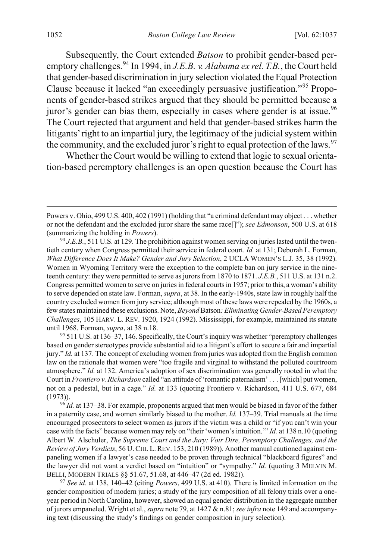Subsequently, the Court extended *Batson* to prohibit gender-based per-emptory challenges.<sup>[94](#page-16-0)</sup> In 1994, in *J.E.B. v. Alabama ex rel. T.B.*, the Court held that gender-based discrimination in jury selection violated the Equal Protection Clause because it lacked "an exceedingly persuasive justification."[95](#page-16-1) Proponents of gender-based strikes argued that they should be permitted because a juror's gender can bias them, especially in cases where gender is at issue.<sup>[96](#page-16-2)</sup> The Court rejected that argument and held that gender-based strikes harm the litigants' right to an impartial jury, the legitimacy of the judicial system within the community, and the excluded juror's right to equal protection of the laws.<sup>[97](#page-16-3)</sup>

Whether the Court would be willing to extend that logic to sexual orientation-based peremptory challenges is an open question because the Court has

<span id="page-16-1"></span><sup>95</sup> 511 U.S. at 136–37, 146. Specifically, the Court's inquiry was whether "peremptory challenges based on gender stereotypes provide substantial aid to a litigant's effort to secure a fair and impartial jury." *Id.* at 137. The concept of excluding women from juries was adopted from the English common law on the rationale that women were "too fragile and virginal to withstand the polluted courtroom atmosphere." *Id.* at 132. America's adoption of sex discrimination was generally rooted in what the Court in *Frontiero v. Richardson* called "an attitude of 'romantic paternalism' . . . [which] put women, not on a pedestal, but in a cage." *Id.* at 133 (quoting Frontiero v. Richardson, 411 U.S. 677, 684 (1973)). 96 *Id.* at 137–38. For example, proponents argued that men would be biased in favor of the father

<span id="page-16-2"></span>in a paternity case, and women similarly biased to the mother. *Id.* 137–39. Trial manuals at the time encouraged prosecutors to select women as jurors if the victim was a child or "if you can't win your case with the facts" because women may rely on "their 'women's intuition.'" *Id.* at 138 n.10 (quoting Albert W. Alschuler, *The Supreme Court and the Jury: Voir Dire, Peremptory Challenges, and the Review of Jury Verdicts*, 56 U.CHI.L.REV. 153, 210 (1989)). Another manual cautioned against empaneling women if a lawyer's case needed to be proven through technical "blackboard figures" and the lawyer did not want a verdict based on "intuition" or "sympathy." *Id.* (quoting 3 MELVIN M. BELLI, MODERN TRIALS §§ 51.67, 51.68, at 446–47 (2d ed. 1982)). 97 *See id.* at 138, 140–42 (citing *Powers*, 499 U.S. at 410). There is limited information on the

<span id="page-16-3"></span>gender composition of modern juries; a study of the jury composition of all felony trials over a oneyear period in North Carolina, however, showed an equal gender distribution in the aggregate number of jurors empaneled. Wright et al., *supra* not[e 79,](#page-13-0) at 1427 & n.81; *see infra* not[e 149](#page-26-0) and accompanying text (discussing the study's findings on gender composition in jury selection).

Powers v. Ohio, 499 U.S. 400, 402 (1991) (holding that "a criminal defendant may object . . . whether or not the defendant and the excluded juror share the same race[]"); *see Edmonson*, 500 U.S. at 618 (summarizing the holding in *Powers*).

<span id="page-16-0"></span><sup>94</sup> *J.E.B.*, 511 U.S. at 129. The prohibition against women serving on juries lasted until the twentieth century when Congress permitted their service in federal court. *Id.* at 131; Deborah L. Forman, *What Difference Does It Make? Gender and Jury Selection*, 2 UCLA WOMEN'S L.J. 35, 38 (1992). Women in Wyoming Territory were the exception to the complete ban on jury service in the nineteenth century: they were permitted to serve as jurors from 1870 to 1871. *J.E.B.*, 511 U.S. at 131 n.2. Congress permitted women to serve on juries in federal courts in 1957; prior to this, a woman's ability to serve depended on state law. Forman, *supra*, at 38. In the early-1940s, state law in roughly half the country excluded women from jury service; although most of these laws were repealed by the 1960s, a few states maintained these exclusions. Note, *Beyond* Batson*: Eliminating Gender-Based Peremptory Challenges*, 105 HARV. L. REV. 1920, 1924 (1992). Mississippi, for example, maintained its statute until 1968. Forman, *supra*, at 38 n.18.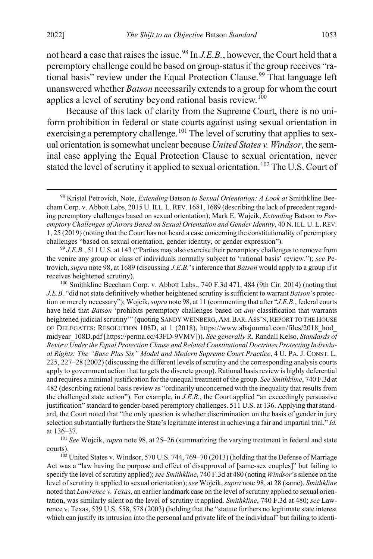<span id="page-17-0"></span>not heard a case that raises the issue.<sup>[98](#page-17-1)</sup> In *J.E.B.*, however, the Court held that a peremptory challenge could be based on group-status if the group receives "ra-tional basis" review under the Equal Protection Clause.<sup>[99](#page-17-2)</sup> That language left unanswered whether *Batson* necessarily extends to a group for whom the court applies a level of scrutiny beyond rational basis review.<sup>[100](#page-17-3)</sup>

<span id="page-17-6"></span>Because of this lack of clarity from the Supreme Court, there is no uniform prohibition in federal or state courts against using sexual orientation in exercising a peremptory challenge.<sup>[101](#page-17-4)</sup> The level of scrutiny that applies to sexual orientation is somewhat unclear because *United States v. Windsor*, the seminal case applying the Equal Protection Clause to sexual orientation, never stated the level of scrutiny it applied to sexual orientation.<sup>[102](#page-17-5)</sup> The U.S. Court of

<span id="page-17-3"></span>*J.E.B.* "did not state definitively whether heightened scrutiny is sufficient to warrant *Batson*'s protection or merely necessary"); Wojcik, *supra* not[e 98,](#page-17-0) at 11 (commenting that after "*J.E.B.*, federal courts have held that *Batson* 'prohibits peremptory challenges based on *any* classification that warrants heightened judicial scrutiny"" (quoting SANDY WEINBERG, AM. BAR. ASS'N, REPORT TO THE HOUSE OF DELEGATES: RESOLUTION 108D, at 1 (2018), https://www.abajournal.com/files/2018\_hod\_ midyear\_108D.pdf [https://perma.cc/43FD-9VMV])). *See generally* R. Randall Kelso, *Standards of Review Under the Equal Protection Clause and Related Constitutional Doctrines Protecting Individual Rights: The "Base Plus Six" Model and Modern Supreme Court Practice*, 4 U. PA. J. CONST. L. 225, 227–28 (2002) (discussing the different levels of scrutiny and the corresponding analysis courts apply to government action that targets the discrete group). Rational basis review is highly deferential and requires a minimal justification for the unequal treatment of the group. *See Smithkline*, 740 F.3d at 482 (describing rational basis review as "ordinarily unconcerned with the inequality that results from the challenged state action"). For example, in *J.E.B.*, the Court applied "an exceedingly persuasive justification" standard to gender-based peremptory challenges. 511 U.S. at 136. Applying that standard, the Court noted that "the only question is whether discrimination on the basis of gender in jury selection substantially furthers the State's legitimate interest in achieving a fair and impartial trial." *Id.* at 136–37.

<span id="page-17-4"></span><sup>101</sup> *See* Wojcik, *supra* not[e 98,](#page-17-0) at 25–26 (summarizing the varying treatment in federal and state courts).

<span id="page-17-5"></span><sup>102</sup> United States v. Windsor, 570 U.S. 744, 769–70 (2013) (holding that the Defense of Marriage Act was a "law having the purpose and effect of disapproval of [same-sex couples]" but failing to specify the level of scrutiny applied); *see Smithkline*, 740 F.3d at 480 (noting *Windsor*'ssilence on the level of scrutiny it applied to sexual orientation); *see* Wojcik, *supra* not[e 98,](#page-17-0) at 28 (same). *Smithkline* noted that *Lawrence v. Texas*, an earlier landmark case on the level of scrutiny applied to sexual orientation, was similarly silent on the level of scrutiny it applied. *Smithkline*, 740 F.3d at 480; *see* Lawrence v. Texas, 539 U.S. 558, 578 (2003) (holding that the "statute furthers no legitimate state interest which can justify its intrusion into the personal and private life of the individual" but failing to identi-

<span id="page-17-1"></span> <sup>98</sup> Kristal Petrovich, Note, *Extending* Batson *to Sexual Orientation: A Look at* Smithkline Beecham Corp. v. Abbott Labs, 2015 U.ILL. L.REV. 1681, 1689 (describing the lack of precedent regarding peremptory challenges based on sexual orientation); Mark E. Wojcik, *Extending* Batson *to Peremptory Challenges of Jurors Based on Sexual Orientation and Gender Identity*, 40 N.ILL.U.L.REV. 1, 25 (2019) (noting that the Court has not heard a case concerning the constitutionality of peremptory challenges "based on sexual orientation, gender identity, or gender expression").

<span id="page-17-2"></span><sup>99</sup> *J.E.B.*, 511 U.S. at 143 ("Parties may also exercise their peremptory challenges to remove from the venire any group or class of individuals normally subject to 'rational basis' review."); *see* Petrovich, *supra* not[e 98,](#page-17-0) at 1689 (discussing *J.E.B.*'s inference that *Batson* would apply to a group if it receives heightened scrutiny).<br><sup>100</sup> Smithkline Beecham Corp. v. Abbott Labs., 740 F.3d 471, 484 (9th Cir. 2014) (noting that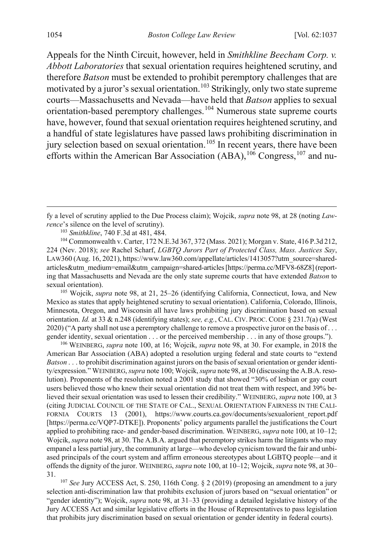Appeals for the Ninth Circuit, however, held in *Smithkline Beecham Corp. v. Abbott Laboratories* that sexual orientation requires heightened scrutiny, and therefore *Batson* must be extended to prohibit peremptory challenges that are motivated by a juror's sexual orientation.<sup>[103](#page-18-0)</sup> Strikingly, only two state supreme courts—Massachusetts and Nevada—have held that *Batson* applies to sexual orientation-based peremptory challenges.[104](#page-18-1) Numerous state supreme courts have, however, found that sexual orientation requires heightened scrutiny, and a handful of state legislatures have passed laws prohibiting discrimination in jury selection based on sexual orientation.<sup>[105](#page-18-2)</sup> In recent years, there have been efforts within the American Bar Association  $(ABA)$ ,  $^{106}$  $^{106}$  $^{106}$  Congress,  $^{107}$  $^{107}$  $^{107}$  and nu-

<span id="page-18-2"></span>105 Wojcik, *supra* note [98,](#page-17-0) at 21, 25–26 (identifying California, Connecticut, Iowa, and New Mexico as states that apply heightened scrutiny to sexual orientation). California, Colorado, Illinois, Minnesota, Oregon, and Wisconsin all have laws prohibiting jury discrimination based on sexual orientation. *Id.* at 33 & n.248 (identifying states); *see, e.g.*, CAL. CIV. PROC. CODE § 231.7(a) (West 2020) ("A party shall not use a peremptory challenge to remove a prospective juror on the basis of . . . gender identity, sexual orientation . . . or the perceived membership . . . in any of those groups.").

<span id="page-18-3"></span><sup>106</sup> WEINBERG, *supra* note [100,](#page-17-6) at 16; Wojcik, *supra* note [98,](#page-17-0) at 30. For example, in 2018 the American Bar Association (ABA) adopted a resolution urging federal and state courts to "extend *Batson* . . . to prohibit discrimination against jurors on the basis of sexual orientation or gender identity/expression." WEINBERG, *supra* not[e 100;](#page-17-6) Wojcik, *supra* not[e 98,](#page-17-0) at 30 (discussing the A.B.A. resolution). Proponents of the resolution noted a 2001 study that showed "30% of lesbian or gay court users believed those who knew their sexual orientation did not treat them with respect, and 39% believed their sexual orientation was used to lessen their credibility." WEINBERG, *supra* not[e 100,](#page-17-6) at 3 (citing JUDICIAL COUNCIL OF THE STATE OF CAL., SEXUAL ORIENTATION FAIRNESS IN THE CALI-FORNIA COURTS 13 (2001), https://www.courts.ca.gov/documents/sexualorient\_report.pdf [https://perma.cc/VQP7-DTKE]). Proponents' policy arguments parallel the justifications the Court applied to prohibiting race- and gender-based discrimination. WEINBERG, *supra* not[e 100,](#page-17-6) at 10–12; Wojcik, *supra* not[e 98,](#page-17-0) at 30. The A.B.A. argued that peremptory strikes harm the litigants who may empanel a less partial jury, the community at large—who develop cynicism toward the fair and unbiased principals of the court system and affirm erroneous stereotypes about LGBTQ people—and it offends the dignity of the juror. WEINBERG, *supra* not[e 100,](#page-17-6) at 10–12; Wojcik, *supra* not[e 98,](#page-17-0) at 30–

<span id="page-18-4"></span>31. 107 *See* Jury ACCESS Act, S. 250, 116th Cong. § 2 (2019) (proposing an amendment to a jury selection anti-discrimination law that prohibits exclusion of jurors based on "sexual orientation" or "gender identity"); Wojcik, *supra* not[e 98,](#page-17-0) at 31–33 (providing a detailed legislative history of the Jury ACCESS Act and similar legislative efforts in the House of Representatives to pass legislation that prohibits jury discrimination based on sexual orientation or gender identity in federal courts).

fy a level of scrutiny applied to the Due Process claim); Wojcik, *supra* not[e 98,](#page-17-0) at 28 (noting *Lawrence*'s silence on the level of scrutiny).

<sup>103</sup> *Smithkline*, 740 F.3d at 481, 484.

<span id="page-18-1"></span><span id="page-18-0"></span><sup>104</sup> Commonwealth v. Carter, 172 N.E.3d 367, 372 (Mass. 2021); Morgan v. State, 416 P.3d 212, 224 (Nev. 2018); *see* Rachel Scharf, *LGBTQ Jurors Part of Protected Class, Mass. Justices Say*, LAW360 (Aug. 16, 2021), https://www.law360.com/appellate/articles/1413057?utm\_source=sharedarticles&utm\_medium=email&utm\_campaign=shared-articles [https://perma.cc/MFV8-68Z8] (reporting that Massachusetts and Nevada are the only state supreme courts that have extended *Batson* to sexual orientation).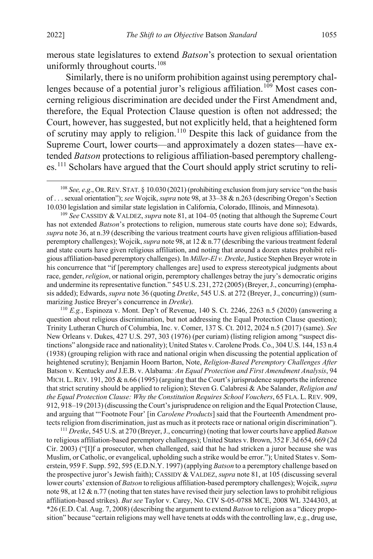merous state legislatures to extend *Batson*'s protection to sexual orientation uniformly throughout courts. $108$ 

<span id="page-19-4"></span>Similarly, there is no uniform prohibition against using peremptory chal-lenges because of a potential juror's religious affiliation.<sup>[109](#page-19-1)</sup> Most cases concerning religious discrimination are decided under the First Amendment and, therefore, the Equal Protection Clause question is often not addressed; the Court, however, has suggested, but not explicitly held, that a heightened form of scrutiny may apply to religion.<sup>[110](#page-19-2)</sup> Despite this lack of guidance from the Supreme Court, lower courts—and approximately a dozen states—have extended *Batson* protections to religious affiliation-based peremptory challeng-es.<sup>[111](#page-19-3)</sup> Scholars have argued that the Court should apply strict scrutiny to reli-

<span id="page-19-1"></span><sup>109</sup> *See* CASSIDY & VALDEZ, *supra* not[e 81,](#page-14-1) at 104–05 (noting that although the Supreme Court has not extended *Batson*'s protections to religion, numerous state courts have done so); Edwards, *supra* not[e 36,](#page-7-9) at n.39 (describing the various treatment courts have given religious affiliation-based peremptory challenges); Wojcik, *supra* not[e 98,](#page-17-0) at 12 & n.77 (describing the various treatment federal and state courts have given religious affiliation, and noting that around a dozen states prohibit religious affiliation-based peremptory challenges). In *Miller-El v. Dretke*, Justice Stephen Breyer wrote in his concurrence that "if [peremptory challenges are] used to express stereotypical judgments about race, gender, *religion*, or national origin, peremptory challenges betray the jury's democratic origins and undermine its representative function." 545 U.S. 231, 272 (2005) (Breyer, J., concurring) (emphasis added); Edwards, *supra* not[e 36 \(](#page-7-9)quoting *Dretke*, 545 U.S. at 272 (Breyer, J., concurring)) (summarizing Justice Breyer's concurrence in *Dretke*).

<span id="page-19-2"></span><sup>110</sup> *E.g.*, Espinoza v. Mont. Dep't of Revenue, 140 S. Ct. 2246, 2263 n.5 (2020) (answering a question about religious discrimination, but not addressing the Equal Protection Clause question); Trinity Lutheran Church of Columbia, Inc. v. Comer, 137 S. Ct. 2012, 2024 n.5 (2017) (same). *See* New Orleans v. Dukes, 427 U.S. 297, 303 (1976) (per curiam) (listing religion among "suspect distinctions" alongside race and nationality); United States v. Carolene Prods. Co., 304 U.S. 144, 153 n.4 (1938) (grouping religion with race and national origin when discussing the potential application of heightened scrutiny); Benjamin Hoorn Barton, Note, *Religion-Based Peremptory Challenges After*  Batson v. Kentucky *and* J.E.B. v. Alabama*: An Equal Protection and First Amendment Analysis*, 94 MICH. L. REV. 191, 205 & n.66 (1995) (arguing that the Court's jurisprudence supports the inference that strict scrutiny should be applied to religion); Steven G. Calabresi & Abe Salander, *Religion and the Equal Protection Clause: Why the Constitution Requires School Vouchers*, 65 FLA. L. REV. 909, 912, 918–19 (2013) (discussing the Court's jurisprudence on religion and the Equal Protection Clause, and arguing that "'Footnote Four' [in *Carolene Products*] said that the Fourteenth Amendment protects religion from discrimination, just as much as it protects race or national origin discrimination").

<span id="page-19-3"></span><sup>111</sup> *Dretke*, 545 U.S. at 270 (Breyer, J., concurring) (noting that lower courts have applied *Batson* to religious affiliation-based peremptory challenges); United States v. Brown, 352 F.3d 654, 669 (2d Cir. 2003) ("[I]f a prosecutor, when challenged, said that he had stricken a juror because she was Muslim, or Catholic, or evangelical, upholding such a strike would be error."); United States v. Somerstein, 959 F. Supp. 592, 595 (E.D.N.Y. 1997) (applying *Batson* to a peremptory challenge based on the prospective juror's Jewish faith); CASSIDY & VALDEZ, *supra* not[e 81,](#page-14-1) at 105 (discussing several lower courts' extension of *Batson* to religious affiliation-based peremptory challenges); Wojcik, *supra*  not[e 98,](#page-17-0) at 12 & n.77 (noting that ten states have revised their jury selection laws to prohibit religious affiliation-based strikes). *But see* Taylor v. Carey, No. CIV S-05-0788 MCE, 2008 WL 3244303, at \*26 (E.D. Cal. Aug. 7, 2008) (describing the argument to extend *Batson* to religion as a "dicey proposition" because "certain religions may well have tenets at odds with the controlling law, e.g., drug use,

<span id="page-19-0"></span><sup>&</sup>lt;sup>108</sup> See, e.g., OR. REV. STAT. § 10.030 (2021) (prohibiting exclusion from jury service "on the basis of . . . sexual orientation"); *see* Wojcik, *supra* not[e 98,](#page-17-0) at 33–38 & n.263 (describing Oregon's Section 10.030 legislation and similar state legislation in California, Colorado, Illinois, and Minnesota).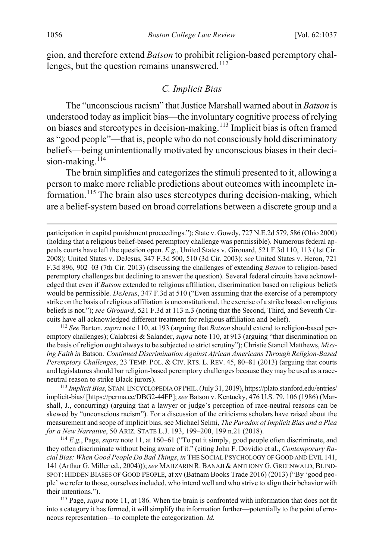gion, and therefore extend *Batson* to prohibit religion-based peremptory challenges, but the question remains unanswered. $112$ 

## <span id="page-20-1"></span><span id="page-20-0"></span>*C. Implicit Bias*

The "unconscious racism" that Justice Marshall warned about in *Batson* is understood today as implicit bias—the involuntary cognitive process of relying on biases and stereotypes in decision-making.[113](#page-20-3) Implicit bias is often framed as "good people"—that is, people who do not consciously hold discriminatory beliefs—being unintentionally motivated by unconscious biases in their deci-sion-making.<sup>[114](#page-20-4)</sup>

The brain simplifies and categorizes the stimuli presented to it, allowing a person to make more reliable predictions about outcomes with incomplete information.[115](#page-20-5) The brain also uses stereotypes during decision-making, which are a belief-system based on broad correlations between a discrete group and a

<span id="page-20-2"></span><sup>112</sup> *See* Barton, *supra* not[e 110,](#page-19-4) at 193 (arguing that *Batson* should extend to religion-based peremptory challenges); Calabresi & Salander, *supra* note [110,](#page-19-4) at 913 (arguing "that discrimination on the basis of religion ought always to be subjected to strict scrutiny"); Christie Stancil Matthews, *Missing Faith in* Batson*: Continued Discrimination Against African Americans Through Religion-Based Peremptory Challenges*, 23 TEMP. POL. & CIV. RTS. L. REV. 45, 80–81 (2013) (arguing that courts and legislatures should bar religion-based peremptory challenges because they may be used as a raceneutral reason to strike Black jurors).

<span id="page-20-3"></span><sup>113</sup> *Implicit Bias*, STAN.ENCYCLOPEDIA OF PHIL.(July 31, 2019), https://plato.stanford.edu/entries/ implicit-bias/ [https://perma.cc/DBG2-44FP]; *see* Batson v. Kentucky, 476 U.S. 79, 106 (1986) (Marshall, J., concurring) (arguing that a lawyer or judge's perception of race-neutral reasons can be skewed by "unconscious racism"). For a discussion of the criticisms scholars have raised about the measurement and scope of implicit bias, see Michael Selmi, *The Paradox of Implicit Bias and a Plea for a New Narrative*, 50 ARIZ. STATE L.J. 193, 199–200, 199 n.21 (2018).

<span id="page-20-4"></span><sup>114</sup> *E.g.*, Page, *supra* not[e 11,](#page-3-6) at 160–61 ("To put it simply, good people often discriminate, and they often discriminate without being aware of it." (citing John F. Dovidio et al., *Contemporary Racial Bias: When Good People Do Bad Things*, *in* THE SOCIAL PSYCHOLOGY OF GOOD AND EVIL 141, 141 (Arthur G. Miller ed., 2004))); *see* MAHZARIN R.BANAJI & ANTHONY G. GREENWALD, BLIND-SPOT: HIDDEN BIASES OF GOOD PEOPLE, at xv (Batnam Books Trade 2016) (2013) ("By 'good people' we refer to those, ourselves included, who intend well and who strive to align their behavior with their intentions.").

<span id="page-20-5"></span>115 Page, *supra* not[e 11,](#page-3-6) at 186. When the brain is confronted with information that does not fit into a category it has formed, it will simplify the information further—potentially to the point of erroneous representation—to complete the categorization. *Id.*

participation in capital punishment proceedings."); State v. Gowdy, 727 N.E.2d 579, 586 (Ohio 2000) (holding that a religious belief-based peremptory challenge was permissible). Numerous federal appeals courts have left the question open. *E.g.*, United States v. Girouard, 521 F.3d 110, 113 (1st Cir. 2008); United States v. DeJesus, 347 F.3d 500, 510 (3d Cir. 2003); *see* United States v. Heron, 721 F.3d 896, 902–03 (7th Cir. 2013) (discussing the challenges of extending *Batson* to religion-based peremptory challenges but declining to answer the question). Several federal circuits have acknowledged that even if *Batson* extended to religious affiliation, discrimination based on religious beliefs would be permissible. *DeJesus*, 347 F.3d at 510 ("Even assuming that the exercise of a peremptory strike on the basis of religious affiliation is unconstitutional, the exercise of a strike based on religious beliefs is not."); *see Girouard*, 521 F.3d at 113 n.3 (noting that the Second, Third, and Seventh Circuits have all acknowledged different treatment for religious affiliation and belief).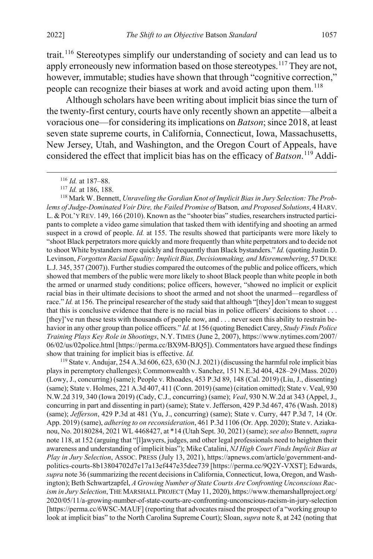trait.<sup>[116](#page-21-2)</sup> Stereotypes simplify our understanding of society and can lead us to apply erroneously new information based on those stereotypes.<sup>[117](#page-21-3)</sup> They are not, however, immutable; studies have shown that through "cognitive correction," people can recognize their biases at work and avoid acting upon them.<sup>[118](#page-21-4)</sup>

<span id="page-21-1"></span>Although scholars have been writing about implicit bias since the turn of the twenty-first century, courts have only recently shown an appetite—albeit a voracious one—for considering its implications on *Batson*; since 2018, at least seven state supreme courts, in California, Connecticut, Iowa, Massachusetts, New Jersey, Utah, and Washington, and the Oregon Court of Appeals, have considered the effect that implicit bias has on the efficacy of *Batson*. [119](#page-21-5) Addi-

<span id="page-21-4"></span><span id="page-21-3"></span><span id="page-21-2"></span><sup>118</sup> Mark W. Bennett, *Unraveling the Gordian Knot of Implicit Bias in Jury Selection: The Problems of Judge-Dominated Voir Dire, the Failed Promise of* Batson*, and Proposed Solutions*, 4 HARV. L. &POL'Y REV. 149, 166 (2010). Known as the "shooter bias" studies, researchers instructed participants to complete a video game simulation that tasked them with identifying and shooting an armed suspect in a crowd of people. *Id.* at 155. The results showed that participants were more likely to "shoot Black perpetrators more quickly and more frequently than white perpetrators and to decide not to shoot White bystanders more quickly and frequently than Black bystanders." *Id.* (quoting Justin D. Levinson, *Forgotten Racial Equality: Implicit Bias, Decisionmaking, and Misremembering*, 57 DUKE L.J. 345, 357 (2007)). Further studies compared the outcomes of the public and police officers, which showed that members of the public were more likely to shoot Black people than white people in both the armed or unarmed study conditions; police officers, however, "showed no implicit or explicit racial bias in their ultimate decisions to shoot the armed and not shoot the unarmed—regardless of race." *Id.* at 156. The principal researcher of the study said that although "[they] don't mean to suggest that this is conclusive evidence that there is no racial bias in police officers' decisions to shoot . . . [they]'ve run these tests with thousands of people now, and . . . never seen this ability to restrain behavior in any other group than police officers." *Id.* at 156 (quoting Benedict Carey, *Study Finds Police Training Plays Key Role in Shootings*, N.Y. TIMES (June 2, 2007), https://www.nytimes.com/2007/ 06/02/us/02police.html [https://perma.cc/BX9M-BJQ5]). Commentators have argued these findings show that training for implicit bias is effective. *Id.*

<span id="page-21-5"></span><sup>119</sup> State v. Andujar, 254 A.3d 606, 623, 630 (N.J. 2021) (discussing the harmful role implicit bias plays in peremptory challenges); Commonwealth v. Sanchez, 151 N.E.3d 404, 428–29 (Mass. 2020) (Lowy, J., concurring) (same); People v. Rhoades, 453 P.3d 89, 148 (Cal. 2019) (Liu, J., dissenting) (same); State v. Holmes, 221 A.3d 407, 411 (Conn. 2019) (same) (citation omitted); State v. Veal, 930 N.W.2d 319, 340 (Iowa 2019) (Cady, C.J., concurring) (same); *Veal*, 930 N.W.2d at 343 (Appel, J., concurring in part and dissenting in part) (same); State v. Jefferson, 429 P.3d 467, 476 (Wash. 2018) (same); *Jefferson*, 429 P.3d at 481 (Yu, J., concurring) (same); State v. Curry, 447 P.3d 7, 14 (Or. App. 2019) (same), *adhering to on reconsideration*, 461 P.3d 1106 (Or. App. 2020); State v. Aziakanou, No. 20180284, 2021 WL 4468427, at \*14 (Utah Sept. 30, 2021) (same); *see also* Bennett, *supra* not[e 118,](#page-21-1) at 152 (arguing that "[l]awyers, judges, and other legal professionals need to heighten their awareness and understanding of implicit bias"); Mike Catalini, *NJ High Court Finds Implicit Bias at Play in Jury Selection*, ASSOC. PRESS (July 13, 2021), https://apnews.com/article/government-andpolitics-courts-8b13804702d7e17a13ef447e35dee739 [https://perma.cc/9Q2Y-VXST]; Edwards, *supra* not[e 36](#page-7-9) (summarizing the recent decisions in California, Connecticut, Iowa, Oregon, and Washington); Beth Schwartzapfel, *A Growing Number of State Courts Are Confronting Unconscious Racism in Jury Selection*, THE MARSHALL PROJECT (May 11, 2020), https://www.themarshallproject.org/ 2020/05/11/a-growing-number-of-state-courts-are-confronting-unconscious-racism-in-jury-selection [https://perma.cc/6WSC-MAUF] (reporting that advocates raised the prospect of a "working group to look at implicit bias" to the North Carolina Supreme Court); Sloan, *supra* not[e 8,](#page-2-0) at 242 (noting that

<span id="page-21-0"></span> <sup>116</sup> *Id.* at 187–88.

<sup>117</sup> *Id.* at 186, 188.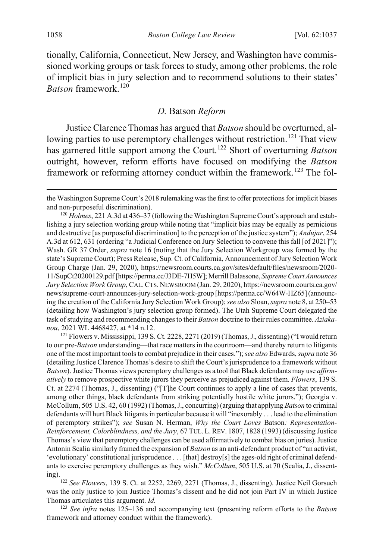tionally, California, Connecticut, New Jersey, and Washington have commissioned working groups or task forces to study, among other problems, the role of implicit bias in jury selection and to recommend solutions to their states' *Batson* framework.<sup>[120](#page-22-2)</sup>

## <span id="page-22-1"></span><span id="page-22-0"></span>*D.* Batson *Reform*

Justice Clarence Thomas has argued that *Batson* should be overturned, al-lowing parties to use peremptory challenges without restriction.<sup>[121](#page-22-3)</sup> That view has garnered little support among the Court.[122](#page-22-4) Short of overturning *Batson* outright, however, reform efforts have focused on modifying the *Batson* framework or reforming attorney conduct within the framework.<sup>[123](#page-22-5)</sup> The fol-

<span id="page-22-3"></span><sup>121</sup> Flowers v. Mississippi, 139 S. Ct. 2228, 2271 (2019) (Thomas, J., dissenting) ("I would return to our pre-*Batson* understanding—that race matters in the courtroom—and thereby return to litigants one of the most important tools to combat prejudice in their cases."); *see also* Edwards, *supra* not[e 36](#page-7-9) (detailing Justice Clarence Thomas's desire to shift the Court's jurisprudence to a framework without *Batson*). Justice Thomas views peremptory challenges as a tool that Black defendants may use *affirmatively* to remove prospective white jurors they perceive as prejudiced against them. *Flowers*, 139 S. Ct. at 2274 (Thomas, J., dissenting) ("[T]he Court continues to apply a line of cases that prevents, among other things, black defendants from striking potentially hostile white jurors."); Georgia v. McCollum, 505 U.S. 42, 60 (1992) (Thomas, J., concurring) (arguing that applying *Batson* to criminal defendants will hurt Black litigants in particular because it will "inexorably . . . lead to the elimination of peremptory strikes"); *see* Susan N. Herman, *Why the Court Loves* Batson*: Representation-Reinforcement, Colorblindness, and the Jury*, 67 TUL. L.REV. 1807, 1828 (1993)(discussing Justice Thomas's view that peremptory challenges can be used affirmatively to combat bias on juries). Justice Antonin Scalia similarly framed the expansion of *Batson* as an anti-defendant product of "an activist, 'evolutionary' constitutional jurisprudence . . . [that] destroy[s] the ages-old right of criminal defendants to exercise peremptory challenges as they wish." *McCollum*, 505 U.S. at 70 (Scalia, J., dissent-

<span id="page-22-4"></span>ing). 122 *See Flowers*, 139 S. Ct. at 2252, 2269, 2271 (Thomas, J., dissenting). Justice Neil Gorsuch was the only justice to join Justice Thomas's dissent and he did not join Part IV in which Justice Thomas articulates this argument. *Id.* 

<span id="page-22-5"></span><sup>123</sup> *See infra* notes [125–](#page-23-0)[136](#page-25-0) and accompanying text (presenting reform efforts to the *Batson* framework and attorney conduct within the framework).

the Washington Supreme Court's 2018 rulemaking was the first to offer protections for implicit biases and non-purposeful discrimination).

<span id="page-22-2"></span><sup>120</sup> *Holmes*, 221 A.3d at 436–37 (following the Washington Supreme Court's approach and establishing a jury selection working group while noting that "implicit bias may be equally as pernicious and destructive [as purposeful discrimination] to the perception of the justice system"); *Andujar*, 254 A.3d at 612, 631 (ordering "a Judicial Conference on Jury Selection to convene this fall [of 2021]"); Wash. GR 37 Order, *supra* note [16](#page-4-1) (noting that the Jury Selection Workgroup was formed by the state's Supreme Court); Press Release, Sup. Ct. of California, Announcement of Jury Selection Work Group Charge (Jan. 29, 2020), https://newsroom.courts.ca.gov/sites/default/files/newsroom/2020- 11/SupCt20200129.pdf [https://perma.cc/J3DE-7H5W]; Merrill Balassone, *Supreme Court Announces Jury Selection Work Group*, CAL.CTS. NEWSROOM (Jan. 29, 2020), https://newsroom.courts.ca.gov/ news/supreme-court-announces-jury-selection-work-group [https://perma.cc/W64W-HZ65] (announcing the creation of the California Jury Selection Work Group); *see also* Sloan, *supra* not[e 8,](#page-2-0) at 250–53 (detailing how Washington's jury selection group formed). The Utah Supreme Court delegated the task of studying and recommending changes to their *Batson* doctrine to their rules committee. *Aziakanou*, 2021 WL 4468427, at \*14 n.12.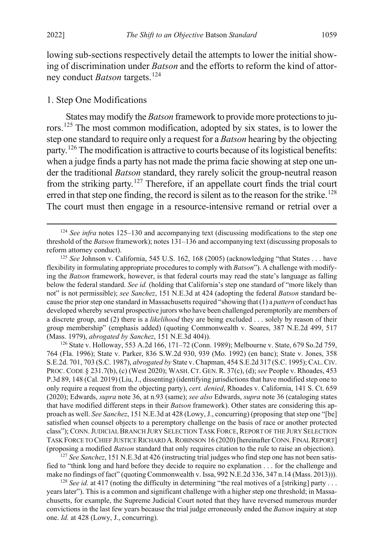lowing sub-sections respectively detail the attempts to lower the initial showing of discrimination under *Batson* and the efforts to reform the kind of attorney conduct *Batson* targets.<sup>[124](#page-23-1)</sup>

#### 1. Step One Modifications

<span id="page-23-6"></span><span id="page-23-0"></span>States may modify the *Batson* framework to provide more protections to ju-rors.<sup>[125](#page-23-2)</sup> The most common modification, adopted by six states, is to lower the step one standard to require only a request for a *Batson* hearing by the objecting party.<sup>[126](#page-23-3)</sup> The modification is attractive to courts because of its logistical benefits: when a judge finds a party has not made the prima facie showing at step one under the traditional *Batson* standard, they rarely solicit the group-neutral reason from the striking party.<sup>[127](#page-23-4)</sup> Therefore, if an appellate court finds the trial court erred in that step one finding, the record is silent as to the reason for the strike.<sup>[128](#page-23-5)</sup> The court must then engage in a resource-intensive remand or retrial over a

<span id="page-23-3"></span><sup>126</sup> State v. Holloway, 553 A.2d 166, 171–72 (Conn. 1989); Melbourne v. State, 679 So.2d 759, 764 (Fla. 1996); State v. Parker, 836 S.W.2d 930, 939 (Mo. 1992) (en banc); State v. Jones, 358 S.E.2d. 701, 703 (S.C. 1987), *abrogated by* State v. Chapman, 454 S.E.2d 317 (S.C. 1995); CAL.CIV. PROC. CODE § 231.7(b), (c) (West 2020); WASH. CT. GEN. R. 37(c), (d); *see* People v. Rhoades, 453 P.3d 89, 148 (Cal. 2019) (Liu, J., dissenting) (identifying jurisdictions that have modified step one to only require a request from the objecting party), *cert. denied*, Rhoades v. California, 141 S. Ct. 659 (2020); Edwards, *supra* not[e 36,](#page-7-9) at n.93 (same); *see also* Edwards, *supra* not[e 36](#page-7-9) (cataloging states that have modified different steps in their *Batson* framework). Other states are considering this approach as well. *See Sanchez*, 151 N.E.3d at 428 (Lowy, J., concurring) (proposing that step one "[be] satisfied when counsel objects to a peremptory challenge on the basis of race or another protected class"); CONN.JUDICIAL BRANCH JURY SELECTION TASK FORCE,REPORT OF THE JURY SELECTION TASK FORCE TO CHIEF JUSTICE RICHARD A.ROBINSON 16 (2020) [hereinafter CONN.FINAL REPORT] (proposing a modified *Batson* standard that only requires citation to the rule to raise an objection).

<span id="page-23-4"></span><sup>127</sup> See Sanchez, 151 N.E.3d at 426 (instructing trial judges who find step one has not been satisfied to "think long and hard before they decide to require no explanation . . . for the challenge and make no findings of fact" (quoting Commonwealth v. Issa, 992 N.E.2d 336, 347 n.14 (Mass. 2013))).

<span id="page-23-5"></span><sup>128</sup> See *id.* at 417 (noting the difficulty in determining "the real motives of a [striking] party ... years later"). This is a common and significant challenge with a higher step one threshold; in Massachusetts, for example, the Supreme Judicial Court noted that they have reversed numerous murder convictions in the last few years because the trial judge erroneously ended the *Batson* inquiry at step one. *Id.* at 428 (Lowy, J., concurring).

<span id="page-23-1"></span><sup>&</sup>lt;sup>124</sup> *See infra* note[s 125](#page-23-0)[–130](#page-24-0) and accompanying text (discussing modifications to the step one threshold of the *Batson* framework); note[s 131–](#page-24-1)[136](#page-25-0) and accompanying text (discussing proposals to reform attorney conduct).

<span id="page-23-2"></span><sup>125</sup> *See* Johnson v. California, 545 U.S. 162, 168 (2005) (acknowledging "that States . . . have flexibility in formulating appropriate procedures to comply with *Batson*"). A challenge with modifying the *Batson* framework, however, is that federal courts may read the state's language as falling below the federal standard. *See id.* (holding that California's step one standard of "more likely than not" is not permissible); *see Sanchez*, 151 N.E.3d at 424 (adopting the federal *Batson* standard because the prior step one standard in Massachusetts required "showing that (1) a *pattern* of conduct has developed whereby several prospective jurors who have been challenged peremptorily are members of a discrete group, and (2) there is a *likelihood* they are being excluded . . . solely by reason of their group membership" (emphasis added) (quoting Commonwealth v. Soares, 387 N.E.2d 499, 517 (Mass. 1979), *abrogated by Sanchez*, 151 N.E.3d 404)).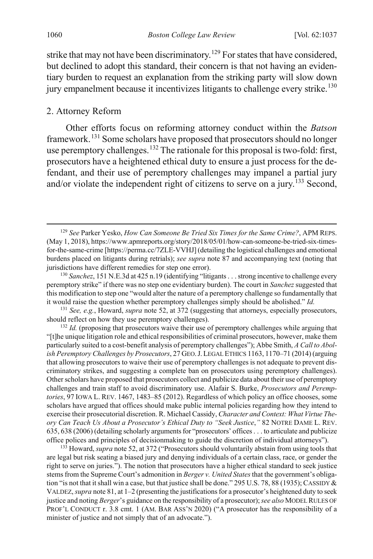<span id="page-24-8"></span>strike that may not have been discriminatory.<sup>[129](#page-24-2)</sup> For states that have considered, but declined to adopt this standard, their concern is that not having an evidentiary burden to request an explanation from the striking party will slow down jury empanelment because it incentivizes litigants to challenge every strike.<sup>[130](#page-24-3)</sup>

## <span id="page-24-0"></span>2. Attorney Reform

<span id="page-24-7"></span><span id="page-24-1"></span>Other efforts focus on reforming attorney conduct within the *Batson* framework.[131](#page-24-4) Some scholars have proposed that prosecutors should no longer use peremptory challenges.<sup>[132](#page-24-5)</sup> The rationale for this proposal is two-fold: first, prosecutors have a heightened ethical duty to ensure a just process for the defendant, and their use of peremptory challenges may impanel a partial jury and/or violate the independent right of citizens to serve on a jury.<sup>[133](#page-24-6)</sup> Second,

<span id="page-24-4"></span><sup>131</sup> *See, e.g.*, Howard, *supra* note [52,](#page-9-4) at 372 (suggesting that attorneys, especially prosecutors, should reflect on how they use peremptory challenges).

<span id="page-24-5"></span><sup>132</sup> *Id.* (proposing that prosecutors waive their use of peremptory challenges while arguing that "[t]he unique litigation role and ethical responsibilities of criminal prosecutors, however, make them particularly suited to a cost-benefit analysis of peremptory challenges"); Abbe Smith, *A Call to Abolish Peremptory Challenges by Prosecutors*, 27 GEO.J.LEGAL ETHICS 1163, 1170–71 (2014) (arguing that allowing prosecutors to waive their use of peremptory challenges is not adequate to prevent discriminatory strikes, and suggesting a complete ban on prosecutors using peremptory challenges). Other scholars have proposed that prosecutors collect and publicize data about their use of peremptory challenges and train staff to avoid discriminatory use. Alafair S. Burke, *Prosecutors and Peremptories*, 97 IOWA L. REV. 1467, 1483–85 (2012). Regardless of which policy an office chooses, some scholars have argued that offices should make public internal policies regarding how they intend to exercise their prosecutorial discretion. R. Michael Cassidy, *Character and Context: What Virtue Theory Can Teach Us About a Prosecutor's Ethical Duty to "Seek Justice*,*"* 82 NOTRE DAME L. REV. 635, 638 (2006) (detailing scholarly arguments for "prosecutors' offices . . . to articulate and publicize office polices and principles of decisionmaking to guide the discretion of individual attorneys").

<span id="page-24-6"></span>133 Howard, *supra* not[e 52,](#page-9-4) at 372 ("Prosecutors should voluntarily abstain from using tools that are legal but risk seating a biased jury and denying individuals of a certain class, race, or gender the right to serve on juries."). The notion that prosecutors have a higher ethical standard to seek justice stems from the Supreme Court's admonition in *Berger v. United States*that the government's obligation "is not that it shall win a case, but that justice shall be done." 295 U.S. 78, 88 (1935); CASSIDY & VALDEZ, *supra* not[e 81,](#page-14-1) at 1–2 (presenting the justifications for a prosecutor's heightened duty to seek justice and noting *Berger*'s guidance on the responsibility of a prosecutor); *see also* MODEL RULES OF PROF'L CONDUCT r. 3.8 cmt. 1 (AM. BAR ASS'N 2020) ("A prosecutor has the responsibility of a minister of justice and not simply that of an advocate.").

<span id="page-24-2"></span> <sup>129</sup> *See* Parker Yesko, *How Can Someone Be Tried Six Times for the Same Crime?*, APM REPS. (May 1, 2018), https://www.apmreports.org/story/2018/05/01/how-can-someone-be-tried-six-timesfor-the-same-crime [https://perma.cc/7ZLE-VVHJ] (detailing the logistical challenges and emotional burdens placed on litigants during retrials); *see supra* note [87](#page-15-10) and accompanying text (noting that jurisdictions have different remedies for step one error).

<span id="page-24-3"></span><sup>&</sup>lt;sup>130</sup> Sanchez, 151 N.E.3d at 425 n.19 (identifying "litigants . . . strong incentive to challenge every peremptory strike" if there was no step one evidentiary burden). The court in *Sanchez* suggested that this modification to step one "would alter the nature of a peremptory challenge so fundamentally that it would raise the question whether peremptory challenges simply should be abolished." *Id.*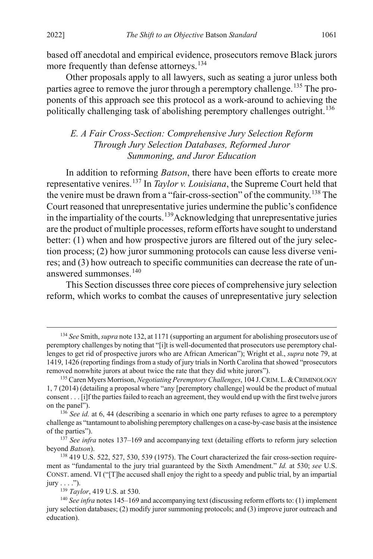based off anecdotal and empirical evidence, prosecutors remove Black jurors more frequently than defense attorneys.<sup>[134](#page-25-2)</sup>

Other proposals apply to all lawyers, such as seating a juror unless both parties agree to remove the juror through a peremptory challenge.<sup>[135](#page-25-3)</sup> The proponents of this approach see this protocol as a work-around to achieving the politically challenging task of abolishing peremptory challenges outright.<sup>[136](#page-25-4)</sup>

## <span id="page-25-9"></span><span id="page-25-1"></span><span id="page-25-0"></span>*E. A Fair Cross-Section: Comprehensive Jury Selection Reform Through Jury Selection Databases, Reformed Juror Summoning, and Juror Education*

In addition to reforming *Batson*, there have been efforts to create more representative venires.[137](#page-25-5) In *Taylor v. Louisiana*, the Supreme Court held that the venire must be drawn from a "fair-cross-section" of the community.[138](#page-25-6) The Court reasoned that unrepresentative juries undermine the public's confidence in the impartiality of the courts.<sup>[139](#page-25-7)</sup>Acknowledging that unrepresentative juries are the product of multiple processes, reform efforts have sought to understand better: (1) when and how prospective jurors are filtered out of the jury selection process; (2) how juror summoning protocols can cause less diverse venires; and (3) how outreach to specific communities can decrease the rate of unanswered summonses.[140](#page-25-8)

This Section discusses three core pieces of comprehensive jury selection reform, which works to combat the causes of unrepresentative jury selection

<span id="page-25-2"></span> <sup>134</sup> *See* Smith, *supra* not[e 132,](#page-24-7) at 1171 (supporting an argument for abolishing prosecutors use of peremptory challenges by noting that "[i]t is well-documented that prosecutors use peremptory challenges to get rid of prospective jurors who are African American"); Wright et al., *supra* note [79,](#page-13-0) at 1419, 1426 (reporting findings from a study of jury trials in North Carolina that showed "prosecutors removed nonwhite jurors at about twice the rate that they did white jurors").

<span id="page-25-3"></span><sup>135</sup> Caren Myers Morrison, *Negotiating Peremptory Challenges*, 104 J.CRIM.L.&CRIMINOLOGY 1, 7 (2014) (detailing a proposal where "any [peremptory challenge] would be the product of mutual consent . . . [i]f the parties failed to reach an agreement, they would end up with the first twelve jurors on the panel").

<span id="page-25-4"></span><sup>&</sup>lt;sup>136</sup> *See id.* at 6, 44 (describing a scenario in which one party refuses to agree to a peremptory challenge as "tantamount to abolishing peremptory challenges on a case-by-case basis at the insistence of the parties"). 137 *See infra* note[s 137–](#page-25-1)[169](#page-30-0) and accompanying text (detailing efforts to reform jury selection

<span id="page-25-5"></span>beyond *Batson*).

<span id="page-25-6"></span><sup>138</sup> 419 U.S. 522, 527, 530, 539 (1975). The Court characterized the fair cross-section requirement as "fundamental to the jury trial guaranteed by the Sixth Amendment." *Id.* at 530; *see* U.S. CONST. amend. VI ("[T]he accused shall enjoy the right to a speedy and public trial, by an impartial jury . . . .").

<sup>139</sup> *Taylor*, 419 U.S. at 530.

<span id="page-25-8"></span><span id="page-25-7"></span><sup>140</sup> *See infra* note[s 145](#page-26-1)[–169](#page-30-0) and accompanying text (discussing reform efforts to: (1) implement jury selection databases; (2) modify juror summoning protocols; and (3) improve juror outreach and education).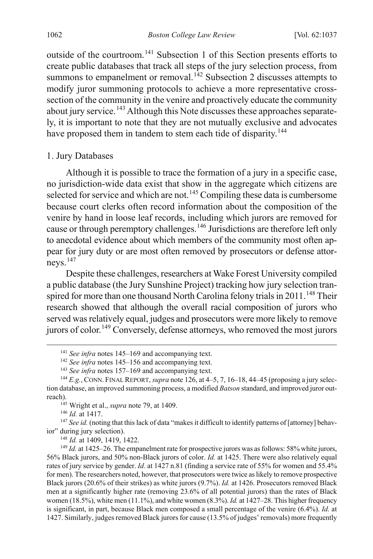outside of the courtroom.<sup>[141](#page-26-2)</sup> Subsection 1 of this Section presents efforts to create public databases that track all steps of the jury selection process, from summons to empanelment or removal.<sup>[142](#page-26-3)</sup> Subsection 2 discusses attempts to modify juror summoning protocols to achieve a more representative crosssection of the community in the venire and proactively educate the community about jury service.<sup>[143](#page-26-4)</sup> Although this Note discusses these approaches separately, it is important to note that they are not mutually exclusive and advocates have proposed them in tandem to stem each tide of disparity.<sup>[144](#page-26-5)</sup>

## 1. Jury Databases

<span id="page-26-1"></span>Although it is possible to trace the formation of a jury in a specific case, no jurisdiction-wide data exist that show in the aggregate which citizens are selected for service and which are not.<sup>[145](#page-26-6)</sup> Compiling these data is cumbersome because court clerks often record information about the composition of the venire by hand in loose leaf records, including which jurors are removed for cause or through peremptory challenges.<sup>[146](#page-26-7)</sup> Jurisdictions are therefore left only to anecdotal evidence about which members of the community most often appear for jury duty or are most often removed by prosecutors or defense attor-neys.<sup>[147](#page-26-8)</sup>

Despite these challenges, researchers at Wake Forest University compiled a public database (the Jury Sunshine Project) tracking how jury selection tran-spired for more than one thousand North Carolina felony trials in 2011.<sup>[148](#page-26-9)</sup> Their research showed that although the overall racial composition of jurors who served was relatively equal, judges and prosecutors were more likely to remove jurors of color.<sup>[149](#page-26-10)</sup> Conversely, defense attorneys, who removed the most jurors

<sup>146</sup> *Id.* at 1417.

<span id="page-26-8"></span><span id="page-26-7"></span><span id="page-26-6"></span><sup>147</sup> *See id.* (noting that this lack of data "makes it difficult to identify patterns of [attorney] behavior" during jury selection).

<sup>148</sup> *Id.* at 1409, 1419, 1422.

<span id="page-26-10"></span><span id="page-26-9"></span><sup>149</sup> *Id.* at 1425–26. The empanelment rate for prospective jurors was as follows: 58% white jurors, 56% Black jurors, and 50% non-Black jurors of color. *Id.* at 1425. There were also relatively equal rates of jury service by gender. *Id.* at 1427 n.81 (finding a service rate of 55% for women and 55.4% for men). The researchers noted, however, that prosecutors were twice as likely to remove prospective Black jurors (20.6% of their strikes) as white jurors (9.7%). *Id.* at 1426. Prosecutors removed Black men at a significantly higher rate (removing 23.6% of all potential jurors) than the rates of Black women (18.5%), white men (11.1%), and white women (8.3%). *Id.* at 1427–28. This higher frequency is significant, in part, because Black men composed a small percentage of the venire (6.4%). *Id.* at 1427. Similarly, judges removed Black jurors for cause (13.5% of judges' removals) more frequently

<span id="page-26-0"></span> <sup>141</sup> *See infra* notes [145–](#page-26-1)[169](#page-30-2) and accompanying text.

<sup>142</sup> *See infra* notes [145–](#page-26-1)[156](#page-28-0) and accompanying text.

<sup>143</sup> *See infra* notes [157–](#page-28-1)[169](#page-30-0) and accompanying text.

<span id="page-26-5"></span><span id="page-26-4"></span><span id="page-26-3"></span><span id="page-26-2"></span><sup>144</sup> *E.g.*, CONN. FINAL REPORT, *supra* not[e 126,](#page-23-6) at 4–5, 7, 16–18, 44–45 (proposing a jury selection database, an improved summoning process, a modified *Batson* standard, and improved juror outreach).

<sup>145</sup> Wright et al., *supra* not[e 79,](#page-13-0) at 1409.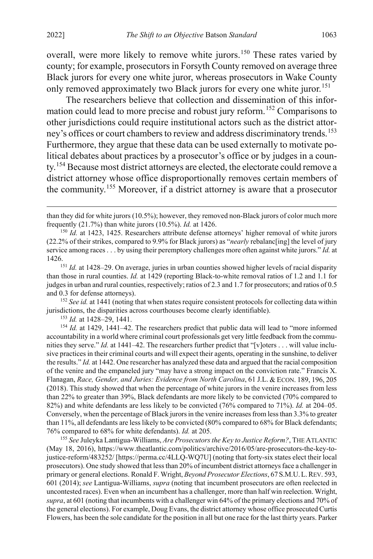overall, were more likely to remove white jurors.<sup>[150](#page-27-0)</sup> These rates varied by county; for example, prosecutors in Forsyth County removed on average three Black jurors for every one white juror, whereas prosecutors in Wake County only removed approximately two Black jurors for every one white juror.<sup>[151](#page-27-1)</sup>

The researchers believe that collection and dissemination of this information could lead to more precise and robust jury reform.[152](#page-27-2) Comparisons to other jurisdictions could require institutional actors such as the district attor-ney's offices or court chambers to review and address discriminatory trends.<sup>[153](#page-27-3)</sup> Furthermore, they argue that these data can be used externally to motivate political debates about practices by a prosecutor's office or by judges in a coun-ty.<sup>[154](#page-27-4)</sup> Because most district attorneys are elected, the electorate could remove a district attorney whose office disproportionally removes certain members of the community.[155](#page-27-5) Moreover, if a district attorney is aware that a prosecutor

<span id="page-27-2"></span><sup>152</sup> See id. at 1441 (noting that when states require consistent protocols for collecting data within jurisdictions, the disparities across courthouses become clearly identifiable).

<sup>153</sup> *Id.* at 1428–29, 1441.

<span id="page-27-4"></span><span id="page-27-3"></span><sup>154</sup> *Id.* at 1429, 1441–42. The researchers predict that public data will lead to "more informed accountability in a world where criminal court professionals get very little feedback from the communities they serve." *Id.* at 1441–42. The researchers further predict that "[v]oters . . . will value inclusive practices in their criminal courts and will expect their agents, operating in the sunshine, to deliver the results." *Id.* at 1442. One researcher has analyzed these data and argued that the racial composition of the venire and the empaneled jury "may have a strong impact on the conviction rate." Francis X. Flanagan, *Race, Gender, and Juries: Evidence from North Carolina*, 61 J.L. & ECON. 189, 196, 205 (2018). This study showed that when the percentage of white jurors in the venire increases from less than 22% to greater than 39%, Black defendants are more likely to be convicted (70% compared to 82%) and white defendants are less likely to be convicted (76% compared to 71%). *Id.* at 204–05. Conversely, when the percentage of Black jurors in the venire increases from less than 3.3% to greater than 11%, all defendants are less likely to be convicted (80% compared to 68% for Black defendants; 76% compared to 68% for white defendants). *Id.* at 205.

<span id="page-27-5"></span><sup>155</sup> *See* Juleyka Lantigua-Williams, *Are Prosecutors the Key to Justice Reform?*, THE ATLANTIC (May 18, 2016), https://www.theatlantic.com/politics/archive/2016/05/are-prosecutors-the-key-tojustice-reform/483252/ [https://perma.cc/4LLQ-WQ7U] (noting that forty-six states elect their local prosecutors). One study showed that less than 20% of incumbent district attorneys face a challenger in primary or general elections. Ronald F. Wright, *Beyond Prosecutor Elections*, 67 S.M.U.L.REV. 593, 601 (2014); *see* Lantigua-Williams, *supra* (noting that incumbent prosecutors are often reelected in uncontested races). Even when an incumbent has a challenger, more than half win reelection. Wright, *supra*, at 601 (noting that incumbents with a challenger win 64% of the primary elections and 70% of the general elections). For example, Doug Evans, the district attorney whose office prosecuted Curtis Flowers, has been the sole candidate for the position in all but one race for the last thirty years. Parker

than they did for white jurors (10.5%); however, they removed non-Black jurors of color much more frequently (21.7%) than white jurors (10.5%). *Id.* at 1426.

<span id="page-27-0"></span><sup>&</sup>lt;sup>150</sup> *Id.* at 1423, 1425. Researchers attribute defense attorneys' higher removal of white jurors (22.2% of their strikes, compared to 9.9% for Black jurors) as "*nearly* rebalanc[ing] the level of jury service among races . . . by using their peremptory challenges more often against white jurors." *Id.* at

<span id="page-27-1"></span><sup>1426. 151</sup> *Id.* at 1428–29. On average, juries in urban counties showed higher levels of racial disparity than those in rural counties. *Id.* at 1429 (reporting Black-to-white removal ratios of 1.2 and 1.1 for judges in urban and rural counties, respectively; ratios of 2.3 and 1.7 for prosecutors; and ratios of 0.5 and 0.3 for defense attorneys).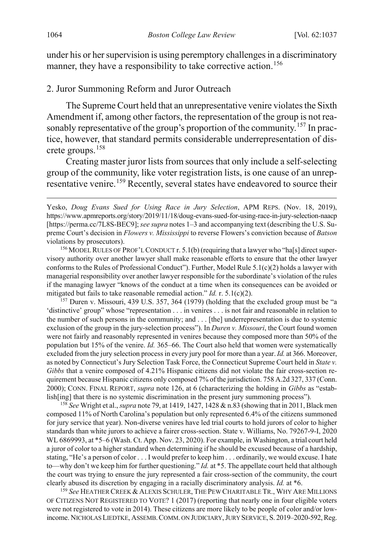<span id="page-28-0"></span>under his or her supervision is using peremptory challenges in a discriminatory manner, they have a responsibility to take corrective action.<sup>[156](#page-28-2)</sup>

## 2. Juror Summoning Reform and Juror Outreach

<span id="page-28-1"></span>The Supreme Court held that an unrepresentative venire violates the Sixth Amendment if, among other factors, the representation of the group is not rea-sonably representative of the group's proportion of the community.<sup>[157](#page-28-3)</sup> In practice, however, that standard permits considerable underrepresentation of discrete groups.[158](#page-28-4)

<span id="page-28-6"></span>Creating master juror lists from sources that only include a self-selecting group of the community, like voter registration lists, is one cause of an unrep-resentative venire.<sup>[159](#page-28-5)</sup> Recently, several states have endeavored to source their

<span id="page-28-2"></span><sup>156</sup> MODEL RULES OF PROF'L CONDUCT r. 5.1(b) (requiring that a lawyer who "ha[s] direct supervisory authority over another lawyer shall make reasonable efforts to ensure that the other lawyer conforms to the Rules of Professional Conduct"). Further, Model Rule  $5.1(c)(2)$  holds a lawyer with managerial responsibility over another lawyer responsible for the subordinate's violation of the rules if the managing lawyer "knows of the conduct at a time when its consequences can be avoided or mitigated but fails to take reasonable remedial action." *Id.* r. 5.1(c)(2).

<span id="page-28-3"></span><sup>157</sup> Duren v. Missouri, 439 U.S. 357, 364 (1979) (holding that the excluded group must be "a 'distinctive' group" whose "representation . . . in venires . . . is not fair and reasonable in relation to the number of such persons in the community; and . . . [the] underrepresentation is due to systemic exclusion of the group in the jury-selection process"). In *Duren v. Missouri*, the Court found women were not fairly and reasonably represented in venires because they composed more than 50% of the population but 15% of the venire. *Id.* 365–66. The Court also held that women were systematically excluded from the jury selection process in every jury pool for more than a year. *Id.* at 366. Moreover, as noted by Connecticut's Jury Selection Task Force, the Connecticut Supreme Court held in *State v. Gibbs* that a venire composed of 4.21% Hispanic citizens did not violate the fair cross-section requirement because Hispanic citizens only composed 7% of the jurisdiction. 758 A.2d 327, 337 (Conn. 2000); CONN. FINAL REPORT, *supra* note [126,](#page-23-6) at 6 (characterizing the holding in *Gibbs* as "establish[ing] that there is no systemic discrimination in the present jury summoning process").

<span id="page-28-4"></span><sup>158</sup> *See* Wright et al., *supra* not[e 79,](#page-13-0) at 1419, 1427, 1428 & n.83 (showing that in 2011, Black men composed 11% of North Carolina's population but only represented 6.4% of the citizens summoned for jury service that year). Non-diverse venires have led trial courts to hold jurors of color to higher standards than white jurors to achieve a fairer cross-section. State v. Williams, No. 79267-9-I, 2020 WL 6869993, at \*5–6 (Wash. Ct. App. Nov. 23, 2020). For example, in Washington, a trial court held a juror of color to a higher standard when determining if he should be excused because of a hardship, stating, "He's a person of color . . . I would prefer to keep him . . . ordinarily, we would excuse. I hate to—why don't we keep him for further questioning." *Id.* at \*5. The appellate court held that although the court was trying to ensure the jury represented a fair cross-section of the community, the court clearly abused its discretion by engaging in a racially discriminatory analysis. *Id.* at \*6.

<span id="page-28-5"></span><sup>159</sup> See HEATHER CREEK & ALEXIS SCHULER, THE PEW CHARITABLE TR., WHY ARE MILLIONS OF CITIZENS NOT REGISTERED TO VOTE? 1 (2017) (reporting that nearly one in four eligible voters were not registered to vote in 2014). These citizens are more likely to be people of color and/or lowincome. NICHOLAS LIEDTKE, ASSEMB.COMM. ON JUDICIARY, JURY SERVICE, S. 2019–2020-592, Reg.

Yesko, *Doug Evans Sued for Using Race in Jury Selection*, APM REPS. (Nov. 18, 2019), https://www.apmreports.org/story/2019/11/18/doug-evans-sued-for-using-race-in-jury-selection-naacp [https://perma.cc/7L8S-BEC9]; *see supra* note[s 1](#page-1-1)[–3](#page-2-10) and accompanying text (describing the U.S. Supreme Court's decision in *Flowers v. Mississippi* to reverse Flowers's conviction because of *Batson* violations by prosecutors).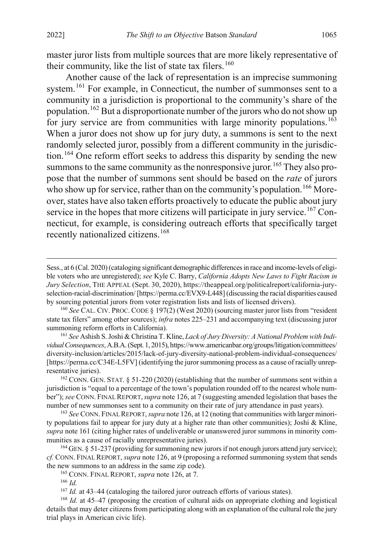$\overline{a}$ 

master juror lists from multiple sources that are more likely representative of their community, like the list of state tax filers.<sup>[160](#page-29-1)</sup>

<span id="page-29-0"></span>Another cause of the lack of representation is an imprecise summoning system.<sup>[161](#page-29-2)</sup> For example, in Connecticut, the number of summonses sent to a community in a jurisdiction is proportional to the community's share of the population.[162](#page-29-3) But a disproportionate number of the jurors who do not show up for jury service are from communities with large minority populations.<sup>[163](#page-29-4)</sup> When a juror does not show up for jury duty, a summons is sent to the next randomly selected juror, possibly from a different community in the jurisdic-tion.<sup>[164](#page-29-5)</sup> One reform effort seeks to address this disparity by sending the new summons to the same community as the nonresponsive juror.<sup>[165](#page-29-6)</sup> They also propose that the number of summons sent should be based on the *rate* of jurors who show up for service, rather than on the community's population.<sup>[166](#page-29-7)</sup> Moreover, states have also taken efforts proactively to educate the public about jury service in the hopes that more citizens will participate in jury service.<sup>[167](#page-29-8)</sup> Connecticut, for example, is considering outreach efforts that specifically target recently nationalized citizens.[168](#page-29-9)

<span id="page-29-2"></span><sup>161</sup> *See* Ashish S. Joshi & Christina T. Kline, *Lack of Jury Diversity: A National Problem with Individual Consequences*, A.B.A. (Sept. 1, 2015), https://www.americanbar.org/groups/litigation/committees/ diversity-inclusion/articles/2015/lack-of-jury-diversity-national-problem-individual-consequences/ [https://perma.cc/C34E-L5FV] (identifying the juror summoning process as a cause of racially unrepresentative juries).<br><sup>162</sup> CONN. GEN. STAT. § 51-220 (2020) (establishing that the number of summons sent within a

<span id="page-29-3"></span>jurisdiction is "equal to a percentage of the town's population rounded off to the nearest whole number"); *see* CONN. FINAL REPORT,*supra* not[e 126,](#page-23-6) at 7 (suggesting amended legislation that bases the number of new summonses sent to a community on their rate of jury attendance in past years).

<span id="page-29-4"></span><sup>163</sup> *See* CONN. FINAL REPORT, *supra* not[e 126,](#page-23-6) at 12 (noting that communities with larger minority populations fail to appear for jury duty at a higher rate than other communities); Joshi & Kline, *supra* not[e 161](#page-29-0) (citing higher rates of undeliverable or unanswered juror summons in minority communities as a cause of racially unrepresentative juries).

<span id="page-29-6"></span><span id="page-29-5"></span> $^{164}$  GEN. § 51-237 (providing for summoning new jurors if not enough jurors attend jury service); *cf.* CONN. FINAL REPORT, *supra* not[e 126,](#page-23-6) at 9 (proposing a reformed summoning system that sends the new summons to an address in the same zip code).

<sup>165</sup> CONN. FINAL REPORT, *supra* not[e 126,](#page-23-6) at 7.

<sup>166</sup> *Id.*

<sup>167</sup> *Id.* at 43–44 (cataloging the tailored juror outreach efforts of various states).

<span id="page-29-9"></span><span id="page-29-8"></span><span id="page-29-7"></span><sup>168</sup> *Id.* at 45–47 (proposing the creation of cultural aids on appropriate clothing and logistical details that may deter citizens from participating along with an explanation of the cultural role the jury trial plays in American civic life).

Sess., at 6 (Cal. 2020) (cataloging significant demographic differences in race and income-levels of eligible voters who are unregistered); *see* Kyle C. Barry, *California Adopts New Laws to Fight Racism in Jury Selection*, THE APPEAL (Sept. 30, 2020), https://theappeal.org/politicalreport/california-juryselection-racial-discrimination/ [https://perma.cc/EVX9-L448] (discussing the racial disparities caused by sourcing potential jurors from voter registration lists and lists of licensed drivers).

<span id="page-29-1"></span><sup>160</sup> *See* CAL. CIV. PROC. CODE § 197(2) (West 2020) (sourcing master juror lists from "resident state tax filers" among other sources); *infra* note[s 225–](#page-39-0)[231](#page-39-1) and accompanying text (discussing juror summoning reform efforts in California).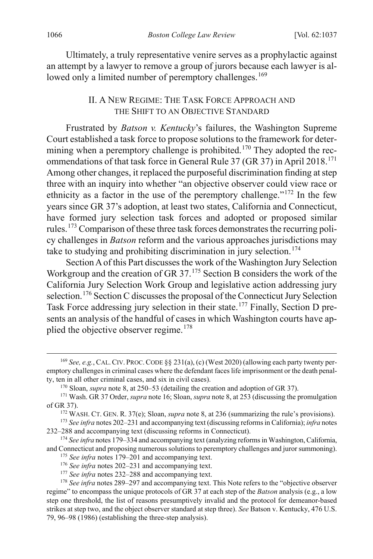Ultimately, a truly representative venire serves as a prophylactic against an attempt by a lawyer to remove a group of jurors because each lawyer is al-lowed only a limited number of peremptory challenges.<sup>[169](#page-30-3)</sup>

## <span id="page-30-2"></span><span id="page-30-1"></span><span id="page-30-0"></span>II. A NEW REGIME: THE TASK FORCE APPROACH AND THE SHIFT TO AN OBJECTIVE STANDARD

Frustrated by *Batson v. Kentucky*'s failures, the Washington Supreme Court established a task force to propose solutions to the framework for deter-mining when a peremptory challenge is prohibited.<sup>[170](#page-30-4)</sup> They adopted the rec-ommendations of that task force in General Rule 37 (GR 37) in April 2018.<sup>[171](#page-30-5)</sup> Among other changes, it replaced the purposeful discrimination finding at step three with an inquiry into whether "an objective observer could view race or ethnicity as a factor in the use of the peremptory challenge."[172](#page-30-6) In the few years since GR 37's adoption, at least two states, California and Connecticut, have formed jury selection task forces and adopted or proposed similar rules.[173](#page-30-7) Comparison of these three task forces demonstrates the recurring policy challenges in *Batson* reform and the various approaches jurisdictions may take to studying and prohibiting discrimination in jury selection.<sup>[174](#page-30-8)</sup>

Section A of this Part discusses the work of the Washington Jury Selection Workgroup and the creation of GR 37.<sup>[175](#page-30-9)</sup> Section B considers the work of the California Jury Selection Work Group and legislative action addressing jury selection.<sup>[176](#page-30-10)</sup> Section C discusses the proposal of the Connecticut Jury Selection Task Force addressing jury selection in their state.<sup>[177](#page-30-11)</sup> Finally, Section D presents an analysis of the handful of cases in which Washington courts have ap-plied the objective observer regime.<sup>[178](#page-30-12)</sup>

<sup>177</sup> See infra notes [232–](#page-40-0)[288](#page-48-1) and accompanying text.

<span id="page-30-3"></span> <sup>169</sup> *See, e.g.*, CAL.CIV. PROC.CODE §§ 231(a), (c) (West 2020) (allowing each party twenty peremptory challenges in criminal cases where the defendant faces life imprisonment or the death penalty, ten in all other criminal cases, and six in civil cases).

<sup>170</sup> Sloan, *supra* note [8,](#page-2-0) at 250–53 (detailing the creation and adoption of GR 37).

<span id="page-30-5"></span><span id="page-30-4"></span><sup>171</sup> Wash. GR 37 Order, *supra* not[e 16;](#page-4-1) Sloan, *supra* not[e 8,](#page-2-0) at 253 (discussing the promulgation of GR 37).

<sup>172</sup> WASH. CT. GEN. R. 37(e); Sloan, *supra* not[e 8,](#page-2-0) at 236 (summarizing the rule's provisions).

<span id="page-30-7"></span><span id="page-30-6"></span><sup>173</sup> *See infra* note[s 202](#page-35-0)[–231](#page-39-1) and accompanying text (discussing reforms in California); *infra* notes [232–](#page-40-0)[288](#page-48-1) and accompanying text (discussing reforms in Connecticut).

<span id="page-30-9"></span><span id="page-30-8"></span><sup>174</sup> *See infra* note[s 179](#page-31-0)[–334](#page-55-0) and accompanying text (analyzing reforms in Washington, California, and Connecticut and proposing numerous solutions to peremptory challenges and juror summoning).

<sup>175</sup> *See infra* notes [179–](#page-31-0)[201](#page-34-1) and accompanying text.

<sup>176</sup> *See infra* notes [202–](#page-35-0)[231](#page-39-1) and accompanying text.

<span id="page-30-12"></span><span id="page-30-11"></span><span id="page-30-10"></span><sup>&</sup>lt;sup>178</sup> See infra note[s 289](#page-48-0)[–297](#page-50-0) and accompanying text. This Note refers to the "objective observer regime" to encompass the unique protocols of GR 37 at each step of the *Batson* analysis (e.g., a low step one threshold, the list of reasons presumptively invalid and the protocol for demeanor-based strikes at step two, and the object observer standard at step three). *See* Batson v. Kentucky, 476 U.S. 79, 96–98 (1986) (establishing the three-step analysis).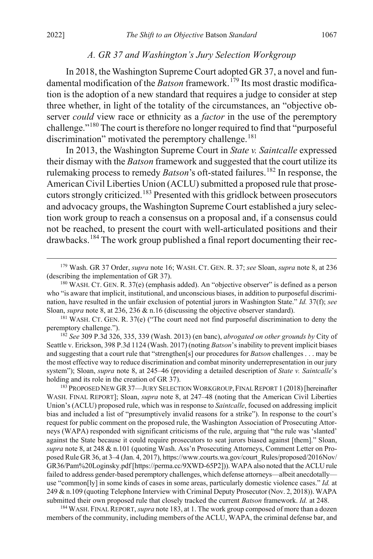#### <span id="page-31-0"></span>*A. GR 37 and Washington's Jury Selection Workgroup*

In 2018, the Washington Supreme Court adopted GR 37, a novel and fundamental modification of the *Batson* framework.<sup>[179](#page-31-2)</sup> Its most drastic modification is the adoption of a new standard that requires a judge to consider at step three whether, in light of the totality of the circumstances, an "objective observer *could* view race or ethnicity as a *factor* in the use of the peremptory challenge."[180](#page-31-3) The court is therefore no longer required to find that "purposeful discrimination" motivated the peremptory challenge.<sup>[181](#page-31-4)</sup>

<span id="page-31-1"></span>In 2013, the Washington Supreme Court in *State v. Saintcalle* expressed their dismay with the *Batson* framework and suggested that the court utilize its rulemaking process to remedy *Batson*'s oft-stated failures.<sup>[182](#page-31-5)</sup> In response, the American Civil Liberties Union (ACLU) submitted a proposed rule that prosecutors strongly criticized.[183](#page-31-6) Presented with this gridlock between prosecutors and advocacy groups, the Washington Supreme Court established a jury selection work group to reach a consensus on a proposal and, if a consensus could not be reached, to present the court with well-articulated positions and their drawbacks.[184](#page-31-7) The work group published a final report documenting their rec-

<span id="page-31-5"></span><sup>182</sup> *See* 309 P.3d 326, 335, 339 (Wash. 2013) (en banc), *abrogated on other grounds by* City of Seattle v. Erickson, 398 P.3d 1124 (Wash. 2017) (noting *Batson*'s inability to prevent implicit biases and suggesting that a court rule that "strengthen[s] our procedures for *Batson* challenges . . . may be the most effective way to reduce discrimination and combat minority underrepresentation in our jury system"); Sloan, *supra* note [8,](#page-2-0) at 245–46 (providing a detailed description of *State v. Saintcalle*'s holding and its role in the creation of GR 37).

<span id="page-31-6"></span><sup>183</sup> PROPOSED NEW GR37—JURY SELECTION WORKGROUP,FINAL REPORT 1 (2018) [hereinafter WASH. FINAL REPORT]; Sloan, *supra* note [8,](#page-2-0) at 247–48 (noting that the American Civil Liberties Union's (ACLU) proposed rule, which was in response to *Saintcalle*, focused on addressing implicit bias and included a list of "presumptively invalid reasons for a strike"). In response to the court's request for public comment on the proposed rule, the Washington Association of Prosecuting Attorneys (WAPA) responded with significant criticisms of the rule, arguing that "the rule was 'slanted' against the State because it could require prosecutors to seat jurors biased against [them]." Sloan, *supra* note [8,](#page-2-0) at 248 & n.101 (quoting Wash. Ass'n Prosecuting Attorneys, Comment Letter on Proposed Rule GR 36, at 3–4 (Jan. 4, 2017), https://www.courts.wa.gov/court\_Rules/proposed/2016Nov/ GR36/Pam%20Loginsky.pdf [https://perma.cc/9XWD-65P2])). WAPA also noted that the ACLU rule failed to address gender-based peremptory challenges, which defense attorneys—albeit anecdotally use "common[ly] in some kinds of cases in some areas, particularly domestic violence cases." *Id.* at 249 & n.109 (quoting Telephone Interview with Criminal Deputy Prosecutor (Nov. 2, 2018)). WAPA submitted their own proposed rule that closely tracked the current *Batson* framework. *Id.* at 248.

<span id="page-31-7"></span><sup>184</sup> WASH. FINAL REPORT, *supra* not[e 183,](#page-31-1) at 1. The work group composed of more than a dozen members of the community, including members of the ACLU, WAPA, the criminal defense bar, and

<span id="page-31-2"></span> <sup>179</sup> Wash. GR 37 Order, *supra* note [16;](#page-4-1) WASH. CT. GEN. R. 37; *see* Sloan, *supra* not[e 8,](#page-2-0) at 236 (describing the implementation of GR 37).<br><sup>180</sup> WASH. CT. GEN. R. 37(e) (emphasis added). An "objective observer" is defined as a person

<span id="page-31-3"></span>who "is aware that implicit, institutional, and unconscious biases, in addition to purposeful discrimination, have resulted in the unfair exclusion of potential jurors in Washington State." *Id.* 37(f); *see* Sloan, *supra* note [8,](#page-2-0) at 236, 236 & n.16 (discussing the objective observer standard).

<span id="page-31-4"></span><sup>181</sup> WASH. CT. GEN. R. 37(e) ("The court need not find purposeful discrimination to deny the peremptory challenge.").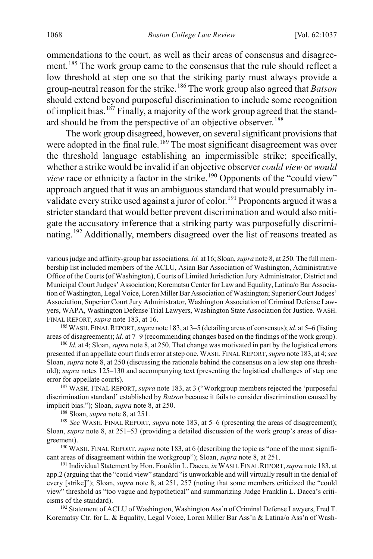ommendations to the court, as well as their areas of consensus and disagree-ment.<sup>[185](#page-32-0)</sup> The work group came to the consensus that the rule should reflect a low threshold at step one so that the striking party must always provide a group-neutral reason for the strike.[186](#page-32-1) The work group also agreed that *Batson* should extend beyond purposeful discrimination to include some recognition of implicit bias.<sup>[187](#page-32-2)</sup> Finally, a majority of the work group agreed that the stand-ard should be from the perspective of an objective observer.<sup>[188](#page-32-3)</sup>

The work group disagreed, however, on several significant provisions that were adopted in the final rule.<sup>[189](#page-32-4)</sup> The most significant disagreement was over the threshold language establishing an impermissible strike; specifically, whether a strike would be invalid if an objective observer *could view* or *would view* race or ethnicity a factor in the strike.<sup>[190](#page-32-5)</sup> Opponents of the "could view" approach argued that it was an ambiguous standard that would presumably in-validate every strike used against a juror of color.<sup>[191](#page-32-6)</sup> Proponents argued it was a stricter standard that would better prevent discrimination and would also mitigate the accusatory inference that a striking party was purposefully discrimi-nating.<sup>[192](#page-32-7)</sup> Additionally, members disagreed over the list of reasons treated as

<span id="page-32-0"></span>185WASH. FINAL REPORT, *supra* not[e 183,](#page-31-1) at 3–5 (detailing areas of consensus); *id.* at 5–6 (listing areas of disagreement); *id.* at 7–9 (recommending changes based on the findings of the work group).

<span id="page-32-1"></span><sup>186</sup> *Id.* at 4; Sloan, *supra* not[e 8,](#page-2-0) at 250. That change was motivated in part by the logistical errors presented if an appellate court finds error at step one. WASH. FINAL REPORT, *supra* not[e 183,](#page-31-1) at 4; *see*  Sloan, *supra* not[e 8,](#page-2-0) at 250 (discussing the rationale behind the consensus on a low step one threshold); *supra* note[s 125](#page-23-0)[–130](#page-24-0) and accompanying text (presenting the logistical challenges of step one error for appellate courts).

<span id="page-32-2"></span><sup>187</sup> WASH. FINAL REPORT, *supra* not[e 183,](#page-31-1) at 3 ("Workgroup members rejected the 'purposeful discrimination standard' established by *Batson* because it fails to consider discrimination caused by implicit bias."); Sloan, *supra* not[e 8,](#page-2-0) at 250.

188 Sloan, *supra* note [8,](#page-2-0) at 251.

<span id="page-32-4"></span><span id="page-32-3"></span><sup>189</sup> *See* WASH. FINAL REPORT, *supra* note [183,](#page-31-1) at 5–6 (presenting the areas of disagreement); Sloan, *supra* note [8,](#page-2-0) at 251–53 (providing a detailed discussion of the work group's areas of disagreement).<br><sup>190</sup> WASH. FINAL REPORT, *supra* not[e 183,](#page-31-1) at 6 (describing the topic as "one of the most signifi-

<span id="page-32-5"></span>cant areas of disagreement within the workgroup"); Sloan, *supra* not[e 8,](#page-2-0) at 251.

<span id="page-32-6"></span><sup>191</sup> Individual Statement by Hon. Franklin L. Dacca, *in* WASH. FINAL REPORT,*supra* not[e 183,](#page-31-1) at app.2 (arguing that the "could view" standard "is unworkable and will virtually result in the denial of every [strike]"); Sloan, *supra* note [8,](#page-2-0) at 251, 257 (noting that some members criticized the "could view" threshold as "too vague and hypothetical" and summarizing Judge Franklin L. Dacca's criticisms of the standard). 192 Statement of ACLU of Washington, Washington Ass'n of Criminal Defense Lawyers, Fred T.

<span id="page-32-7"></span>Korematsy Ctr. for L. & Equality, Legal Voice, Loren Miller Bar Ass'n & Latina/o Ass'n of Wash-

<span id="page-32-9"></span><span id="page-32-8"></span>various judge and affinity-group bar associations. *Id.* at 16; Sloan, *supra* not[e 8,](#page-2-0) at 250. The full membership list included members of the ACLU, Asian Bar Association of Washington, Administrative Office of the Courts (of Washington), Courts of Limited Jurisdiction Jury Administrator, District and Municipal Court Judges' Association; Korematsu Center for Law and Equality, Latina/o Bar Association of Washington, Legal Voice, Loren Miller Bar Association of Washington; SuperiorCourt Judges' Association, Superior Court Jury Administrator, Washington Association of Criminal Defense Lawyers, WAPA, Washington Defense Trial Lawyers, Washington State Association for Justice. WASH. FINAL REPORT, *supra* not[e 183,](#page-31-1) at 16.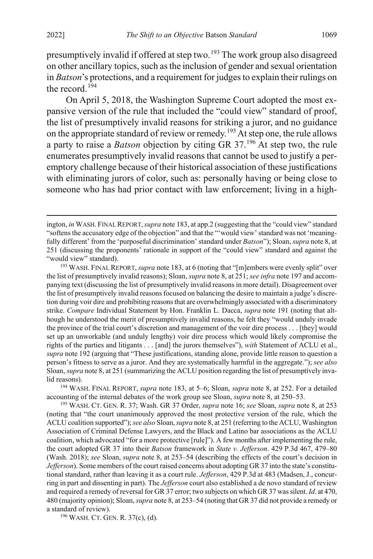$\overline{a}$ 

presumptively invalid if offered at step two.<sup>[193](#page-33-1)</sup> The work group also disagreed on other ancillary topics, such as the inclusion of gender and sexual orientation in *Batson*'s protections, and a requirement for judges to explain their rulings on the record.[194](#page-33-2)

<span id="page-33-0"></span>On April 5, 2018, the Washington Supreme Court adopted the most expansive version of the rule that included the "could view" standard of proof, the list of presumptively invalid reasons for striking a juror, and no guidance on the appropriate standard of review or remedy.<sup>[195](#page-33-3)</sup> At step one, the rule allows a party to raise a *Batson* objection by citing GR 37.[196](#page-33-4) At step two, the rule enumerates presumptively invalid reasons that cannot be used to justify a peremptory challenge because of their historical association of these justifications with eliminating jurors of color, such as: personally having or being close to someone who has had prior contact with law enforcement; living in a high-

<span id="page-33-2"></span>lid reasons). 194 WASH. FINAL REPORT, *supra* note [183,](#page-31-1) at 5–6; Sloan, *supra* note [8,](#page-2-0) at 252. For a detailed accounting of the internal debates of the work group see Sloan, *supra* note [8,](#page-2-0) at 250–53.

<span id="page-33-3"></span><sup>195</sup> WASH. CT. GEN. R. 37; Wash. GR 37 Order, *supra* not[e 16;](#page-4-1) *see* Sloan, *supra* not[e 8,](#page-2-0) at 253 (noting that "the court unanimously approved the most protective version of the rule, which the ACLU coalition supported"); *see also* Sloan, *supra* not[e 8,](#page-2-0) at 251 (referring to the ACLU, Washington Association of Criminal Defense Lawyers, and the Black and Latino bar associations as the ACLU coalition, which advocated "for a more protective [rule]"). A few months after implementing the rule, the court adopted GR 37 into their *Batson* framework in *State v. Jefferson*. 429 P.3d 467, 479–80 (Wash. 2018); *see* Sloan, *supra* note [8,](#page-2-0) at 253–54 (describing the effects of the court's decision in *Jefferson*). Some members of the court raised concerns about adopting GR 37 into the state's constitutional standard, rather than leaving it as a court rule. *Jefferson*, 429 P.3d at 483 (Madsen, J., concurring in part and dissenting in part). The *Jefferson* court also established a de novo standard of review and required a remedy of reversal for GR 37 error; two subjects on which GR 37 was silent. *Id*. at 470, 480 (majority opinion); Sloan, *supra* not[e 8,](#page-2-0) at 253–54 (noting that GR 37 did not provide a remedy or a standard of review).

<span id="page-33-4"></span><sup>196</sup> WASH. CT. GEN. R. 37(c), (d).

ington, *in* WASH. FINAL REPORT,*supra* not[e 183,](#page-31-1) at app.2 (suggesting that the "could view" standard "softens the accusatory edge of the objection" and that the "'would view' standard was not 'meaningfully different' from the 'purposeful discrimination' standard under *Batson*"); Sloan, *supra* not[e 8,](#page-2-0) at 251 (discussing the proponents' rationale in support of the "could view" standard and against the "would view" standard). 193 WASH. FINAL REPORT, *supra* not[e 183,](#page-31-1) at 6 (noting that "[m]embers were evenly split" over

<span id="page-33-1"></span>the list of presumptively invalid reasons); Sloan, *supra* not[e 8,](#page-2-0) at 251; *see infra* not[e 197](#page-34-2) and accompanying text (discussing the list of presumptively invalid reasons in more detail). Disagreement over the list of presumptively invalid reasons focused on balancing the desire to maintain a judge's discretion during voir dire and prohibiting reasons that are overwhelmingly associated with a discriminatory strike. *Compare* Individual Statement by Hon. Franklin L. Dacca, *supra* note [191](#page-32-8) (noting that although he understood the merit of presumptively invalid reasons, he felt they "would unduly invade the province of the trial court's discretion and management of the voir dire process . . . [they] would set up an unworkable (and unduly lengthy) voir dire process which would likely compromise the rights of the parties and litigants . . . [and] the jurors themselves"), *with* Statement of ACLU et al., *supra* not[e 192](#page-32-9) (arguing that "These justifications, standing alone, provide little reason to question a person's fitness to serve as a juror. And they are systematically harmful in the aggregate."); *see also* Sloan, *supra* not[e 8,](#page-2-0) at 251 (summarizing the ACLU position regarding the list of presumptively inva-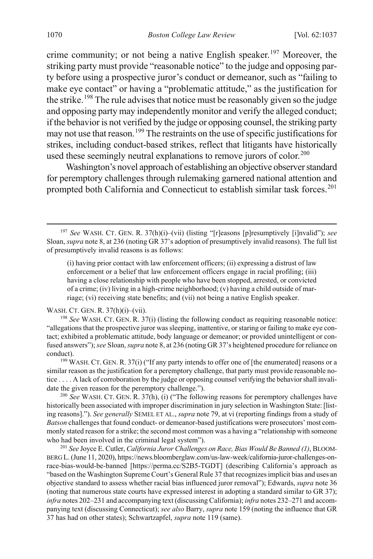<span id="page-34-2"></span>crime community; or not being a native English speaker.<sup>[197](#page-34-3)</sup> Moreover, the striking party must provide "reasonable notice" to the judge and opposing party before using a prospective juror's conduct or demeanor, such as "failing to make eye contact" or having a "problematic attitude," as the justification for the strike.<sup>[198](#page-34-4)</sup> The rule advises that notice must be reasonably given so the judge and opposing party may independently monitor and verify the alleged conduct; if the behavior is not verified by the judge or opposing counsel, the striking party may not use that reason.[199](#page-34-5) The restraints on the use of specific justifications for strikes, including conduct-based strikes, reflect that litigants have historically used these seemingly neutral explanations to remove jurors of color.<sup>[200](#page-34-6)</sup>

<span id="page-34-0"></span>Washington's novel approach of establishing an objective observer standard for peremptory challenges through rulemaking garnered national attention and prompted both California and Connecticut to establish similar task forces.<sup>[201](#page-34-7)</sup>

WASH. CT. GEN. R. 37(h)(i)–(vii).

<span id="page-34-4"></span><sup>198</sup> *See* WASH. CT. GEN. R. 37(i) (listing the following conduct as requiring reasonable notice: "allegations that the prospective juror was sleeping, inattentive, or staring or failing to make eye contact; exhibited a problematic attitude, body language or demeanor; or provided unintelligent or confused answers"); *see* Sloan, *supra* not[e 8,](#page-2-0) at 236 (noting GR 37's heightened procedure for reliance on conduct). 199 WASH. CT. GEN. R. 37(i) ("If any party intends to offer one of [the enumerated] reasons or a

<span id="page-34-5"></span>similar reason as the justification for a peremptory challenge, that party must provide reasonable notice . . . . A lack of corroboration by the judge or opposing counsel verifying the behavior shall invalidate the given reason for the peremptory challenge.").

<span id="page-34-6"></span><sup>200</sup> *See* WASH. CT. GEN. R. 37(h), (i) ("The following reasons for peremptory challenges have historically been associated with improper discrimination in jury selection in Washington State: [listing reasons]."). *See generally* SEMEL ET AL., *supra* not[e 79,](#page-13-0) at vi (reporting findings from a study of *Batson* challenges that found conduct- or demeanor-based justifications were prosecutors' most commonly stated reason for a strike; the second most common was a having a "relationship with someone who had been involved in the criminal legal system").

<span id="page-34-7"></span><sup>201</sup> *See* Joyce E. Cutler, *California Juror Challenges on Race, Bias Would Be Banned (1)*, BLOOM-BERG L. (June 11, 2020), https://news.bloomberglaw.com/us-law-week/california-juror-challenges-onrace-bias-would-be-banned [https://perma.cc/S2B5-TGDT] (describing California's approach as "based on the Washington Supreme Court's General Rule 37 that recognizes implicit bias and uses an objective standard to assess whether racial bias influenced juror removal"); Edwards, *supra* note [36](#page-7-9) (noting that numerous state courts have expressed interest in adopting a standard similar to GR 37); *infra* note[s 202](#page-35-0)[–231](#page-39-1) and accompanying text (discussing California); *infra* note[s 232](#page-40-0)[–271](#page-46-0) and accompanying text (discussing Connecticut); *see also* Barry, *supra* not[e 159](#page-28-6) (noting the influence that GR 37 has had on other states); Schwartzapfel, *supra* note [119](#page-21-0) (same).

<span id="page-34-3"></span> <sup>197</sup> *See* WASH. CT. GEN. R. 37(h)(i)–(vii) (listing "[r]easons [p]resumptively [i]nvalid"); *see*  Sloan, *supra* not[e 8,](#page-2-0) at 236 (noting GR 37's adoption of presumptively invalid reasons). The full list of presumptively invalid reasons is as follows:

<span id="page-34-1"></span><sup>(</sup>i) having prior contact with law enforcement officers; (ii) expressing a distrust of law enforcement or a belief that law enforcement officers engage in racial profiling; (iii) having a close relationship with people who have been stopped, arrested, or convicted of a crime; (iv) living in a high-crime neighborhood; (v) having a child outside of marriage; (vi) receiving state benefits; and (vii) not being a native English speaker.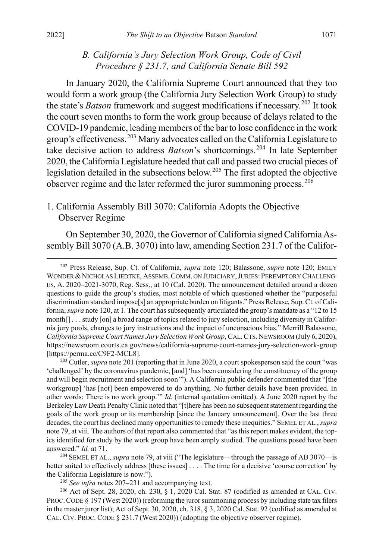## <span id="page-35-0"></span>*B. California's Jury Selection Work Group, Code of Civil Procedure § 231.7, and California Senate Bill 592*

In January 2020, the California Supreme Court announced that they too would form a work group (the California Jury Selection Work Group) to study the state's *Batson* framework and suggest modifications if necessary.<sup>[202](#page-35-1)</sup> It took the court seven months to form the work group because of delays related to the COVID-19 pandemic, leading members of the bar to lose confidence in the work group's effectiveness.<sup>[203](#page-35-2)</sup> Many advocates called on the California Legislature to take decisive action to address *Batson*'s shortcomings.[204](#page-35-3) In late September 2020, the California Legislature heeded that call and passed two crucial pieces of legislation detailed in the subsections below.<sup>[205](#page-35-4)</sup> The first adopted the objective observer regime and the later reformed the juror summoning process.<sup>[206](#page-35-5)</sup>

## 1. California Assembly Bill 3070: California Adopts the Objective Observer Regime

On September 30, 2020, the Governor of California signed California Assembly Bill 3070 (A.B. 3070) into law, amending Section 231.7 of the Califor-

<span id="page-35-2"></span><sup>203</sup> Cutler, *supra* not[e 201](#page-34-1) (reporting that in June 2020, a court spokesperson said the court "was 'challenged' by the coronavirus pandemic, [and] 'has been considering the constituency of the group and will begin recruitment and selection soon'"). A California public defender commented that "[the workgroup] 'has [not] been empowered to do anything. No further details have been provided. In other words: There is no work group."" *Id.* (internal quotation omitted). A June 2020 report by the Berkeley Law Death Penalty Clinic noted that "[t]here has been no subsequent statement regarding the goals of the work group or its membership [since the January announcement]. Over the last three decades, the court has declined many opportunities to remedy these inequities." SEMEL ET AL., *supra* not[e 79,](#page-13-0) at viii. The authors of that report also commented that "as this report makes evident, the topics identified for study by the work group have been amply studied. The questions posed have been answered." *Id.* at 71.

<span id="page-35-3"></span><sup>204</sup> SEMEL ET AL., *supra* not[e 79,](#page-13-0) at viii ("The legislature—through the passage of AB 3070—is better suited to effectively address [these issues] . . . . The time for a decisive 'course correction' by the California Legislature is now.").

<sup>205</sup> *See infra* notes [207–](#page-36-0)[231](#page-39-1) and accompanying text.

<span id="page-35-5"></span><span id="page-35-4"></span><sup>206</sup> Act of Sept. 28, 2020, ch. 230, § 1, 2020 Cal. Stat. 87 (codified as amended at CAL. CIV. PROC. CODE § 197 (West 2020)) (reforming the juror summoning process by including state tax filers in the master juror list); Act of Sept. 30, 2020, ch. 318, § 3, 2020 Cal. Stat. 92 (codified as amended at CAL. CIV. PROC. CODE § 231.7 (West 2020)) (adopting the objective observer regime).

<span id="page-35-1"></span> <sup>202</sup> Press Release, Sup. Ct. of California, *supra* note [120;](#page-22-0) Balassone, *supra* note [120;](#page-22-0) EMILY WONDER & NICHOLAS LIEDTKE, ASSEMB. COMM. ON JUDICIARY, JURIES: PEREMPTORY CHALLENG-ES, A. 2020–2021-3070, Reg. Sess., at 10 (Cal. 2020). The announcement detailed around a dozen questions to guide the group's studies, most notable of which questioned whether the "purposeful discrimination standard impose[s] an appropriate burden on litigants." Press Release, Sup. Ct. of California, *supra* not[e 120,](#page-22-0) at 1. The court has subsequently articulated the group's mandate as a "12 to 15 month[] . . . study [on] a broad range of topics related to jury selection, including diversity in California jury pools, changes to jury instructions and the impact of unconscious bias." Merrill Balassone, *California Supreme Court Names Jury Selection Work Group*, CAL.CTS. NEWSROOM (July 6, 2020), https://newsroom.courts.ca.gov/news/california-supreme-court-names-jury-selection-work-group [https://perma.cc/C9F2-MCL8].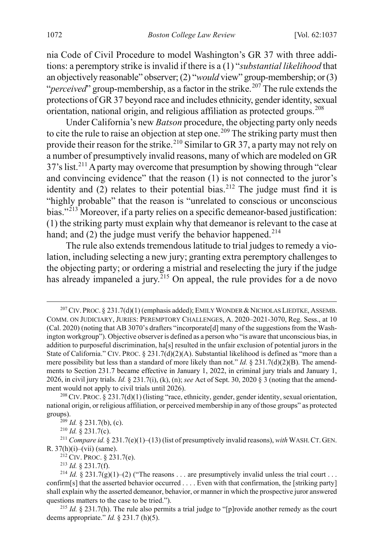<span id="page-36-0"></span>nia Code of Civil Procedure to model Washington's GR 37 with three additions: a peremptory strike is invalid if there is a (1) "*substantial likelihood* that an objectively reasonable" observer; (2) "*would* view" group-membership; or (3) "*perceived*" group-membership, as a factor in the strike.<sup>[207](#page-36-1)</sup> The rule extends the protections of GR 37 beyond race and includes ethnicity, gender identity, sexual orientation, national origin, and religious affiliation as protected groups.<sup>[208](#page-36-2)</sup>

Under California's new *Batson* procedure, the objecting party only needs to cite the rule to raise an objection at step one.<sup>[209](#page-36-3)</sup> The striking party must then provide their reason for the strike.<sup>[210](#page-36-4)</sup> Similar to GR 37, a party may not rely on a number of presumptively invalid reasons, many of which are modeled on GR  $37$ 's list.<sup>[211](#page-36-5)</sup> A party may overcome that presumption by showing through "clear" and convincing evidence" that the reason (1) is not connected to the juror's identity and  $(2)$  relates to their potential bias.<sup>[212](#page-36-6)</sup> The judge must find it is "highly probable" that the reason is "unrelated to conscious or unconscious bias."<sup>[213](#page-36-7)</sup> Moreover, if a party relies on a specific demeanor-based justification: (1) the striking party must explain why that demeanor is relevant to the case at hand; and  $(2)$  the judge must verify the behavior happened.<sup>[214](#page-36-8)</sup>

The rule also extends tremendous latitude to trial judges to remedy a violation, including selecting a new jury; granting extra peremptory challenges to the objecting party; or ordering a mistrial and reselecting the jury if the judge has already impaneled a jury.<sup>[215](#page-36-9)</sup> On appeal, the rule provides for a de novo

<span id="page-36-1"></span><sup>&</sup>lt;sup>207</sup> CIV. PROC. § 231.7(d)(1) (emphasis added); EMILY WONDER & NICHOLAS LIEDTKE, ASSEMB. COMM. ON JUDICIARY, JURIES: PEREMPTORY CHALLENGES, A. 2020–2021-3070, Reg. Sess., at 10 (Cal. 2020) (noting that AB 3070's drafters "incorporate[d] many of the suggestions from the Washington workgroup"). Objective observer is defined as a person who "is aware that unconscious bias, in addition to purposeful discrimination, ha[s] resulted in the unfair exclusion of potential jurors in the State of California." CIV. PROC. § 231.7(d)(2)(A). Substantial likelihood is defined as "more than a mere possibility but less than a standard of more likely than not." *Id.* § 231.7(d)(2)(B). The amendments to Section 231.7 became effective in January 1, 2022, in criminal jury trials and January 1, 2026, in civil jury trials. *Id.* § 231.7(i), (k), (n); *see* Act of Sept. 30, 2020 § 3 (noting that the amend-<br>ment would not apply to civil trials until 2026).

<span id="page-36-2"></span><sup>&</sup>lt;sup>208</sup> CIV. PROC. § 231.7(d)(1) (listing "race, ethnicity, gender, gender identity, sexual orientation, national origin, or religious affiliation, or perceived membership in any of those groups" as protected groups).<br><sup>209</sup> *Id.* § 231.7(b), (c).<br><sup>210</sup> *Id.* § 231.7(c).

<span id="page-36-5"></span><span id="page-36-4"></span><span id="page-36-3"></span><sup>&</sup>lt;sup>211</sup> *Compare id.* § 231.7(e)(1)–(13) (list of presumptively invalid reasons), with WASH. CT. GEN.  $R. 37(h)(i)–(vii)$  (same).

<sup>212</sup> CIV. PROC. § 231.7(e). 213 *Id.* § 231.7(f).

<span id="page-36-8"></span><span id="page-36-7"></span><span id="page-36-6"></span><sup>&</sup>lt;sup>214</sup> *Id.* § 231.7(g)(1)–(2) ("The reasons . . . are presumptively invalid unless the trial court . . . confirm[s] that the asserted behavior occurred . . . . Even with that confirmation, the [striking party] shall explain why the asserted demeanor, behavior, or manner in which the prospective juror answered questions matters to the case to be tried.").

<span id="page-36-9"></span><sup>&</sup>lt;sup>215</sup> *Id.* § 231.7(h). The rule also permits a trial judge to "[p]rovide another remedy as the court deems appropriate." *Id.* § 231.7 (h)(5).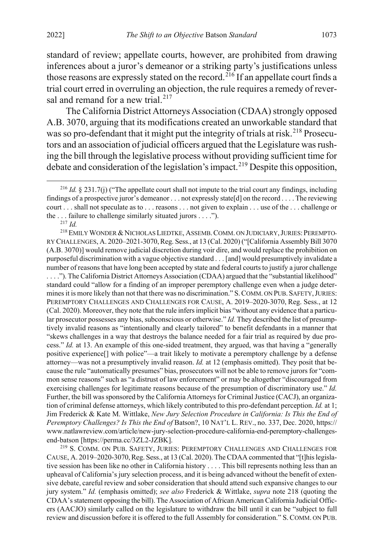standard of review; appellate courts, however, are prohibited from drawing inferences about a juror's demeanor or a striking party's justifications unless those reasons are expressly stated on the record.<sup>[216](#page-37-1)</sup> If an appellate court finds a trial court erred in overruling an objection, the rule requires a remedy of rever-sal and remand for a new trial.<sup>[217](#page-37-2)</sup>

<span id="page-37-0"></span>The California District Attorneys Association (CDAA) strongly opposed A.B. 3070, arguing that its modifications created an unworkable standard that was so pro-defendant that it might put the integrity of trials at risk.<sup>[218](#page-37-3)</sup> Prosecutors and an association of judicial officers argued that the Legislature was rushing the bill through the legislative process without providing sufficient time for debate and consideration of the legislation's impact.<sup>[219](#page-37-4)</sup> Despite this opposition,

<sup>217</sup> *Id.*

<span id="page-37-3"></span><span id="page-37-2"></span><sup>218</sup> EMILY WONDER & NICHOLAS LIEDTKE, ASSEMB. COMM. ON JUDICIARY, JURIES: PEREMPTO-RY CHALLENGES, A. 2020–2021-3070,Reg. Sess., at 13 (Cal. 2020) ("[California Assembly Bill 3070 (A.B. 3070)] would remove judicial discretion during voir dire, and would replace the prohibition on purposeful discrimination with a vague objective standard . . . [and] would presumptively invalidate a number of reasons that have long been accepted by state and federal courts to justify a juror challenge . . . ."). The California District Attorneys Association (CDAA) argued that the "substantial likelihood" standard could "allow for a finding of an improper peremptory challenge even when a judge determines it is more likely than not that there was no discrimination." S.COMM. ON PUB. SAFETY,JURIES: PEREMPTORY CHALLENGES AND CHALLENGES FOR CAUSE, A. 2019–2020-3070, Reg. Sess., at 12 (Cal. 2020). Moreover, they note that the rule infers implicit bias "without any evidence that a particular prosecutor possesses any bias, subconscious or otherwise." *Id.* They described the list of presumptively invalid reasons as "intentionally and clearly tailored" to benefit defendants in a manner that "skews challenges in a way that destroys the balance needed for a fair trial as required by due process." *Id.* at 13. An example of this one-sided treatment, they argued, was that having a "generally positive experience[] with police"—a trait likely to motivate a peremptory challenge by a defense attorney—was not a presumptively invalid reason. *Id.* at 12 (emphasis omitted). They posit that because the rule "automatically presumes" bias, prosecutors will not be able to remove jurors for "common sense reasons" such as "a distrust of law enforcement" or may be altogether "discouraged from exercising challenges for legitimate reasons because of the presumption of discriminatory use." *Id.* Further, the bill was sponsored by the California Attorneys for Criminal Justice (CACJ), an organization of criminal defense attorneys, which likely contributed to this pro-defendant perception. *Id.* at 1; Jim Frederick & Kate M. Wittlake, *New Jury Selection Procedure in California: Is This the End of Peremptory Challenges? Is This the End of Batson?, 10 NAT'L L. REV., no.* 337, Dec. 2020, https:// www.natlawreview.com/article/new-jury-selection-procedure-california-end-peremptory-challengesend-batson [https://perma.cc/3ZL2-JZBK].

<span id="page-37-4"></span><sup>219</sup> S. COMM. ON PUB. SAFETY, JURIES: PEREMPTORY CHALLENGES AND CHALLENGES FOR CAUSE, A. 2019–2020-3070,Reg. Sess., at 13 (Cal. 2020). The CDAA commented that "[t]his legislative session has been like no other in California history . . . . This bill represents nothing less than an upheaval of California's jury selection process, and it is being advanced without the benefit of extensive debate, careful review and sober consideration that should attend such expansive changes to our jury system." *Id.* (emphasis omitted); *see also* Frederick & Wittlake, *supra* note [218](#page-37-0) (quoting the CDAA's statement opposing the bill). The Association of African American California Judicial Officers (AACJO) similarly called on the legislature to withdraw the bill until it can be "subject to full review and discussion before it is offered to the full Assembly for consideration." S.COMM. ON PUB.

<span id="page-37-1"></span> <sup>216</sup> *Id.* § 231.7(j) ("The appellate court shall not impute to the trial court any findings, including findings of a prospective juror's demeanor . . . not expressly state[d] on the record . . . . The reviewing court . . . shall not speculate as to . . . reasons . . . not given to explain . . . use of the . . . challenge or the . . . failure to challenge similarly situated jurors . . . .").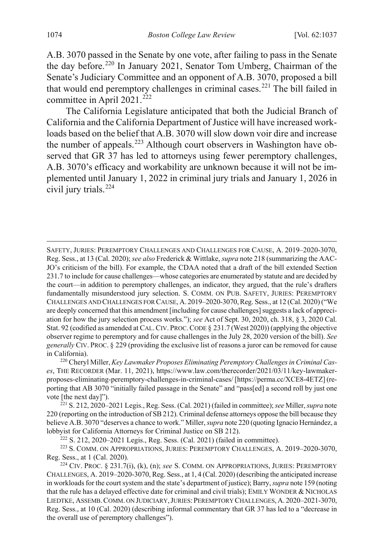<span id="page-38-0"></span>A.B. 3070 passed in the Senate by one vote, after failing to pass in the Senate the day before.[220](#page-38-1) In January 2021, Senator Tom Umberg, Chairman of the Senate's Judiciary Committee and an opponent of A.B. 3070, proposed a bill that would end peremptory challenges in criminal cases.[221](#page-38-2) The bill failed in committee in April  $2021$ .<sup>[222](#page-38-3)</sup>

The California Legislature anticipated that both the Judicial Branch of California and the California Department of Justice will have increased workloads based on the belief that A.B. 3070 will slow down voir dire and increase the number of appeals.<sup>[223](#page-38-4)</sup> Although court observers in Washington have observed that GR 37 has led to attorneys using fewer peremptory challenges, A.B. 3070's efficacy and workability are unknown because it will not be implemented until January 1, 2022 in criminal jury trials and January 1, 2026 in civil jury trials. $224$ 

<span id="page-38-6"></span>SAFETY, JURIES: PEREMPTORY CHALLENGES AND CHALLENGES FOR CAUSE, A. 2019–2020-3070, Reg. Sess., at 13 (Cal. 2020); *see also* Frederick & Wittlake, *supra* not[e 218](#page-37-0) (summarizing the AAC-JO's criticism of the bill). For example, the CDAA noted that a draft of the bill extended Section 231.7 to include for cause challenges—whose categories are enumerated by statute and are decided by the court—in addition to peremptory challenges, an indicator, they argued, that the rule's drafters fundamentally misunderstood jury selection. S. COMM. ON PUB. SAFETY, JURIES: PEREMPTORY CHALLENGES AND CHALLENGES FOR CAUSE, A. 2019–2020-3070,Reg. Sess., at 12 (Cal. 2020) ("We are deeply concerned that this amendment [including for cause challenges] suggests a lack of appreciation for how the jury selection process works."); *see* Act of Sept. 30, 2020, ch. 318, § 3, 2020 Cal. Stat. 92 (codified as amended at CAL.CIV. PROC.CODE § 231.7 (West 2020)) (applying the objective observer regime to peremptory and for cause challenges in the July 28, 2020 version of the bill). *See generally* CIV. PROC. § 229 (providing the exclusive list of reasons a juror can be removed for cause in California).

<span id="page-38-1"></span><sup>220</sup> Cheryl Miller, *Key Lawmaker Proposes Eliminating Peremptory Challenges in Criminal Cases*, THE RECORDER (Mar. 11, 2021), https://www.law.com/therecorder/2021/03/11/key-lawmakerproposes-eliminating-peremptory-challenges-in-criminal-cases/ [https://perma.cc/XCE8-4ETZ] (reporting that AB 3070 "initially failed passage in the Senate" and "pass[ed] a second roll by just one vote [the next day]").

<span id="page-38-2"></span><sup>221</sup> S. 212, 2020–2021 Legis., Reg. Sess. (Cal. 2021) (failed in committee); *see* Miller, *supra* note [220](#page-38-0) (reporting on the introduction of SB 212). Criminal defense attorneys oppose the bill because they believe A.B. 3070 "deserves a chance to work." Miller, *supra* not[e 220](#page-38-0) (quoting Ignacio Hernández, a lobbyist for California Attorneys for Criminal Justice on SB 212).

<sup>222</sup> S. 212, 2020–2021 Legis., Reg. Sess. (Cal. 2021) (failed in committee).

<span id="page-38-4"></span><span id="page-38-3"></span><sup>223</sup> S. COMM. ON APPROPRIATIONS, JURIES: PEREMPTORY CHALLENGES, A. 2019–2020-3070, Reg. Sess., at 1 (Cal. 2020).

<span id="page-38-5"></span><sup>224</sup> CIV. PROC. § 231.7(i), (k), (n); *see* S. COMM. ON APPROPRIATIONS, JURIES: PEREMPTORY CHALLENGES, A. 2019–2020-3070, Reg. Sess., at 1, 4 (Cal. 2020) (describing the anticipated increase in workloads for the court system and the state's department of justice); Barry, *supra* not[e 159](#page-28-6) (noting that the rule has a delayed effective date for criminal and civil trials); EMILY WONDER & NICHOLAS LIEDTKE, ASSEMB.COMM. ON JUDICIARY,JURIES:PEREMPTORY CHALLENGES,A. 2020–2021-3070, Reg. Sess., at 10 (Cal. 2020) (describing informal commentary that GR 37 has led to a "decrease in the overall use of peremptory challenges").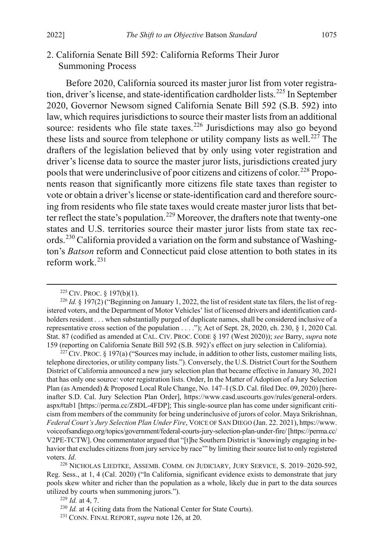<span id="page-39-0"></span>Before 2020, California sourced its master juror list from voter registra-tion, driver's license, and state-identification cardholder lists.<sup>[225](#page-39-2)</sup> In September 2020, Governor Newsom signed California Senate Bill 592 (S.B. 592) into law, which requires jurisdictions to source their master lists from an additional source: residents who file state taxes.<sup>[226](#page-39-3)</sup> Jurisdictions may also go beyond these lists and source from telephone or utility company lists as well.<sup>[227](#page-39-4)</sup> The drafters of the legislation believed that by only using voter registration and driver's license data to source the master juror lists, jurisdictions created jury pools that were underinclusive of poor citizens and citizens of color.<sup>[228](#page-39-5)</sup> Proponents reason that significantly more citizens file state taxes than register to vote or obtain a driver's license or state-identification card and therefore sourcing from residents who file state taxes would create master juror lists that bet-ter reflect the state's population.<sup>[229](#page-39-6)</sup> Moreover, the drafters note that twenty-one states and U.S. territories source their master juror lists from state tax records.[230](#page-39-7) California provided a variation on the form and substance of Washington's *Batson* reform and Connecticut paid close attention to both states in its reform work.[231](#page-39-8)

<span id="page-39-4"></span> $227$  CIV. PROC. § 197(a) ("Sources may include, in addition to other lists, customer mailing lists, telephone directories, or utility company lists."). Conversely, the U.S. District Court for the Southern District of California announced a new jury selection plan that became effective in January 30, 2021 that has only one source: voter registration lists. Order, In the Matter of Adoption of a Jury Selection Plan (as Amended) & Proposed Local Rule Change, No. 147–I (S.D. Cal. filed Dec. 09, 2020) [hereinafter S.D. Cal. Jury Selection Plan Order], https://www.casd.uscourts.gov/rules/general-orders. aspx#tab1 [https://perma.cc/Z8DL-4FDP]; This single-source plan has come under significant criticism from members of the community for being underinclusive of jurors of color. Maya Srikrishnan, *Federal Court's Jury Selection Plan Under Fire*, VOICE OF SAN DIEGO (Jan. 22. 2021), https://www. voiceofsandiego.org/topics/government/federal-courts-jury-selection-plan-under-fire/ [https://perma.cc/ V2PE-TCTW]. One commentator argued that "[t]he Southern District is 'knowingly engaging in behavior that excludes citizens from jury service by race'" by limiting their source list to only registered voters. *Id.* 228 NICHOLAS LIEDTKE, ASSEMB. COMM. ON JUDICIARY, JURY SERVICE, S. 2019–2020-592,

<span id="page-39-6"></span><span id="page-39-5"></span>Reg. Sess., at 1, 4 (Cal. 2020) ("In California, significant evidence exists to demonstrate that jury pools skew whiter and richer than the population as a whole, likely due in part to the data sources utilized by courts when summoning jurors.").

<sup>229</sup> *Id.* at 4, 7.

<span id="page-39-1"></span> $225$  CIV. PROC. § 197(b)(1).

<span id="page-39-3"></span><span id="page-39-2"></span><sup>&</sup>lt;sup>226</sup> *Id.* § 197(2) ("Beginning on January 1, 2022, the list of resident state tax filers, the list of registered voters, and the Department of Motor Vehicles' list of licensed drivers and identification cardholders resident . . . when substantially purged of duplicate names, shall be considered inclusive of a representative cross section of the population . . . ."); Act of Sept. 28, 2020, ch. 230, § 1, 2020 Cal. Stat. 87 (codified as amended at CAL. CIV. PROC. CODE § 197 (West 2020)); *see* Barry, *supra* note [159](#page-28-6) (reporting on California Senate Bill 592 (S.B. 592)'s effect on jury selection in California).

<span id="page-39-7"></span><sup>230</sup> *Id.* at 4 (citing data from the National Center for State Courts).

<span id="page-39-8"></span><sup>231</sup> CONN. FINAL REPORT, *supra* not[e 126,](#page-23-6) at 20.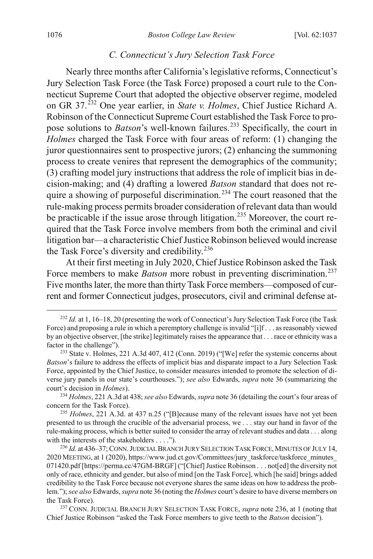## *C. Connecticut's Jury Selection Task Force*

<span id="page-40-0"></span>Nearly three months after California's legislative reforms, Connecticut's Jury Selection Task Force (the Task Force) proposed a court rule to the Connecticut Supreme Court that adopted the objective observer regime, modeled on GR 37.[232](#page-40-2) One year earlier, in *State v. Holmes*, Chief Justice Richard A. Robinson of the Connecticut Supreme Court established the Task Force to propose solutions to *Batson*'s well-known failures.<sup>[233](#page-40-3)</sup> Specifically, the court in *Holmes* charged the Task Force with four areas of reform: (1) changing the juror questionnaires sent to prospective jurors; (2) enhancing the summoning process to create venires that represent the demographics of the community; (3) crafting model jury instructions that address the role of implicit bias in decision-making; and (4) drafting a lowered *Batson* standard that does not re-quire a showing of purposeful discrimination.<sup>[234](#page-40-4)</sup> The court reasoned that the rule-making process permits broader consideration of relevant data than would be practicable if the issue arose through litigation.<sup>[235](#page-40-5)</sup> Moreover, the court required that the Task Force involve members from both the criminal and civil litigation bar—a characteristic Chief Justice Robinson believed would increase the Task Force's diversity and credibility.<sup>[236](#page-40-6)</sup>

<span id="page-40-1"></span>At their first meeting in July 2020, Chief Justice Robinson asked the Task Force members to make *Batson* more robust in preventing discrimination.<sup>[237](#page-40-7)</sup> Five months later, the more than thirty Task Force members—composed of current and former Connecticut judges, prosecutors, civil and criminal defense at-

<span id="page-40-2"></span><sup>&</sup>lt;sup>232</sup> *Id.* at 1, 16–18, 20 (presenting the work of Connecticut's Jury Selection Task Force (the Task Force) and proposing a rule in which a peremptory challenge is invalid "[i]f . . . as reasonably viewed by an objective observer, [the strike] legitimately raises the appearance that . . . race or ethnicity was a factor in the challenge").

<span id="page-40-3"></span><sup>233</sup> State v. Holmes, 221 A.3d 407, 412 (Conn. 2019) ("[We] refer the systemic concerns about *Batson*'s failure to address the effects of implicit bias and disparate impact to a Jury Selection Task Force, appointed by the Chief Justice, to consider measures intended to promote the selection of diverse jury panels in our state's courthouses."); *see also* Edwards, *supra* note [36](#page-7-9) (summarizing the court's decision in *Holmes*).

<span id="page-40-4"></span><sup>234</sup> *Holmes*, 221 A.3d at 438; *see also* Edwards, *supra* not[e 36](#page-7-9) (detailing the court's four areas of concern for the Task Force).

<span id="page-40-5"></span><sup>235</sup> *Holmes*, 221 A.3d. at 437 n.25 ("[B]ecause many of the relevant issues have not yet been presented to us through the crucible of the adversarial process, we . . . stay our hand in favor of the rule-making process, which is better suited to consider the array of relevant studies and data . . . along with the interests of the stakeholders . . . .").

<span id="page-40-6"></span><sup>236</sup> *Id.* at 436–37; CONN.JUDICIAL BRANCH JURY SELECTION TASK FORCE,MINUTES OF JULY 14, 2020 MEETING, at 1 (2020), https://www.jud.ct.gov/Committees/jury\_taskforce/taskforce\_minutes\_ 071420.pdf [https://perma.cc/47GM-BRGF] ("[Chief] Justice Robinson . . . not[ed] the diversity not only of race, ethnicity and gender, but also of mind [on the Task Force], which [he said] brings added credibility to the Task Force because not everyone shares the same ideas on how to address the problem."); *see also* Edwards, *supra* not[e 36](#page-7-9) (noting the *Holmes* court's desire to have diverse members on the Task Force).

<span id="page-40-7"></span><sup>237</sup> CONN. JUDICIAL BRANCH JURY SELECTION TASK FORCE, *supra* note [236,](#page-40-1) at 1 (noting that Chief Justice Robinson "asked the Task Force members to give teeth to the *Batson* decision").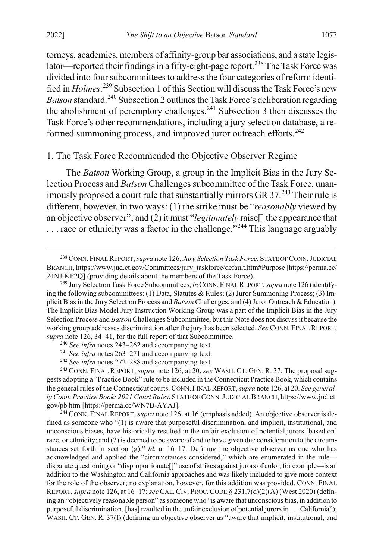torneys, academics, members of affinity-group bar associations, and a state legis-lator—reported their findings in a fifty-eight-page report.<sup>[238](#page-41-1)</sup> The Task Force was divided into four subcommittees to address the four categories of reform identified in *Holmes*. [239](#page-41-2) Subsection 1 of this Section will discuss the Task Force's new *Batson* standard.<sup>[240](#page-41-3)</sup> Subsection 2 outlines the Task Force's deliberation regarding the abolishment of peremptory challenges.<sup>[241](#page-41-4)</sup> Subsection 3 then discusses the Task Force's other recommendations, including a jury selection database, a re-formed summoning process, and improved juror outreach efforts.<sup>[242](#page-41-5)</sup>

## 1. The Task Force Recommended the Objective Observer Regime

<span id="page-41-0"></span>The *Batson* Working Group, a group in the Implicit Bias in the Jury Selection Process and *Batson* Challenges subcommittee of the Task Force, unanimously proposed a court rule that substantially mirrors GR  $37.<sup>243</sup>$  $37.<sup>243</sup>$  $37.<sup>243</sup>$  Their rule is different, however, in two ways: (1) the strike must be "*reasonably* viewed by an objective observer"; and (2) it must "*legitimately* raise[] the appearance that ... race or ethnicity was a factor in the challenge."<sup>[244](#page-41-7)</sup> This language arguably

<span id="page-41-7"></span><sup>244</sup> CONN. FINAL REPORT, *supra* not[e 126,](#page-23-6) at 16 (emphasis added). An objective observer is defined as someone who "(1) is aware that purposeful discrimination, and implicit, institutional, and unconscious biases, have historically resulted in the unfair exclusion of potential jurors [based on] race, or ethnicity; and (2) is deemed to be aware of and to have given due consideration to the circumstances set forth in section (g)." *Id.* at 16–17. Defining the objective observer as one who has acknowledged and applied the "circumstances considered," which are enumerated in the rule disparate questioning or "disproportionate[]" use of strikes against jurors of color, for example—is an addition to the Washington and California approaches and was likely included to give more context for the role of the observer; no explanation, however, for this addition was provided. CONN. FINAL REPORT, *supra* not[e 126,](#page-23-6) at 16–17; *see* CAL.CIV. PROC.CODE § 231.7(d)(2)(A) (West 2020) (defining an "objectively reasonable person" as someone who "is aware that unconscious bias, in addition to purposeful discrimination, [has] resulted in the unfair exclusion of potential jurors in . . . California"); WASH. CT. GEN. R. 37(f) (defining an objective observer as "aware that implicit, institutional, and

<span id="page-41-1"></span> <sup>238</sup>CONN. FINAL REPORT, *supra* not[e 126;](#page-23-6) *Jury Selection Task Force*, STATE OF CONN.JUDICIAL BRANCH, https://www.jud.ct.gov/Committees/jury\_taskforce/default.htm#Purpose [https://perma.cc/ 24NJ-KF2Q] (providing details about the members of the Task Force).

<span id="page-41-2"></span><sup>239</sup> Jury Selection Task Force Subcommittees, *in*CONN. FINAL REPORT, *supra* not[e 126](#page-23-6) (identifying the following subcommittees: (1) Data, Statutes & Rules; (2) Juror Summoning Process; (3) Implicit Bias in the Jury Selection Process and *Batson* Challenges; and (4) Juror Outreach & Education). The Implicit Bias Model Jury Instruction Working Group was a part of the Implicit Bias in the Jury Selection Process and *Batson* Challenges Subcommittee, but this Note does not discuss it because the working group addresses discrimination after the jury has been selected. *See* CONN. FINAL REPORT, *supra* not[e 126,](#page-23-6) 34–41, for the full report of that Subcommittee.

<sup>240</sup> *See infra* notes [243–](#page-41-0)[262](#page-44-1) and accompanying text.

<sup>241</sup> *See infra* notes [263–](#page-44-0)[271](#page-46-0) and accompanying text.

<sup>242</sup> *See infra* notes [272–](#page-46-1)[288](#page-48-1) and accompanying text.

<span id="page-41-6"></span><span id="page-41-5"></span><span id="page-41-4"></span><span id="page-41-3"></span><sup>243</sup> CONN. FINAL REPORT, *supra* not[e 126,](#page-23-6) at 20; *see* WASH. CT. GEN. R. 37. The proposal suggests adopting a "Practice Book" rule to be included in the Connecticut Practice Book, which contains the general rules of the Connecticut courts. CONN. FINAL REPORT, *supra* not[e 126,](#page-23-6) at 20. *See generally Conn. Practice Book: 2021 Court Rules*, STATE OF CONN.JUDICIAL BRANCH, https://www.jud.ct. gov/pb.htm [https://perma.cc/WN7B-AYAJ].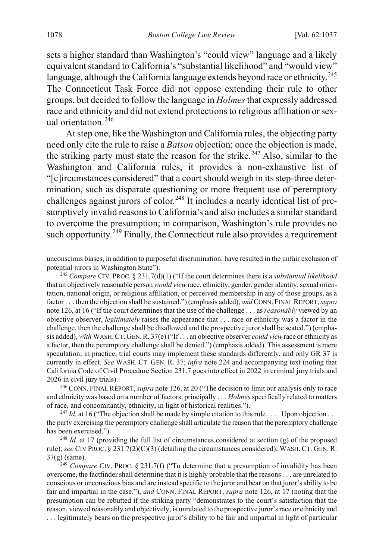sets a higher standard than Washington's "could view" language and a likely equivalent standard to California's "substantial likelihood" and "would view" language, although the California language extends beyond race or ethnicity.<sup>[245](#page-42-0)</sup> The Connecticut Task Force did not oppose extending their rule to other groups, but decided to follow the language in *Holmes*that expressly addressed race and ethnicity and did not extend protections to religious affiliation or sex-ual orientation.<sup>[246](#page-42-1)</sup>

At step one, like the Washington and California rules, the objecting party need only cite the rule to raise a *Batson* objection; once the objection is made, the striking party must state the reason for the strike.<sup>[247](#page-42-2)</sup> Also, similar to the Washington and California rules, it provides a non-exhaustive list of "[c]ircumstances considered" that a court should weigh in its step-three determination, such as disparate questioning or more frequent use of peremptory challenges against jurors of color.<sup>[248](#page-42-3)</sup> It includes a nearly identical list of presumptively invalid reasons to California's and also includes a similar standard to overcome the presumption; in comparison, Washington's rule provides no such opportunity.<sup>[249](#page-42-4)</sup> Finally, the Connecticut rule also provides a requirement

<span id="page-42-1"></span><sup>246</sup> CONN. FINAL REPORT, *supra* not[e 126,](#page-23-6) at 20 ("The decision to limit our analysis only to race and ethnicity was based on a number of factors, principally . . . *Holmes* specifically related to matters of race, and concomitantly, ethnicity, in light of historical realities.").

<span id="page-42-2"></span><sup>247</sup> *Id.* at 16 ("The objection shall be made by simple citation to this rule . . . . Upon objection . . . the party exercising the peremptory challenge shall articulate the reason that the peremptory challenge has been exercised.").

<span id="page-42-3"></span><sup>248</sup> *Id.* at 17 (providing the full list of circumstances considered at section (g) of the proposed rule); *see* CIV PROC. § 231.7(2)(C)(3) (detailing the circumstances considered); WASH. CT. GEN. R. 37(g) (same).

<span id="page-42-4"></span><sup>249</sup> *Compare* CIV. PROC. § 231.7(f) ("To determine that a presumption of invalidity has been overcome, the factfinder shall determine that it is highly probable that the reasons . . . are unrelated to conscious or unconscious bias and are instead specific to the juror and bear on that juror's ability to be fair and impartial in the case."), *and* CONN. FINAL REPORT, *supra* note [126,](#page-23-6) at 17 (noting that the presumption can be rebutted if the striking party "demonstrates to the court's satisfaction that the reason, viewed reasonably and objectively, is unrelated to the prospective juror's race or ethnicity and . . . legitimately bears on the prospective juror's ability to be fair and impartial in light of particular

<span id="page-42-5"></span>unconscious biases, in addition to purposeful discrimination, have resulted in the unfair exclusion of potential jurors in Washington State").

<span id="page-42-0"></span><sup>245</sup> *Compare* CIV. PROC. § 231.7(d)(1) ("If the court determines there is a *substantial likelihood* that an objectively reasonable person *would view* race, ethnicity, gender, gender identity, sexual orientation, national origin, or religious affiliation, or perceived membership in any of those groups, as a factor . . . then the objection shall be sustained.") (emphasis added), *and* CONN. FINAL REPORT, *supra*  not[e 126,](#page-23-6) at 16 ("If the court determines that the use of the challenge . . . as *reasonably* viewed by an objective observer, *legitimately* raises the appearance that . . . race or ethnicity was a factor in the challenge, then the challenge shall be disallowed and the prospective juror shall be seated.") (emphasis added), *with* WASH.CT. GEN.R. 37(e) ("If . . . an objective observer *could view* race or ethnicity as a factor, then the peremptory challenge shall be denied.") (emphasis added). This assessment is mere speculation; in practice, trial courts may implement these standards differently, and only GR 37 is currently in effect. *See* WASH. CT. GEN. R. 37; *infra* not[e 224](#page-38-6) and accompanying text (noting that California Code of Civil Procedure Section 231.7 goes into effect in 2022 in criminal jury trials and 2026 in civil jury trials).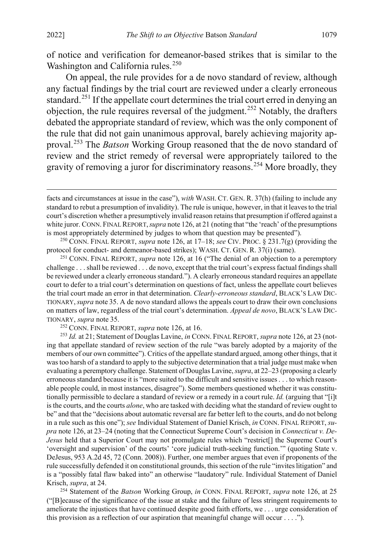<span id="page-43-5"></span> $\overline{a}$ 

of notice and verification for demeanor-based strikes that is similar to the Washington and California rules.<sup>[250](#page-43-0)</sup>

On appeal, the rule provides for a de novo standard of review, although any factual findings by the trial court are reviewed under a clearly erroneous standard.[251](#page-43-1) If the appellate court determines the trial court erred in denying an objection, the rule requires reversal of the judgment.[252](#page-43-2) Notably, the drafters debated the appropriate standard of review, which was the only component of the rule that did not gain unanimous approval, barely achieving majority approval.[253](#page-43-3) The *Batson* Working Group reasoned that the de novo standard of review and the strict remedy of reversal were appropriately tailored to the gravity of removing a juror for discriminatory reasons.<sup>[254](#page-43-4)</sup> More broadly, they

<span id="page-43-0"></span><sup>250</sup> CONN. FINAL REPORT, *supra* note [126,](#page-23-6) at 17–18; *see* CIV. PROC. § 231.7(g) (providing the protocol for conduct- and demeanor-based strikes); WASH. CT. GEN. R. 37(i) (same).

<span id="page-43-1"></span><sup>251</sup> CONN. FINAL REPORT, *supra* note [126,](#page-23-6) at 16 ("The denial of an objection to a peremptory challenge . . . shall be reviewed . . . de novo, except that the trial court's express factual findings shall be reviewed under a clearly erroneous standard."). A clearly erroneous standard requires an appellate court to defer to a trial court's determination on questions of fact, unless the appellate court believes the trial court made an error in that determination. *Clearly-erroneous standard*, BLACK'S LAW DIC-TIONARY,*supra* note [35.](#page-7-11) A de novo standard allows the appeals court to draw their own conclusions on matters of law, regardless of the trial court's determination. *Appeal de novo*, BLACK'S LAW DIC-TIONARY, *supra* note [35.](#page-7-11) 252 CONN. FINAL REPORT, *supra* not[e 126,](#page-23-6) at 16.

<span id="page-43-3"></span><span id="page-43-2"></span><sup>253</sup> *Id.* at 21; Statement of Douglas Lavine, *in* CONN. FINAL REPORT, *supra* not[e 126,](#page-23-6) at 23 (noting that appellate standard of review section of the rule "was barely adopted by a majority of the members of our own committee"). Critics of the appellate standard argued, among other things, that it was too harsh of a standard to apply to the subjective determination that a trial judge must make when evaluating a peremptory challenge. Statement of Douglas Lavine, *supra*, at 22–23 (proposing a clearly erroneous standard because it is "more suited to the difficult and sensitive issues . . . to which reasonable people could, in most instances, disagree"). Some members questioned whether it was constitutionally permissible to declare a standard of review or a remedy in a court rule. *Id.* (arguing that "[i]t is the courts, and the courts *alone*, who are tasked with deciding what the standard of review ought to be" and that the "decisions about automatic reversal are far better left to the courts, and do not belong in a rule such as this one"); *see* Individual Statement of Daniel Krisch, *in* CONN. FINAL REPORT, *supra* not[e 126,](#page-23-6) at 23–24 (noting that the Connecticut Supreme Court's decision in *Connecticut v. De-Jesus* held that a Superior Court may not promulgate rules which "restrict[] the Supreme Court's 'oversight and supervision' of the courts' 'core judicial truth-seeking function.'" (quoting State v. DeJesus, 953 A.2d 45, 72 (Conn. 2008)). Further, one member argues that even if proponents of the rule successfully defended it on constitutional grounds, this section of the rule "invites litigation" and is a "possibly fatal flaw baked into" an otherwise "laudatory" rule. Individual Statement of Daniel Krisch, *supra*, at 24.

<span id="page-43-4"></span><sup>254</sup> Statement of the *Batson* Working Group, *in* CONN. FINAL REPORT, *supra* note [126,](#page-23-6) at 25 ("[B]ecause of the significance of the issue at stake and the failure of less stringent requirements to ameliorate the injustices that have continued despite good faith efforts, we . . . urge consideration of this provision as a reflection of our aspiration that meaningful change will occur  $\dots$ .

facts and circumstances at issue in the case"), *with* WASH. CT. GEN. R. 37(h) (failing to include any standard to rebut a presumption of invalidity). The rule is unique, however, in that it leaves to the trial court's discretion whether a presumptively invalid reason retains that presumption if offered against a white juror. CONN. FINAL REPORT, *supra* not[e 126,](#page-23-6) at 21 (noting that "the 'reach' of the presumptions is most appropriately determined by judges to whom that question may be presented").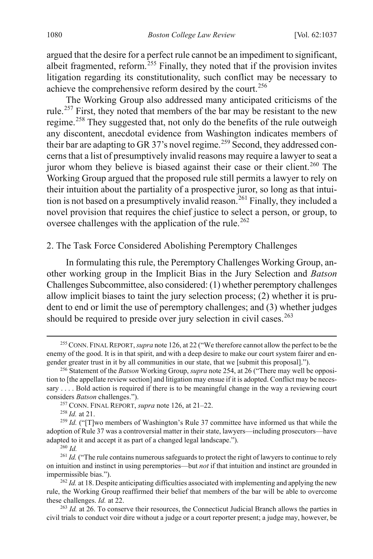argued that the desire for a perfect rule cannot be an impediment to significant, albeit fragmented, reform.<sup>[255](#page-44-2)</sup> Finally, they noted that if the provision invites litigation regarding its constitutionality, such conflict may be necessary to achieve the comprehensive reform desired by the court.<sup>[256](#page-44-3)</sup>

The Working Group also addressed many anticipated criticisms of the rule.[257](#page-44-4) First, they noted that members of the bar may be resistant to the new regime.<sup>[258](#page-44-5)</sup> They suggested that, not only do the benefits of the rule outweigh any discontent, anecdotal evidence from Washington indicates members of their bar are adapting to GR 37's novel regime.<sup>[259](#page-44-6)</sup> Second, they addressed concerns that a list of presumptively invalid reasons may require a lawyer to seat a juror whom they believe is biased against their case or their client.<sup>[260](#page-44-7)</sup> The Working Group argued that the proposed rule still permits a lawyer to rely on their intuition about the partiality of a prospective juror, so long as that intui-tion is not based on a presumptively invalid reason.<sup>[261](#page-44-8)</sup> Finally, they included a novel provision that requires the chief justice to select a person, or group, to oversee challenges with the application of the rule.<sup>[262](#page-44-9)</sup>

## <span id="page-44-1"></span>2. The Task Force Considered Abolishing Peremptory Challenges

In formulating this rule, the Peremptory Challenges Working Group, another working group in the Implicit Bias in the Jury Selection and *Batson* Challenges Subcommittee, also considered: (1) whether peremptory challenges allow implicit biases to taint the jury selection process; (2) whether it is prudent to end or limit the use of peremptory challenges; and (3) whether judges should be required to preside over jury selection in civil cases.<sup>[263](#page-44-10)</sup>

<sup>260</sup> *Id.*

<span id="page-44-2"></span><span id="page-44-0"></span> <sup>255</sup>CONN. FINAL REPORT, *supra* not[e 126,](#page-23-6) at 22 ("We therefore cannot allow the perfect to be the enemy of the good. It is in that spirit, and with a deep desire to make our court system fairer and engender greater trust in it by all communities in our state, that we [submit this proposal].").

<span id="page-44-3"></span><sup>256</sup> Statement of the *Batson* Working Group, *supra* not[e 254,](#page-43-5) at 26 ("There may well be opposition to [the appellate review section] and litigation may ensue if it is adopted. Conflict may be necessary . . . . Bold action is required if there is to be meaningful change in the way a reviewing court considers *Batson* challenges.").

<sup>257</sup> CONN. FINAL REPORT, *supra* not[e 126,](#page-23-6) at 21–22. 258 *Id.* at 21.

<span id="page-44-6"></span><span id="page-44-5"></span><span id="page-44-4"></span><sup>&</sup>lt;sup>259</sup> *Id.* ("[T]wo members of Washington's Rule 37 committee have informed us that while the adoption of Rule 37 was a controversial matter in their state, lawyers—including prosecutors—have adapted to it and accept it as part of a changed legal landscape.").

<span id="page-44-8"></span><span id="page-44-7"></span><sup>&</sup>lt;sup>261</sup> *Id.* ("The rule contains numerous safeguards to protect the right of lawyers to continue to rely on intuition and instinct in using peremptories—but *not* if that intuition and instinct are grounded in impermissible bias.").

<span id="page-44-9"></span><sup>&</sup>lt;sup>262</sup> *Id.* at 18. Despite anticipating difficulties associated with implementing and applying the new rule, the Working Group reaffirmed their belief that members of the bar will be able to overcome these challenges. *Id.* at 22.

<span id="page-44-10"></span><sup>&</sup>lt;sup>263</sup> *Id.* at 26. To conserve their resources, the Connecticut Judicial Branch allows the parties in civil trials to conduct voir dire without a judge or a court reporter present; a judge may, however, be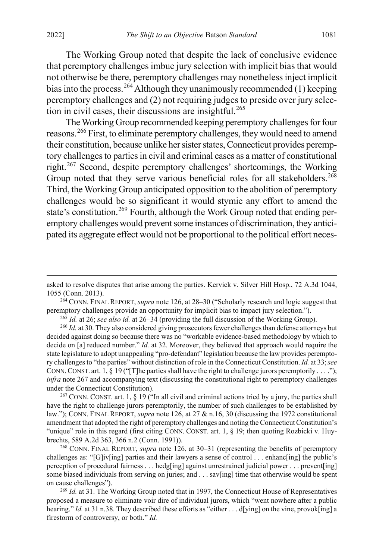The Working Group noted that despite the lack of conclusive evidence that peremptory challenges imbue jury selection with implicit bias that would not otherwise be there, peremptory challenges may nonetheless inject implicit bias into the process.<sup>[264](#page-45-1)</sup> Although they unanimously recommended (1) keeping peremptory challenges and (2) not requiring judges to preside over jury selec-tion in civil cases, their discussions are insightful.<sup>[265](#page-45-2)</sup>

<span id="page-45-0"></span>The Working Group recommended keeping peremptory challenges for four reasons.[266](#page-45-3) First, to eliminate peremptory challenges, they would need to amend their constitution, because unlike her sister states, Connecticut provides peremptory challenges to parties in civil and criminal cases as a matter of constitutional right.[267](#page-45-4) Second, despite peremptory challenges' shortcomings, the Working Group noted that they serve various beneficial roles for all stakeholders.<sup>[268](#page-45-5)</sup> Third, the Working Group anticipated opposition to the abolition of peremptory challenges would be so significant it would stymie any effort to amend the state's constitution.<sup>[269](#page-45-6)</sup> Fourth, although the Work Group noted that ending peremptory challenges would prevent some instances of discrimination, they anticipated its aggregate effect would not be proportional to the political effort neces-

<sup>265</sup> *Id.* at 26; *see also id.* at 26–34 (providing the full discussion of the Working Group).

asked to resolve disputes that arise among the parties. Kervick v. Silver Hill Hosp., 72 A.3d 1044, 1055 (Conn. 2013). 264 CONN. FINAL REPORT, *supra* not[e 126,](#page-23-6) at 28–30 ("Scholarly research and logic suggest that

<span id="page-45-1"></span>peremptory challenges provide an opportunity for implicit bias to impact jury selection.").

<span id="page-45-3"></span><span id="page-45-2"></span><sup>&</sup>lt;sup>266</sup> *Id.* at 30. They also considered giving prosecutors fewer challenges than defense attorneys but decided against doing so because there was no "workable evidence-based methodology by which to decide on [a] reduced number." *Id.* at 32. Moreover, they believed that approach would require the state legislature to adopt unappealing "pro-defendant" legislation because the law provides peremptory challenges to "the parties" without distinction of role in the Connecticut Constitution. *Id.* at 33; *see* CONN. CONST. art. 1,  $\S$  19 ("[T]he parties shall have the right to challenge jurors peremptorily . . . ."); *infra* not[e 267](#page-45-0) and accompanying text (discussing the constitutional right to peremptory challenges under the Connecticut Constitution).

<span id="page-45-4"></span><sup>&</sup>lt;sup>267</sup> CONN. CONST. art. 1,  $\S$  19 ("In all civil and criminal actions tried by a jury, the parties shall have the right to challenge jurors peremptorily, the number of such challenges to be established by law."); CONN. FINAL REPORT, *supra* note [126,](#page-23-6) at 27 & n.16, 30 (discussing the 1972 constitutional amendment that adopted the right of peremptory challenges and noting the Connecticut Constitution's "unique" role in this regard (first citing CONN. CONST. art. 1, § 19; then quoting Rozbicki v. Huybrechts, 589 A.2d 363, 366 n.2 (Conn. 1991)).

<span id="page-45-5"></span><sup>268</sup> CONN. FINAL REPORT, *supra* note [126,](#page-23-6) at 30–31 (representing the benefits of peremptory challenges as: "[G]iv[ing] parties and their lawyers a sense of control . . . enhanc[ing] the public's perception of procedural fairness . . . hedg[ing] against unrestrained judicial power . . . prevent[ing] some biased individuals from serving on juries; and . . . sav[ing] time that otherwise would be spent on cause challenges").

<span id="page-45-6"></span><sup>&</sup>lt;sup>269</sup> *Id.* at 31. The Working Group noted that in 1997, the Connecticut House of Representatives proposed a measure to eliminate voir dire of individual jurors, which "went nowhere after a public hearing." *Id.* at 31 n.38. They described these efforts as "either . . . d[ying] on the vine, provok[ing] a firestorm of controversy, or both." *Id.*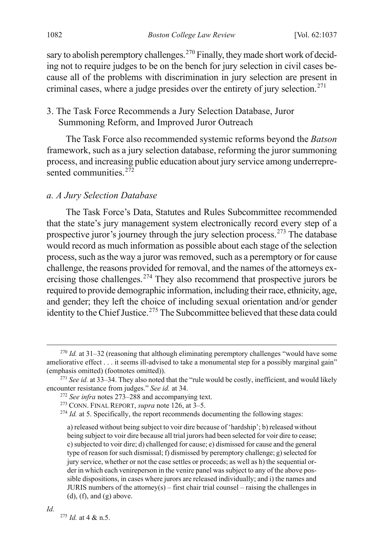sary to abolish peremptory challenges.<sup>[270](#page-46-3)</sup> Finally, they made short work of deciding not to require judges to be on the bench for jury selection in civil cases because all of the problems with discrimination in jury selection are present in criminal cases, where a judge presides over the entirety of jury selection.<sup>[271](#page-46-4)</sup>

## <span id="page-46-0"></span>3. The Task Force Recommends a Jury Selection Database, Juror Summoning Reform, and Improved Juror Outreach

The Task Force also recommended systemic reforms beyond the *Batson* framework, such as a jury selection database, reforming the juror summoning process, and increasing public education about jury service among underrepresented communities. $272$ 

## <span id="page-46-1"></span>*a. A Jury Selection Database*

<span id="page-46-2"></span>The Task Force's Data, Statutes and Rules Subcommittee recommended that the state's jury management system electronically record every step of a prospective juror's journey through the jury selection process.<sup>[273](#page-46-6)</sup> The database would record as much information as possible about each stage of the selection process, such as the way a juror was removed, such as a peremptory or for cause challenge, the reasons provided for removal, and the names of the attorneys ex-ercising those challenges.<sup>[274](#page-46-7)</sup> They also recommend that prospective jurors be required to provide demographic information, including their race, ethnicity, age, and gender; they left the choice of including sexual orientation and/or gender identity to the Chief Justice.<sup>[275](#page-46-8)</sup> The Subcommittee believed that these data could

<sup>275</sup> *Id.* at 4 & n.5.

<span id="page-46-8"></span>*Id.*

<span id="page-46-3"></span><sup>&</sup>lt;sup>270</sup> *Id.* at 31–32 (reasoning that although eliminating peremptory challenges "would have some ameliorative effect . . . it seems ill-advised to take a monumental step for a possibly marginal gain" (emphasis omitted) (footnotes omitted)).

<span id="page-46-7"></span><span id="page-46-6"></span><span id="page-46-5"></span><span id="page-46-4"></span><sup>271</sup> *See id.* at 33–34. They also noted that the "rule would be costly, inefficient, and would likely encounter resistance from judges." *See id.* at 34.

<sup>272</sup> *See infra* notes [273–](#page-46-2)[288](#page-48-1) and accompanying text.

<sup>273</sup> CONN. FINAL REPORT, *supra* not[e 126,](#page-23-6) at 3–5. 274 *Id.* at 5. Specifically, the report recommends documenting the following stages:

a) released without being subject to voir dire because of 'hardship'; b) released without being subject to voir dire because all trial jurors had been selected for voir dire to cease; c) subjected to voir dire; d) challenged for cause; e) dismissed for cause and the general type of reason for such dismissal; f) dismissed by peremptory challenge; g) selected for jury service, whether or not the case settles or proceeds; as well as h) the sequential order in which each venireperson in the venire panel was subject to any of the above possible dispositions, in cases where jurors are released individually; and i) the names and JURIS numbers of the attorney(s) – first chair trial counsel – raising the challenges in  $(d)$ ,  $(f)$ , and  $(g)$  above.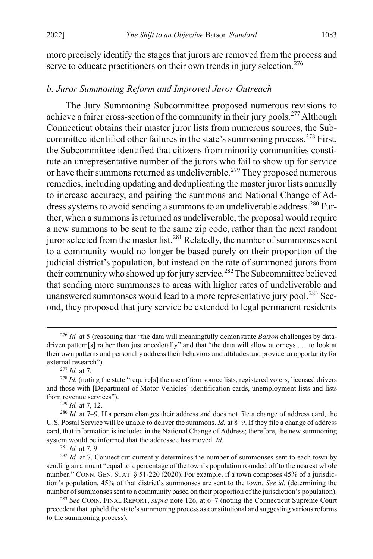<span id="page-47-8"></span>more precisely identify the stages that jurors are removed from the process and serve to educate practitioners on their own trends in jury selection. $276$ 

## *b. Juror Summoning Reform and Improved Juror Outreach*

<span id="page-47-9"></span>The Jury Summoning Subcommittee proposed numerous revisions to achieve a fairer cross-section of the community in their jury pools.<sup>[277](#page-47-1)</sup> Although Connecticut obtains their master juror lists from numerous sources, the Sub-committee identified other failures in the state's summoning process.<sup>[278](#page-47-2)</sup> First, the Subcommittee identified that citizens from minority communities constitute an unrepresentative number of the jurors who fail to show up for service or have their summons returned as undeliverable.<sup>[279](#page-47-3)</sup> They proposed numerous remedies, including updating and deduplicating the master juror lists annually to increase accuracy, and pairing the summons and National Change of Ad-dress systems to avoid sending a summons to an undeliverable address.<sup>[280](#page-47-4)</sup> Further, when a summons is returned as undeliverable, the proposal would require a new summons to be sent to the same zip code, rather than the next random juror selected from the master list.<sup>[281](#page-47-5)</sup> Relatedly, the number of summonses sent to a community would no longer be based purely on their proportion of the judicial district's population, but instead on the rate of summoned jurors from their community who showed up for jury service.<sup>[282](#page-47-6)</sup> The Subcommittee believed that sending more summonses to areas with higher rates of undeliverable and unanswered summonses would lead to a more representative jury pool.<sup>[283](#page-47-7)</sup> Second, they proposed that jury service be extended to legal permanent residents

<sup>277</sup> *Id.* at 7.

<sup>281</sup> *Id.* at 7, 9.

<span id="page-47-0"></span> <sup>276</sup> *Id.* at 5 (reasoning that "the data will meaningfully demonstrate *Batson* challenges by datadriven pattern[s] rather than just anecdotally" and that "the data will allow attorneys . . . to look at their own patterns and personally address their behaviors and attitudes and provide an opportunity for external research").

<span id="page-47-2"></span><span id="page-47-1"></span><sup>&</sup>lt;sup>278</sup> *Id.* (noting the state "require[s] the use of four source lists, registered voters, licensed drivers and those with [Department of Motor Vehicles] identification cards, unemployment lists and lists from revenue services").<br> $^{279}$  *Id.* at 7, 12.

<span id="page-47-4"></span><span id="page-47-3"></span><sup>280</sup> *Id.* at 7–9. If a person changes their address and does not file a change of address card, the U.S. Postal Service will be unable to deliver the summons. *Id.* at 8–9. If they file a change of address card, that information is included in the National Change of Address; therefore, the new summoning system would be informed that the addressee has moved. *Id.*

<span id="page-47-6"></span><span id="page-47-5"></span><sup>&</sup>lt;sup>282</sup> *Id.* at 7. Connecticut currently determines the number of summonses sent to each town by sending an amount "equal to a percentage of the town's population rounded off to the nearest whole number." CONN. GEN. STAT. § 51-220 (2020). For example, if a town composes 45% of a jurisdiction's population, 45% of that district's summonses are sent to the town. *See id.* (determining the number of summonses sent to a community based on their proportion of the jurisdiction's population).

<span id="page-47-7"></span><sup>283</sup> *See* CONN. FINAL REPORT, *supra* note [126,](#page-23-6) at 6–7 (noting the Connecticut Supreme Court precedent that upheld the state's summoning process as constitutional and suggesting various reforms to the summoning process).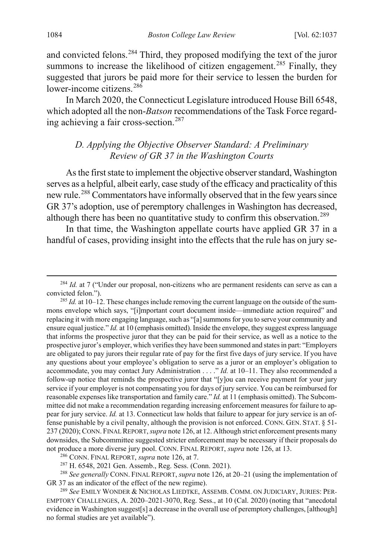and convicted felons.<sup>[284](#page-48-2)</sup> Third, they proposed modifying the text of the juror summons to increase the likelihood of citizen engagement.<sup>[285](#page-48-3)</sup> Finally, they suggested that jurors be paid more for their service to lessen the burden for lower-income citizens. $^{286}$  $^{286}$  $^{286}$ 

In March 2020, the Connecticut Legislature introduced House Bill 6548, which adopted all the non-*Batson* recommendations of the Task Force regard-ing achieving a fair cross-section.<sup>[287](#page-48-5)</sup>

## <span id="page-48-0"></span>*D. Applying the Objective Observer Standard: A Preliminary Review of GR 37 in the Washington Courts*

<span id="page-48-1"></span>As the first state to implement the objective observer standard, Washington serves as a helpful, albeit early, case study of the efficacy and practicality of this new rule.[288](#page-48-6) Commentators have informally observed that in the few years since GR 37's adoption, use of peremptory challenges in Washington has decreased, although there has been no quantitative study to confirm this observation.<sup>[289](#page-48-7)</sup>

In that time, the Washington appellate courts have applied GR 37 in a handful of cases, providing insight into the effects that the rule has on jury se-

<span id="page-48-6"></span><span id="page-48-5"></span><span id="page-48-4"></span><sup>288</sup> *See generally* CONN. FINAL REPORT, *supra* not[e 126,](#page-23-6) at 20–21 (using the implementation of GR 37 as an indicator of the effect of the new regime).

<span id="page-48-2"></span><sup>&</sup>lt;sup>284</sup> *Id.* at 7 ("Under our proposal, non-citizens who are permanent residents can serve as can a convicted felon.").

<span id="page-48-3"></span><sup>&</sup>lt;sup>285</sup> *Id.* at 10–12. These changes include removing the current language on the outside of the summons envelope which says, "[i]mportant court document inside—immediate action required" and replacing it with more engaging language, such as "[a] summons for you to serve your community and ensure equal justice." *Id.* at 10 (emphasis omitted). Inside the envelope, they suggest express language that informs the prospective juror that they can be paid for their service, as well as a notice to the prospective juror's employer, which verifies they have been summoned and states in part: "Employers are obligated to pay jurors their regular rate of pay for the first five days of jury service. If you have any questions about your employee's obligation to serve as a juror or an employer's obligation to accommodate, you may contact Jury Administration . . . ." *Id.* at 10–11. They also recommended a follow-up notice that reminds the prospective juror that "[y]ou can receive payment for your jury service if your employer is not compensating you for days of jury service. You can be reimbursed for reasonable expenses like transportation and family care." *Id.* at 11 (emphasis omitted). The Subcommittee did not make a recommendation regarding increasing enforcement measures for failure to appear for jury service. *Id.* at 13. Connecticut law holds that failure to appear for jury service is an offense punishable by a civil penalty, although the provision is not enforced. CONN. GEN. STAT. § 51- 237 (2020); CONN. FINAL REPORT, *supra* not[e 126,](#page-23-6) at 12. Although strict enforcement presents many downsides, the Subcommittee suggested stricter enforcement may be necessary if their proposals do not produce a more diverse jury pool. CONN. FINAL REPORT, *supra* note [126,](#page-23-6) at 13.

<sup>286</sup> CONN. FINAL REPORT, *supra* not[e 126,](#page-23-6) at 7. 287 H. 6548, 2021 Gen. Assemb., Reg. Sess. (Conn. 2021).

<span id="page-48-7"></span><sup>289</sup> *See* EMILY WONDER & NICHOLAS LIEDTKE, ASSEMB. COMM. ON JUDICIARY, JURIES: PER-EMPTORY CHALLENGES, A. 2020–2021-3070, Reg. Sess., at 10 (Cal. 2020) (noting that "anecdotal evidence in Washington suggest[s] a decrease in the overall use of peremptory challenges, [although] no formal studies are yet available").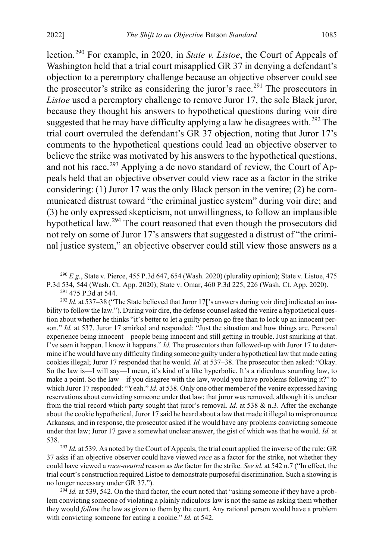lection.[290](#page-49-0) For example, in 2020, in *State v. Listoe*, the Court of Appeals of Washington held that a trial court misapplied GR 37 in denying a defendant's objection to a peremptory challenge because an objective observer could see the prosecutor's strike as considering the juror's race.<sup>[291](#page-49-1)</sup> The prosecutors in *Listoe* used a peremptory challenge to remove Juror 17, the sole Black juror, because they thought his answers to hypothetical questions during voir dire suggested that he may have difficulty applying a law he disagrees with.<sup>[292](#page-49-2)</sup> The trial court overruled the defendant's GR 37 objection, noting that Juror 17's comments to the hypothetical questions could lead an objective observer to believe the strike was motivated by his answers to the hypothetical questions, and not his race.<sup>[293](#page-49-3)</sup> Applying a de novo standard of review, the Court of Appeals held that an objective observer could view race as a factor in the strike considering: (1) Juror 17 was the only Black person in the venire; (2) he communicated distrust toward "the criminal justice system" during voir dire; and (3) he only expressed skepticism, not unwillingness, to follow an implausible hypothetical law.<sup>[294](#page-49-4)</sup> The court reasoned that even though the prosecutors did not rely on some of Juror 17's answers that suggested a distrust of "the criminal justice system," an objective observer could still view those answers as a

<span id="page-49-0"></span> <sup>290</sup> *E.g.*, State v. Pierce, 455 P.3d 647, 654 (Wash. 2020) (plurality opinion); State v. Listoe, 475 P.3d 534, 544 (Wash. Ct. App. 2020); State v. Omar, 460 P.3d 225, 226 (Wash. Ct. App. 2020).

<sup>291</sup> 475 P.3d at 544.

<span id="page-49-2"></span><span id="page-49-1"></span><sup>&</sup>lt;sup>292</sup> *Id.* at 537–38 ("The State believed that Juror 17]'s answers during voir dire] indicated an inability to follow the law."). During voir dire, the defense counsel asked the venire a hypothetical question about whether he thinks "it's better to let a guilty person go free than to lock up an innocent person." *Id.* at 537. Juror 17 smirked and responded: "Just the situation and how things are. Personal experience being innocent—people being innocent and still getting in trouble. Just smirking at that. I've seen it happen. I know it happens." *Id.* The prosecutors then followed-up with Juror 17 to determine if he would have any difficulty finding someone guilty under a hypothetical law that made eating cookies illegal; Juror 17 responded that he would. *Id.* at 537–38. The prosecutor then asked: "Okay. So the law is—I will say—I mean, it's kind of a like hyperbolic. It's a ridiculous sounding law, to make a point. So the law—if you disagree with the law, would you have problems following it?" to which Juror 17 responded: "Yeah." *Id.* at 538. Only one other member of the venire expressed having reservations about convicting someone under that law; that juror was removed, although it is unclear from the trial record which party sought that juror's removal. *Id.* at 538 & n.3. After the exchange about the cookie hypothetical, Juror 17 said he heard about a law that made it illegal to mispronounce Arkansas, and in response, the prosecutor asked if he would have any problems convicting someone under that law; Juror 17 gave a somewhat unclear answer, the gist of which was that he would. *Id.* at 538. 293 *Id.* at 539. As noted by the Court of Appeals, the trial court applied the inverse of the rule: GR

<span id="page-49-3"></span><sup>37</sup> asks if an objective observer could have viewed *race* as a factor for the strike, not whether they could have viewed a *race-neutral* reason as *the* factor for the strike. *See id.* at 542 n.7 ("In effect, the trial court's construction required Listoe to demonstrate purposeful discrimination. Such a showing is no longer necessary under GR 37.").

<span id="page-49-4"></span><sup>&</sup>lt;sup>294</sup> *Id.* at 539, 542. On the third factor, the court noted that "asking someone if they have a problem convicting someone of violating a plainly ridiculous law is not the same as asking them whether they would *follow* the law as given to them by the court. Any rational person would have a problem with convicting someone for eating a cookie." *Id.* at 542.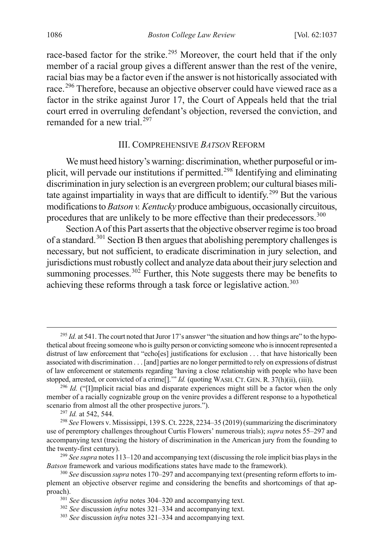race-based factor for the strike.<sup>[295](#page-50-2)</sup> Moreover, the court held that if the only member of a racial group gives a different answer than the rest of the venire, racial bias may be a factor even if the answer is not historically associated with race.<sup>[296](#page-50-3)</sup> Therefore, because an objective observer could have viewed race as a factor in the strike against Juror 17, the Court of Appeals held that the trial court erred in overruling defendant's objection, reversed the conviction, and remanded for a new trial. $297$ 

#### <span id="page-50-1"></span><span id="page-50-0"></span>III. COMPREHENSIVE *BATSON* REFORM

We must heed history's warning: discrimination, whether purposeful or implicit, will pervade our institutions if permitted.[298](#page-50-5) Identifying and eliminating discrimination in jury selection is an evergreen problem; our cultural biases mili-tate against impartiality in ways that are difficult to identify.<sup>[299](#page-50-6)</sup> But the various modifications to *Batson v. Kentucky* produce ambiguous, occasionally circuitous, procedures that are unlikely to be more effective than their predecessors.<sup>[300](#page-50-7)</sup>

Section A of this Part asserts that the objective observer regime is too broad of a standard.[301](#page-50-8) Section B then argues that abolishing peremptory challenges is necessary, but not sufficient, to eradicate discrimination in jury selection, and jurisdictions must robustly collect and analyze data about their jury selection and summoning processes. $302$  Further, this Note suggests there may be benefits to achieving these reforms through a task force or legislative action.<sup>[303](#page-50-10)</sup>

<span id="page-50-2"></span><sup>&</sup>lt;sup>295</sup> *Id.* at 541. The court noted that Juror 17's answer "the situation and how things are" to the hypothetical about freeing someone who is guilty person or convicting someone who is innocent represented a distrust of law enforcement that "echo[es] justifications for exclusion . . . that have historically been associated with discrimination . . . [and] parties are no longer permitted to rely on expressions of distrust of law enforcement or statements regarding 'having a close relationship with people who have been stopped, arrested, or convicted of a crime[]."  $Id$ . (quoting WASH. CT. GEN. R. 37(h)(ii), (iii)).

<span id="page-50-3"></span><sup>&</sup>lt;sup>296</sup> Id. ("[I]mplicit racial bias and disparate experiences might still be a factor when the only member of a racially cognizable group on the venire provides a different response to a hypothetical scenario from almost all the other prospective jurors.").

<sup>297</sup> *Id.* at 542, 544.

<span id="page-50-5"></span><span id="page-50-4"></span><sup>298</sup> *See* Flowers v. Mississippi, 139 S. Ct. 2228, 2234–35 (2019) (summarizing the discriminatory use of peremptory challenges throughout Curtis Flowers' numerous trials); *supra* note[s 55](#page-10-0)[–297](#page-50-0) and accompanying text (tracing the history of discrimination in the American jury from the founding to the twenty-first century).

<span id="page-50-6"></span><sup>&</sup>lt;sup>299</sup> See supra note[s 113](#page-20-1)[–120](#page-22-0) and accompanying text (discussing the role implicit bias plays in the *Batson* framework and various modifications states have made to the framework).

<span id="page-50-9"></span><span id="page-50-8"></span><span id="page-50-7"></span><sup>300</sup> *See* discussion *supra* note[s 170–](#page-30-1)[297](#page-50-0) and accompanying text (presenting reform efforts to implement an objective observer regime and considering the benefits and shortcomings of that approach). 301 *See* discussion *infra* note[s 304](#page-51-0)[–320](#page-53-0) and accompanying text.

<sup>302</sup> *See* discussion *infra* note[s 321](#page-53-1)[–334](#page-55-0) and accompanying text.

<span id="page-50-10"></span><sup>303</sup> *See* discussion *infra* note[s 321](#page-53-1)[–334](#page-55-0) and accompanying text.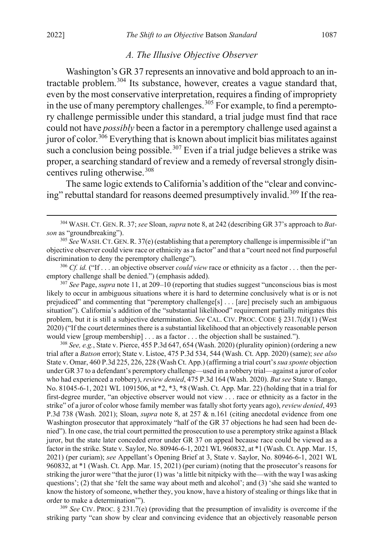## <span id="page-51-0"></span>*A. The Illusive Objective Observer*

Washington's GR 37 represents an innovative and bold approach to an in-tractable problem.<sup>[304](#page-51-1)</sup> Its substance, however, creates a vague standard that, even by the most conservative interpretation, requires a finding of impropriety in the use of many peremptory challenges.<sup>[305](#page-51-2)</sup> For example, to find a peremptory challenge permissible under this standard, a trial judge must find that race could not have *possibly* been a factor in a peremptory challenge used against a juror of color.<sup>[306](#page-51-3)</sup> Everything that is known about implicit bias militates against such a conclusion being possible.<sup>[307](#page-51-4)</sup> Even if a trial judge believes a strike was proper, a searching standard of review and a remedy of reversal strongly disin-centives ruling otherwise.<sup>[308](#page-51-5)</sup>

The same logic extends to California's addition of the "clear and convinc-ing" rebuttal standard for reasons deemed presumptively invalid.<sup>[309](#page-51-6)</sup> If the rea-

<span id="page-51-4"></span><sup>307</sup> *See* Page, *supra* not[e 11,](#page-3-6) at 209–10 (reporting that studies suggest "unconscious bias is most likely to occur in ambiguous situations where it is hard to determine conclusively what is or is not prejudiced" and commenting that "peremptory challenge[s] . . . [are] precisely such an ambiguous situation"). California's addition of the "substantial likelihood" requirement partially mitigates this problem, but it is still a subjective determination. *See* CAL. CIV. PROC. CODE § 231.7(d)(1) (West 2020) ("If the court determines there is a substantial likelihood that an objectively reasonable person would view [group membership] . . . as a factor . . . the objection shall be sustained.").

<span id="page-51-5"></span><sup>308</sup> *See, e.g.*, State v. Pierce, 455 P.3d 647, 654 (Wash. 2020) (plurality opinion) (ordering a new trial after a *Batson* error); State v. Listoe, 475 P.3d 534, 544 (Wash. Ct. App. 2020) (same); *see also* State v. Omar, 460 P.3d 225, 226, 228 (Wash Ct. App.) (affirming a trial court's *sua sponte* objection under GR 37 to a defendant's peremptory challenge—used in a robbery trial—against a juror of color who had experienced a robbery), *review denied*, 475 P.3d 164 (Wash. 2020). *But see* State v. Bango, No. 81045-6-1, 2021 WL 1091506, at \*2, \*3, \*8 (Wash. Ct. App. Mar. 22) (holding that in a trial for first-degree murder, "an objective observer would not view . . . race or ethnicity as a factor in the strike" of a juror of color whose family member was fatally shot forty years ago), *review denied*, 493 P.3d 738 (Wash. 2021); Sloan, *supra* note [8,](#page-2-0) at 257 & n.161 (citing anecdotal evidence from one Washington prosecutor that approximately "half of the GR 37 objections he had seen had been denied"). In one case, the trial court permitted the prosecution to use a peremptory strike against a Black juror, but the state later conceded error under GR 37 on appeal because race could be viewed as a factor in the strike. State v. Saylor, No. 80946-6-1, 2021 WL 960832, at \*1 (Wash. Ct. App. Mar. 15, 2021) (per curiam); *see* Appellant's Opening Brief at 3, State v. Saylor, No. 80946-6-1, 2021 WL 960832, at \*1 (Wash. Ct. App. Mar. 15, 2021) (per curiam) (noting that the prosecutor's reasons for striking the juror were "that the juror (1) was 'a little bit nitpicky with the—with the way I was asking questions'; (2) that she 'felt the same way about meth and alcohol'; and (3) 'she said she wanted to know the history of someone, whether they, you know, have a history of stealing or things like that in order to make a determination'"). 309 *See* CIV. PROC. § 231.7(e) (providing that the presumption of invalidity is overcome if the

<span id="page-51-6"></span>striking party "can show by clear and convincing evidence that an objectively reasonable person

<span id="page-51-1"></span> <sup>304</sup> WASH. CT. GEN. R. 37; *see* Sloan, *supra* not[e 8,](#page-2-0) at 242 (describing GR 37's approach to *Batson* as "groundbreaking").

<span id="page-51-2"></span><sup>305</sup> *See* WASH.CT. GEN.R. 37(e) (establishing that a peremptory challenge is impermissible if "an objective observer could view race or ethnicity as a factor" and that a "court need not find purposeful discrimination to deny the peremptory challenge").

<span id="page-51-3"></span><sup>306</sup> *Cf. id.* ("If . . . an objective observer *could view* race or ethnicity as a factor . . . then the peremptory challenge shall be denied.") (emphasis added).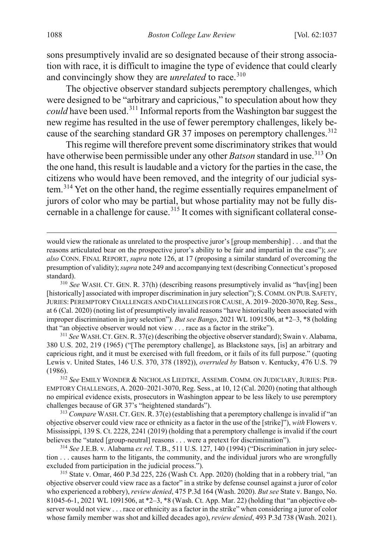sons presumptively invalid are so designated because of their strong association with race, it is difficult to imagine the type of evidence that could clearly and convincingly show they are *unrelated* to race.<sup>[310](#page-52-0)</sup>

The objective observer standard subjects peremptory challenges, which were designed to be "arbitrary and capricious," to speculation about how they *could* have been used.[311](#page-52-1) Informal reports from the Washington bar suggest the new regime has resulted in the use of fewer peremptory challenges, likely be-cause of the searching standard GR 37 imposes on peremptory challenges.<sup>[312](#page-52-2)</sup>

This regime will therefore prevent some discriminatory strikes that would have otherwise been permissible under any other *Batson* standard in use.<sup>[313](#page-52-3)</sup> On the one hand, this result is laudable and a victory for the parties in the case, the citizens who would have been removed, and the integrity of our judicial sys-tem.<sup>[314](#page-52-4)</sup> Yet on the other hand, the regime essentially requires empanelment of jurors of color who may be partial, but whose partiality may not be fully dis-cernable in a challenge for cause.<sup>[315](#page-52-5)</sup> It comes with significant collateral conse-

<span id="page-52-1"></span><sup>311</sup> *See* WASH.CT. GEN.R. 37(e) (describing the objective observer standard); Swain v. Alabama, 380 U.S. 202, 219 (1965) ("[The peremptory challenge], as Blackstone says, [is] an arbitrary and capricious right, and it must be exercised with full freedom, or it fails of its full purpose." (quoting Lewis v. United States, 146 U.S. 370, 378 (1892)), *overruled by* Batson v. Kentucky, 476 U.S. 79 (1986). 312 *See* EMILY WONDER & NICHOLAS LIEDTKE, ASSEMB. COMM. ON JUDICIARY, JURIES: PER-

<span id="page-52-2"></span>EMPTORY CHALLENGES, A. 2020–2021-3070, Reg. Sess., at 10, 12 (Cal. 2020) (noting that although no empirical evidence exists, prosecutors in Washington appear to be less likely to use peremptory challenges because of GR 37's "heightened standards").

<span id="page-52-3"></span><sup>313</sup> *Compare* WASH.CT. GEN.R. 37(e) (establishing that a peremptory challenge is invalid if "an objective observer could view race or ethnicity as a factor in the use of the [strike]"), *with* Flowers v. Mississippi, 139 S. Ct. 2228, 2241 (2019) (holding that a peremptory challenge is invalid if the court believes the "stated [group-neutral] reasons . . . were a pretext for discrimination").

<span id="page-52-4"></span><sup>314</sup> *See* J.E.B. v. Alabama *ex rel.* T.B., 511 U.S. 127, 140 (1994) ("Discrimination in jury selection . . . causes harm to the litigants, the community, and the individual jurors who are wrongfully excluded from participation in the judicial process.").

<span id="page-52-5"></span><sup>315</sup> State v. Omar, 460 P.3d 225, 226 (Wash Ct. App. 2020) (holding that in a robbery trial, "an objective observer could view race as a factor" in a strike by defense counsel against a juror of color who experienced a robbery), *review denied*, 475 P.3d 164 (Wash. 2020). *But see* State v. Bango, No. 81045-6-1, 2021 WL 1091506, at \*2–3, \*8 (Wash. Ct. App. Mar. 22) (holding that "an objective observer would not view . . . race or ethnicity as a factor in the strike" when considering a juror of color whose family member was shot and killed decades ago), *review denied*, 493 P.3d 738 (Wash. 2021).

would view the rationale as unrelated to the prospective juror's [group membership] . . . and that the reasons articulated bear on the prospective juror's ability to be fair and impartial in the case"); *see also* CONN. FINAL REPORT, *supra* not[e 126,](#page-23-6) at 17 (proposing a similar standard of overcoming the presumption of validity); *supra* not[e 249](#page-42-5) and accompanying text (describing Connecticut's proposed standard).<br><sup>310</sup> See WASH. CT. GEN. R. 37(h) (describing reasons presumptively invalid as "hav[ing] been

<span id="page-52-0"></span><sup>[</sup>historically] associated with improper discrimination in jury selection"); S.COMM. ON PUB. SAFETY, JURIES: PEREMPTORY CHALLENGES AND CHALLENGES FOR CAUSE, A. 2019–2020-3070,Reg. Sess., at 6 (Cal. 2020) (noting list of presumptively invalid reasons "have historically been associated with improper discrimination in jury selection"). *But see Bango*, 2021 WL 1091506, at \*2–3, \*8 (holding that "an objective observer would not view . . . race as a factor in the strike").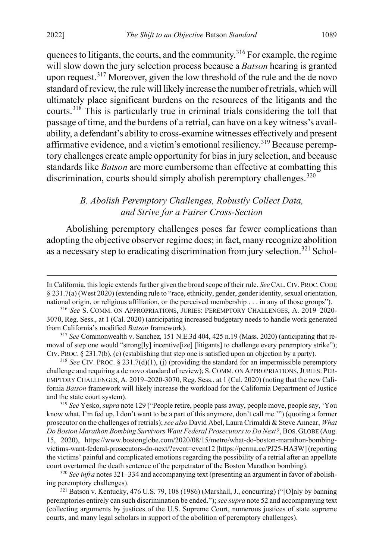$\overline{a}$ 

quences to litigants, the courts, and the community.<sup>[316](#page-53-2)</sup> For example, the regime will slow down the jury selection process because a *Batson* hearing is granted upon request.[317](#page-53-3) Moreover, given the low threshold of the rule and the de novo standard of review, the rule will likely increase the number of retrials, which will ultimately place significant burdens on the resources of the litigants and the courts.<sup>[318](#page-53-4)</sup> This is particularly true in criminal trials considering the toll that passage of time, and the burdens of a retrial, can have on a key witness's availability, a defendant's ability to cross-examine witnesses effectively and present affirmative evidence, and a victim's emotional resiliency.[319](#page-53-5) Because peremptory challenges create ample opportunity for bias in jury selection, and because standards like *Batson* are more cumbersome than effective at combatting this discrimination, courts should simply abolish peremptory challenges.<sup>[320](#page-53-6)</sup>

## <span id="page-53-1"></span><span id="page-53-0"></span>*B. Abolish Peremptory Challenges, Robustly Collect Data, and Strive for a Fairer Cross-Section*

Abolishing peremptory challenges poses far fewer complications than adopting the objective observer regime does; in fact, many recognize abolition as a necessary step to eradicating discrimination from jury selection.<sup>[321](#page-53-7)</sup> Schol-

<span id="page-53-5"></span>know what, I'm fed up, I don't want to be a part of this anymore, don't call me.'") (quoting a former prosecutor on the challenges of retrials); *see also* David Abel, Laura Crimaldi & Steve Annear, *What Do Boston Marathon Bombing Survivors Want Federal Prosecutors to Do Next?*, BOS.GLOBE (Aug. 15, 2020), https://www.bostonglobe.com/2020/08/15/metro/what-do-boston-marathon-bombingvictims-want-federal-prosecutors-do-next/?event=event12 [https://perma.cc/PJ25-HA3W] (reporting the victims' painful and complicated emotions regarding the possibility of a retrial after an appellate court overturned the death sentence of the perpetrator of the Boston Marathon bombing).

<span id="page-53-6"></span><sup>320</sup> *See infra* note[s 321](#page-53-1)[–334](#page-55-0) and accompanying text (presenting an argument in favor of abolishing peremptory challenges).

<span id="page-53-7"></span><sup>321</sup> Batson v. Kentucky, 476 U.S. 79, 108 (1986) (Marshall, J., concurring) ("[O]nly by banning peremptories entirely can such discrimination be ended."); *see supra* not[e 52](#page-9-4) and accompanying text (collecting arguments by justices of the U.S. Supreme Court, numerous justices of state supreme courts, and many legal scholars in support of the abolition of peremptory challenges).

In California, this logic extends further given the broad scope of their rule. *See* CAL.CIV.PROC.CODE § 231.7(a) (West 2020) (extending rule to "race, ethnicity, gender, gender identity, sexual orientation, national origin, or religious affiliation, or the perceived membership . . . in any of those groups").

<span id="page-53-2"></span><sup>316</sup> *See* S. COMM. ON APPROPRIATIONS, JURIES: PEREMPTORY CHALLENGES, A. 2019–2020- 3070, Reg. Sess., at 1 (Cal. 2020) (anticipating increased budgetary needs to handle work generated from California's modified *Batson* framework).<br><sup>317</sup> *See* Commonwealth v. Sanchez, 151 N.E.3d 404, 425 n.19 (Mass. 2020) (anticipating that re-

<span id="page-53-3"></span>moval of step one would "strong[ly] incentive[ize] [litigants] to challenge every peremptory strike"); CIV. PROC. § 231.7(b), (c) (establishing that step one is satisfied upon an objection by a party).

<span id="page-53-4"></span><sup>&</sup>lt;sup>318</sup> See CIV. PROC.  $\S 231.7(d)(1)$ , (j) (providing the standard for an impermissible peremptory challenge and requiring a de novo standard of review); S.COMM. ON APPROPRIATIONS,JURIES: PER-EMPTORY CHALLENGES, A. 2019–2020-3070, Reg. Sess., at 1 (Cal. 2020) (noting that the new California *Batson* framework will likely increase the workload for the California Department of Justice and the state court system). 319 *See* Yesko, *supra* not[e 129](#page-24-8) ("People retire, people pass away, people move, people say, 'You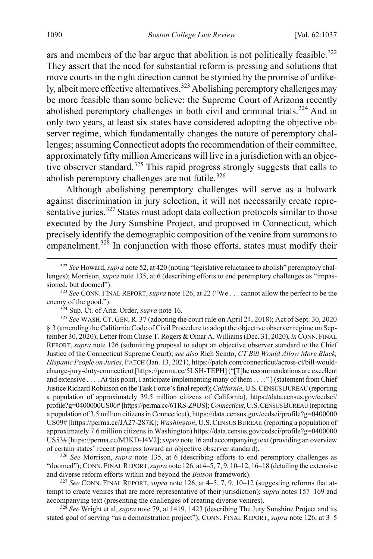<span id="page-54-0"></span>ars and members of the bar argue that abolition is not politically feasible.<sup>[322](#page-54-1)</sup> They assert that the need for substantial reform is pressing and solutions that move courts in the right direction cannot be stymied by the promise of unlike-ly, albeit more effective alternatives.<sup>[323](#page-54-2)</sup> Abolishing peremptory challenges may be more feasible than some believe: the Supreme Court of Arizona recently abolished peremptory challenges in both civil and criminal trials.[324](#page-54-3) And in only two years, at least six states have considered adopting the objective observer regime, which fundamentally changes the nature of peremptory challenges; assuming Connecticut adopts the recommendation of their committee, approximately fifty million Americans will live in a jurisdiction with an objec-tive observer standard.<sup>[325](#page-54-4)</sup> This rapid progress strongly suggests that calls to abolish peremptory challenges are not futile.<sup>[326](#page-54-5)</sup>

Although abolishing peremptory challenges will serve as a bulwark against discrimination in jury selection, it will not necessarily create repre-sentative juries.<sup>[327](#page-54-6)</sup> States must adopt data collection protocols similar to those executed by the Jury Sunshine Project, and proposed in Connecticut, which precisely identify the demographic composition of the venire from summons to empanelment. $328$  In conjunction with those efforts, states must modify their

<span id="page-54-4"></span><span id="page-54-3"></span><sup>324</sup> Sup. Ct. of Ariz. Order, *supra* note [16.](#page-4-1) 325 *See* WASH. CT. GEN. R. 37 (adopting the court rule on April 24, 2018); Act of Sept. 30, 2020 § 3 (amending the California Code of Civil Procedure to adopt the objective observer regime on September 30, 2020); Letter from Chase T. Rogers & Omar A. Williams (Dec. 31, 2020), *in* CONN. FINAL REPORT, *supra* not[e 126](#page-23-6) (submitting proposal to adopt an objective observer standard to the Chief Justice of the Connecticut Supreme Court); *see also* Rich Scinto, *CT Bill Would Allow More Black, Hispanic People on Juries*, PATCH (Jan. 13, 2021), https://patch.com/connecticut/across-ct/bill-wouldchange-jury-duty-connecticut [https://perma.cc/5LSH-TEPH] ("[T]he recommendations are excellent and extensive . . . . At this point, I anticipate implementing many of them . . . ." ) (statement from Chief Justice Richard Robinson on the Task Force's final report); *California*, U.S.CENSUS BUREAU (reporting a population of approximately 39.5 million citizens of California), https://data.census.gov/cedsci/ profile?g=0400000US06# [https://perma.cc/6TRS-Z9US]; *Connecticut*, U.S.CENSUS BUREAU (reporting a population of 3.5 million citizens in Connecticut), https://data.census.gov/cedsci/profile?g=0400000 US09# [https://perma.cc/JA27-287K]; *Washington*, U.S.CENSUS BUREAU (reporting a population of approximately 7.6 million citizens in Washington) https://data.census.gov/cedsci/profile?g=0400000 US53# [https://perma.cc/M3KD-J4V2]; *supra* not[e 16](#page-4-1) and accompanying text (providing an overview

<span id="page-54-5"></span><sup>326</sup> See Morrison, *supra* note [135,](#page-25-9) at 6 (describing efforts to end peremptory challenges as "doomed"); CONN. FINAL REPORT,*supra* not[e 126,](#page-23-6) at 4–5, 7, 9, 10–12, 16–18 (detailing the extensive and diverse reform efforts within and beyond the *Batson* framework).

<span id="page-54-6"></span><sup>327</sup> *See* CONN. FINAL REPORT, *supra* note [126,](#page-23-6) at 4–5, 7, 9, 10–12 (suggesting reforms that attempt to create venires that are more representative of their jurisdiction); *supra* notes [157–](#page-28-1)[169](#page-30-0) and accompanying text (presenting the challenges of creating diverse venires).

<span id="page-54-7"></span><sup>328</sup> *See* Wright et al, *supra* not[e 79,](#page-13-0) at 1419, 1423 (describing The Jury Sunshine Project and its stated goal of serving "as a demonstration project"); CONN. FINAL REPORT, *supra* not[e 126,](#page-23-6) at 3–5

<span id="page-54-1"></span> <sup>322</sup> *See* Howard, *supra* not[e 52,](#page-9-4) at 420 (noting "legislative reluctance to abolish" peremptory challenges); Morrison, *supra* not[e 135,](#page-25-9) at 6 (describing efforts to end peremptory challenges as "impassioned, but doomed").

<span id="page-54-2"></span><sup>323</sup> *See* CONN. FINAL REPORT, *supra* not[e 126,](#page-23-6) at 22 ("We . . . cannot allow the perfect to be the enemy of the good.").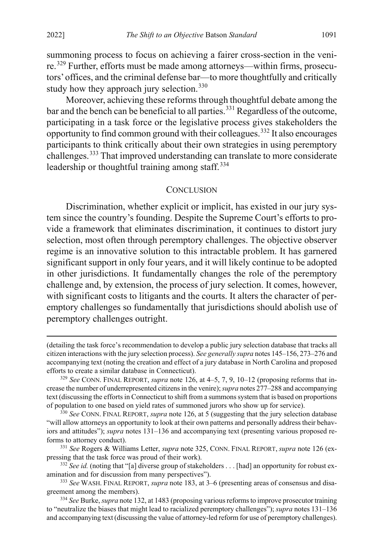summoning process to focus on achieving a fairer cross-section in the venire.[329](#page-55-1) Further, efforts must be made among attorneys—within firms, prosecutors' offices, and the criminal defense bar—to more thoughtfully and critically study how they approach jury selection.<sup>[330](#page-55-2)</sup>

Moreover, achieving these reforms through thoughtful debate among the bar and the bench can be beneficial to all parties.<sup>[331](#page-55-3)</sup> Regardless of the outcome, participating in a task force or the legislative process gives stakeholders the opportunity to find common ground with their colleagues.[332](#page-55-4) It also encourages participants to think critically about their own strategies in using peremptory challenges.<sup>[333](#page-55-5)</sup> That improved understanding can translate to more considerate leadership or thoughtful training among staff.<sup>[334](#page-55-6)</sup>

#### <span id="page-55-0"></span>**CONCLUSION**

Discrimination, whether explicit or implicit, has existed in our jury system since the country's founding. Despite the Supreme Court's efforts to provide a framework that eliminates discrimination, it continues to distort jury selection, most often through peremptory challenges. The objective observer regime is an innovative solution to this intractable problem. It has garnered significant support in only four years, and it will likely continue to be adopted in other jurisdictions. It fundamentally changes the role of the peremptory challenge and, by extension, the process of jury selection. It comes, however, with significant costs to litigants and the courts. It alters the character of peremptory challenges so fundamentally that jurisdictions should abolish use of peremptory challenges outright.

<sup>(</sup>detailing the task force's recommendation to develop a public jury selection database that tracks all citizen interactions with the jury selection process). *See generally supra* note[s 145](#page-26-1)[–156,](#page-28-0) [273](#page-46-2)[–276](#page-47-8) and accompanying text (noting the creation and effect of a jury database in North Carolina and proposed efforts to create a similar database in Connecticut).

<span id="page-55-1"></span><sup>329</sup> *See* CONN. FINAL REPORT, *supra* note [126,](#page-23-6) at 4–5, 7, 9, 10–12 (proposing reforms that increase the number of underrepresented citizens in the venire); *supra* note[s 277](#page-47-9)[–288](#page-48-1) and accompanying text (discussing the efforts in Connecticut to shift from a summons system that is based on proportions of population to one based on yield rates of summoned jurors who show up for service).

<span id="page-55-2"></span><sup>330</sup> *See* CONN. FINAL REPORT, *supra* not[e 126,](#page-23-6) at 5 (suggesting that the jury selection database "will allow attorneys an opportunity to look at their own patterns and personally address their behaviors and attitudes"); *supra* note[s 131](#page-24-1)[–136](#page-25-0) and accompanying text (presenting various proposed reforms to attorney conduct).

<span id="page-55-3"></span><sup>331</sup> *See* Rogers & Williams Letter, *supra* note 325, CONN. FINAL REPORT, *supra* not[e 126 \(](#page-23-6)expressing that the task force was proud of their work).<br><sup>332</sup> *See id.* (noting that "[a] diverse group of stakeholders . . . [had] an opportunity for robust ex-

<span id="page-55-4"></span>amination and for discussion from many perspectives").

<span id="page-55-5"></span><sup>333</sup> *See* WASH. FINAL REPORT, *supra* not[e 183,](#page-31-1) at 3–6 (presenting areas of consensus and disagreement among the members).

<span id="page-55-6"></span><sup>334</sup> *See* Burke, *supra* not[e 132,](#page-24-7) at 1483 (proposing various reforms to improve prosecutor training to "neutralize the biases that might lead to racialized peremptory challenges"); *supra* note[s 131–](#page-24-1)[136](#page-25-0) and accompanying text (discussing the value of attorney-led reform for use of peremptory challenges).